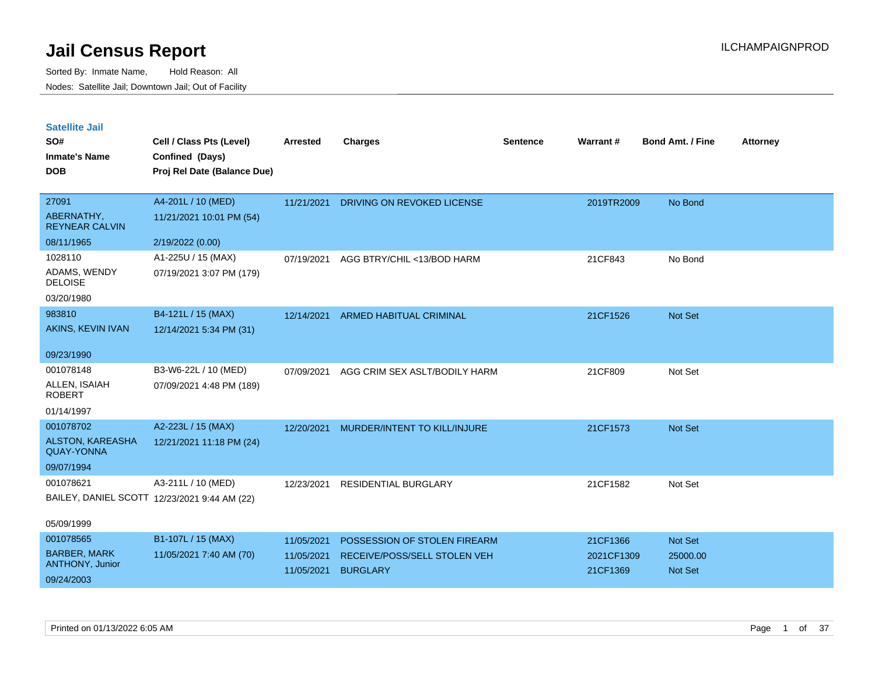| <b>Satellite Jail</b> |  |
|-----------------------|--|
|                       |  |

| SO#<br><b>Inmate's Name</b><br><b>DOB</b>                         | Cell / Class Pts (Level)<br>Confined (Days)<br>Proj Rel Date (Balance Due) | <b>Arrested</b>                        | <b>Charges</b>                                                                  | <b>Sentence</b> | Warrant#                           | <b>Bond Amt. / Fine</b>        | <b>Attorney</b> |
|-------------------------------------------------------------------|----------------------------------------------------------------------------|----------------------------------------|---------------------------------------------------------------------------------|-----------------|------------------------------------|--------------------------------|-----------------|
| 27091<br>ABERNATHY,<br><b>REYNEAR CALVIN</b>                      | A4-201L / 10 (MED)<br>11/21/2021 10:01 PM (54)                             | 11/21/2021                             | <b>DRIVING ON REVOKED LICENSE</b>                                               |                 | 2019TR2009                         | No Bond                        |                 |
| 08/11/1965<br>1028110<br>ADAMS, WENDY                             | 2/19/2022 (0.00)<br>A1-225U / 15 (MAX)<br>07/19/2021 3:07 PM (179)         | 07/19/2021                             | AGG BTRY/CHIL <13/BOD HARM                                                      |                 | 21CF843                            | No Bond                        |                 |
| <b>DELOISE</b><br>03/20/1980                                      |                                                                            |                                        |                                                                                 |                 |                                    |                                |                 |
| 983810<br>AKINS, KEVIN IVAN                                       | B4-121L / 15 (MAX)<br>12/14/2021 5:34 PM (31)                              | 12/14/2021                             | <b>ARMED HABITUAL CRIMINAL</b>                                                  |                 | 21CF1526                           | Not Set                        |                 |
| 09/23/1990                                                        |                                                                            |                                        |                                                                                 |                 |                                    |                                |                 |
| 001078148<br>ALLEN, ISAIAH<br><b>ROBERT</b>                       | B3-W6-22L / 10 (MED)<br>07/09/2021 4:48 PM (189)                           | 07/09/2021                             | AGG CRIM SEX ASLT/BODILY HARM                                                   |                 | 21CF809                            | Not Set                        |                 |
| 01/14/1997                                                        |                                                                            |                                        |                                                                                 |                 |                                    |                                |                 |
| 001078702<br>ALSTON, KAREASHA<br><b>QUAY-YONNA</b><br>09/07/1994  | A2-223L / 15 (MAX)<br>12/21/2021 11:18 PM (24)                             | 12/20/2021                             | MURDER/INTENT TO KILL/INJURE                                                    |                 | 21CF1573                           | Not Set                        |                 |
| 001078621                                                         | A3-211L / 10 (MED)<br>BAILEY, DANIEL SCOTT 12/23/2021 9:44 AM (22)         | 12/23/2021                             | RESIDENTIAL BURGLARY                                                            |                 | 21CF1582                           | Not Set                        |                 |
| 05/09/1999                                                        |                                                                            |                                        |                                                                                 |                 |                                    |                                |                 |
| 001078565<br><b>BARBER, MARK</b><br>ANTHONY, Junior<br>09/24/2003 | B1-107L / 15 (MAX)<br>11/05/2021 7:40 AM (70)                              | 11/05/2021<br>11/05/2021<br>11/05/2021 | POSSESSION OF STOLEN FIREARM<br>RECEIVE/POSS/SELL STOLEN VEH<br><b>BURGLARY</b> |                 | 21CF1366<br>2021CF1309<br>21CF1369 | Not Set<br>25000.00<br>Not Set |                 |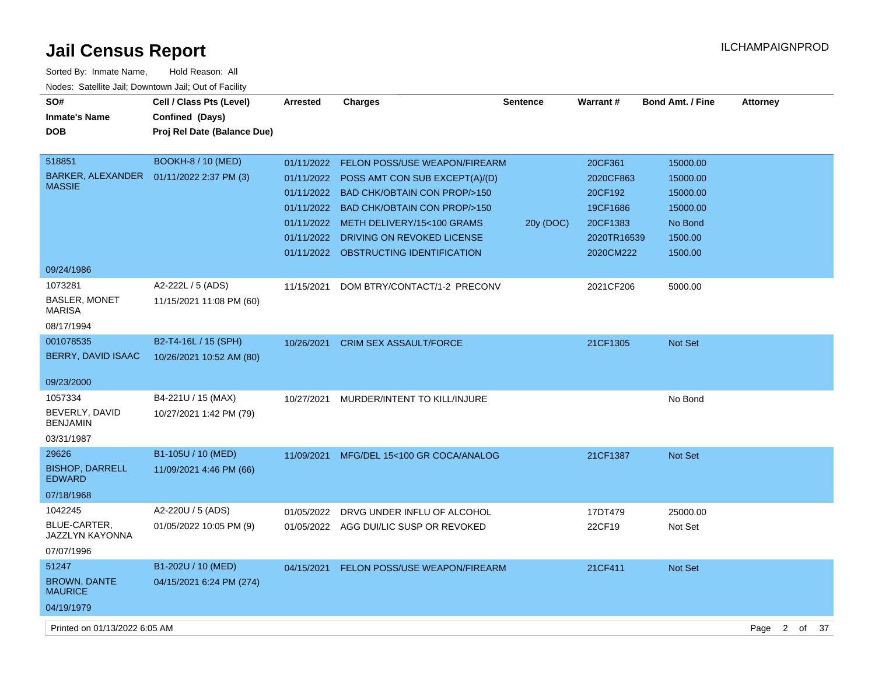| Sorted By: Inmate Name,                               | Hold Reason: All            |                 |                                           |                 |             |                         |                              |    |
|-------------------------------------------------------|-----------------------------|-----------------|-------------------------------------------|-----------------|-------------|-------------------------|------------------------------|----|
| Nodes: Satellite Jail; Downtown Jail; Out of Facility |                             |                 |                                           |                 |             |                         |                              |    |
| SO#                                                   | Cell / Class Pts (Level)    | <b>Arrested</b> | Charges                                   | <b>Sentence</b> | Warrant#    | <b>Bond Amt. / Fine</b> | <b>Attorney</b>              |    |
| <b>Inmate's Name</b>                                  | Confined (Days)             |                 |                                           |                 |             |                         |                              |    |
| <b>DOB</b>                                            | Proj Rel Date (Balance Due) |                 |                                           |                 |             |                         |                              |    |
|                                                       |                             |                 |                                           |                 |             |                         |                              |    |
| 518851                                                | <b>BOOKH-8 / 10 (MED)</b>   | 01/11/2022      | FELON POSS/USE WEAPON/FIREARM             |                 | 20CF361     | 15000.00                |                              |    |
| BARKER, ALEXANDER<br><b>MASSIE</b>                    | 01/11/2022 2:37 PM (3)      |                 | 01/11/2022 POSS AMT CON SUB EXCEPT(A)/(D) |                 | 2020CF863   | 15000.00                |                              |    |
|                                                       |                             |                 | 01/11/2022 BAD CHK/OBTAIN CON PROP/>150   |                 | 20CF192     | 15000.00                |                              |    |
|                                                       |                             |                 | 01/11/2022 BAD CHK/OBTAIN CON PROP/>150   |                 | 19CF1686    | 15000.00                |                              |    |
|                                                       |                             |                 | 01/11/2022 METH DELIVERY/15<100 GRAMS     | 20y (DOC)       | 20CF1383    | No Bond                 |                              |    |
|                                                       |                             | 01/11/2022      | DRIVING ON REVOKED LICENSE                |                 | 2020TR16539 | 1500.00                 |                              |    |
|                                                       |                             |                 | 01/11/2022 OBSTRUCTING IDENTIFICATION     |                 | 2020CM222   | 1500.00                 |                              |    |
| 09/24/1986                                            |                             |                 |                                           |                 |             |                         |                              |    |
| 1073281                                               | A2-222L / 5 (ADS)           | 11/15/2021      | DOM BTRY/CONTACT/1-2 PRECONV              |                 | 2021CF206   | 5000.00                 |                              |    |
| <b>BASLER, MONET</b><br><b>MARISA</b>                 | 11/15/2021 11:08 PM (60)    |                 |                                           |                 |             |                         |                              |    |
| 08/17/1994                                            |                             |                 |                                           |                 |             |                         |                              |    |
| 001078535                                             | B2-T4-16L / 15 (SPH)        | 10/26/2021      | <b>CRIM SEX ASSAULT/FORCE</b>             |                 | 21CF1305    | <b>Not Set</b>          |                              |    |
| BERRY, DAVID ISAAC                                    | 10/26/2021 10:52 AM (80)    |                 |                                           |                 |             |                         |                              |    |
|                                                       |                             |                 |                                           |                 |             |                         |                              |    |
| 09/23/2000                                            |                             |                 |                                           |                 |             |                         |                              |    |
| 1057334                                               | B4-221U / 15 (MAX)          | 10/27/2021      | MURDER/INTENT TO KILL/INJURE              |                 |             | No Bond                 |                              |    |
| BEVERLY, DAVID<br><b>BENJAMIN</b>                     | 10/27/2021 1:42 PM (79)     |                 |                                           |                 |             |                         |                              |    |
| 03/31/1987                                            |                             |                 |                                           |                 |             |                         |                              |    |
| 29626                                                 | B1-105U / 10 (MED)          |                 | 11/09/2021 MFG/DEL 15<100 GR COCA/ANALOG  |                 | 21CF1387    | <b>Not Set</b>          |                              |    |
| <b>BISHOP, DARRELL</b><br><b>EDWARD</b>               | 11/09/2021 4:46 PM (66)     |                 |                                           |                 |             |                         |                              |    |
| 07/18/1968                                            |                             |                 |                                           |                 |             |                         |                              |    |
| 1042245                                               | A2-220U / 5 (ADS)           | 01/05/2022      | DRVG UNDER INFLU OF ALCOHOL               |                 | 17DT479     | 25000.00                |                              |    |
| BLUE-CARTER,<br>JAZZLYN KAYONNA                       | 01/05/2022 10:05 PM (9)     |                 | 01/05/2022 AGG DUI/LIC SUSP OR REVOKED    |                 | 22CF19      | Not Set                 |                              |    |
| 07/07/1996                                            |                             |                 |                                           |                 |             |                         |                              |    |
| 51247                                                 | B1-202U / 10 (MED)          | 04/15/2021      | <b>FELON POSS/USE WEAPON/FIREARM</b>      |                 | 21CF411     | Not Set                 |                              |    |
| <b>BROWN, DANTE</b><br><b>MAURICE</b>                 | 04/15/2021 6:24 PM (274)    |                 |                                           |                 |             |                         |                              |    |
| 04/19/1979                                            |                             |                 |                                           |                 |             |                         |                              |    |
| Printed on 01/13/2022 6:05 AM                         |                             |                 |                                           |                 |             |                         | $\overline{2}$<br>of<br>Page | 37 |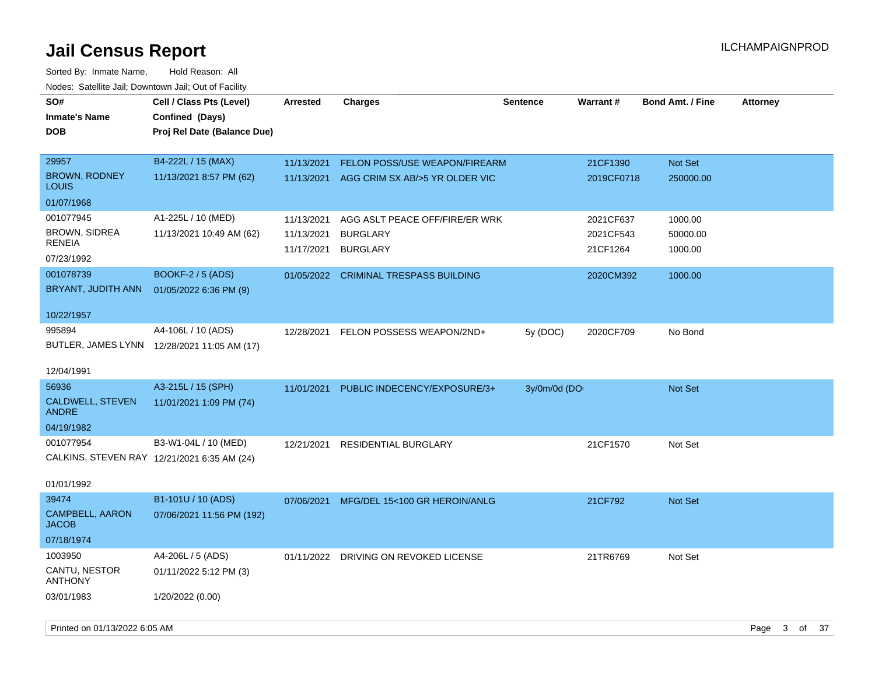| SO#<br><b>Inmate's Name</b><br><b>DOB</b>                              | Cell / Class Pts (Level)<br>Confined (Days)<br>Proj Rel Date (Balance Due) | <b>Arrested</b>                        | Charges                                                              | <b>Sentence</b> | <b>Warrant#</b>                    | <b>Bond Amt. / Fine</b>        | <b>Attorney</b> |
|------------------------------------------------------------------------|----------------------------------------------------------------------------|----------------------------------------|----------------------------------------------------------------------|-----------------|------------------------------------|--------------------------------|-----------------|
| 29957<br><b>BROWN, RODNEY</b><br><b>LOUIS</b>                          | B4-222L / 15 (MAX)<br>11/13/2021 8:57 PM (62)                              | 11/13/2021<br>11/13/2021               | FELON POSS/USE WEAPON/FIREARM<br>AGG CRIM SX AB/>5 YR OLDER VIC      |                 | 21CF1390<br>2019CF0718             | Not Set<br>250000.00           |                 |
| 01/07/1968                                                             |                                                                            |                                        |                                                                      |                 |                                    |                                |                 |
| 001077945<br><b>BROWN, SIDREA</b><br><b>RENEIA</b>                     | A1-225L / 10 (MED)<br>11/13/2021 10:49 AM (62)                             | 11/13/2021<br>11/13/2021<br>11/17/2021 | AGG ASLT PEACE OFF/FIRE/ER WRK<br><b>BURGLARY</b><br><b>BURGLARY</b> |                 | 2021CF637<br>2021CF543<br>21CF1264 | 1000.00<br>50000.00<br>1000.00 |                 |
| 07/23/1992                                                             |                                                                            |                                        |                                                                      |                 |                                    |                                |                 |
| 001078739<br>BRYANT, JUDITH ANN                                        | <b>BOOKF-2 / 5 (ADS)</b><br>01/05/2022 6:36 PM (9)                         | 01/05/2022                             | <b>CRIMINAL TRESPASS BUILDING</b>                                    |                 | 2020CM392                          | 1000.00                        |                 |
| 10/22/1957                                                             |                                                                            |                                        |                                                                      |                 |                                    |                                |                 |
| 995894                                                                 | A4-106L / 10 (ADS)<br>BUTLER, JAMES LYNN 12/28/2021 11:05 AM (17)          | 12/28/2021                             | FELON POSSESS WEAPON/2ND+                                            | 5y (DOC)        | 2020CF709                          | No Bond                        |                 |
| 12/04/1991                                                             |                                                                            |                                        |                                                                      |                 |                                    |                                |                 |
| 56936<br>CALDWELL, STEVEN<br><b>ANDRE</b><br>04/19/1982                | A3-215L / 15 (SPH)<br>11/01/2021 1:09 PM (74)                              | 11/01/2021                             | PUBLIC INDECENCY/EXPOSURE/3+                                         | 3y/0m/0d (DO    |                                    | Not Set                        |                 |
| 001077954<br>CALKINS, STEVEN RAY 12/21/2021 6:35 AM (24)<br>01/01/1992 | B3-W1-04L / 10 (MED)                                                       | 12/21/2021                             | RESIDENTIAL BURGLARY                                                 |                 | 21CF1570                           | Not Set                        |                 |
| 39474<br>CAMPBELL, AARON<br><b>JACOB</b><br>07/18/1974                 | B1-101U / 10 (ADS)<br>07/06/2021 11:56 PM (192)                            |                                        | 07/06/2021 MFG/DEL 15<100 GR HEROIN/ANLG                             |                 | 21CF792                            | <b>Not Set</b>                 |                 |
| 1003950<br>CANTU, NESTOR<br><b>ANTHONY</b><br>03/01/1983               | A4-206L / 5 (ADS)<br>01/11/2022 5:12 PM (3)<br>1/20/2022 (0.00)            | 01/11/2022                             | DRIVING ON REVOKED LICENSE                                           |                 | 21TR6769                           | Not Set                        |                 |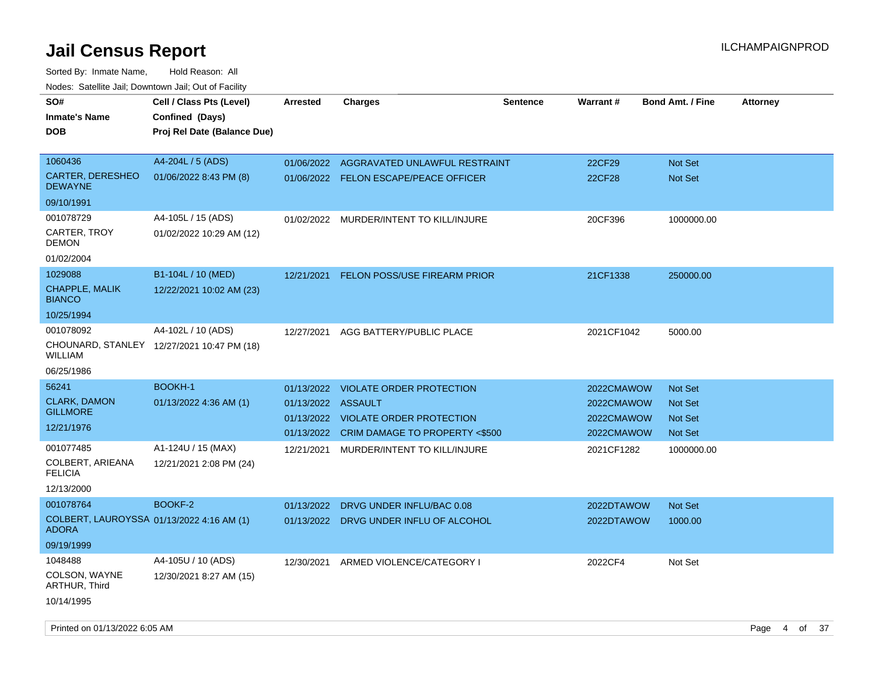| rouco. Calcinic Jan, Downtown Jan, Out of Facility |                                                                            |                    |                                         |                 |               |                         |                 |
|----------------------------------------------------|----------------------------------------------------------------------------|--------------------|-----------------------------------------|-----------------|---------------|-------------------------|-----------------|
| SO#<br>Inmate's Name<br><b>DOB</b>                 | Cell / Class Pts (Level)<br>Confined (Days)<br>Proj Rel Date (Balance Due) | <b>Arrested</b>    | <b>Charges</b>                          | <b>Sentence</b> | Warrant#      | <b>Bond Amt. / Fine</b> | <b>Attorney</b> |
| 1060436                                            | A4-204L / 5 (ADS)                                                          | 01/06/2022         | AGGRAVATED UNLAWFUL RESTRAINT           |                 | 22CF29        | <b>Not Set</b>          |                 |
| CARTER, DERESHEO<br>DEWAYNE                        | 01/06/2022 8:43 PM (8)                                                     |                    | 01/06/2022 FELON ESCAPE/PEACE OFFICER   |                 | <b>22CF28</b> | <b>Not Set</b>          |                 |
| 09/10/1991                                         |                                                                            |                    |                                         |                 |               |                         |                 |
| 001078729                                          | A4-105L / 15 (ADS)                                                         |                    | 01/02/2022 MURDER/INTENT TO KILL/INJURE |                 | 20CF396       | 1000000.00              |                 |
| CARTER, TROY<br>DEMON                              | 01/02/2022 10:29 AM (12)                                                   |                    |                                         |                 |               |                         |                 |
| 01/02/2004                                         |                                                                            |                    |                                         |                 |               |                         |                 |
| 1029088                                            | B1-104L / 10 (MED)                                                         | 12/21/2021         | <b>FELON POSS/USE FIREARM PRIOR</b>     |                 | 21CF1338      | 250000.00               |                 |
| <b>CHAPPLE, MALIK</b><br><b>BIANCO</b>             | 12/22/2021 10:02 AM (23)                                                   |                    |                                         |                 |               |                         |                 |
| 10/25/1994                                         |                                                                            |                    |                                         |                 |               |                         |                 |
| 001078092                                          | A4-102L / 10 (ADS)                                                         | 12/27/2021         | AGG BATTERY/PUBLIC PLACE                |                 | 2021CF1042    | 5000.00                 |                 |
| WILLIAM                                            | CHOUNARD, STANLEY 12/27/2021 10:47 PM (18)                                 |                    |                                         |                 |               |                         |                 |
| 06/25/1986                                         |                                                                            |                    |                                         |                 |               |                         |                 |
| 56241                                              | <b>BOOKH-1</b>                                                             | 01/13/2022         | VIOLATE ORDER PROTECTION                |                 | 2022CMAWOW    | <b>Not Set</b>          |                 |
| <b>CLARK, DAMON</b>                                | 01/13/2022 4:36 AM (1)                                                     | 01/13/2022 ASSAULT |                                         |                 | 2022CMAWOW    | <b>Not Set</b>          |                 |
| GILLMORE                                           |                                                                            |                    | 01/13/2022 VIOLATE ORDER PROTECTION     |                 | 2022CMAWOW    | Not Set                 |                 |
| 12/21/1976                                         |                                                                            | 01/13/2022         | CRIM DAMAGE TO PROPERTY <\$500          |                 | 2022CMAWOW    | <b>Not Set</b>          |                 |
| 001077485                                          | A1-124U / 15 (MAX)                                                         | 12/21/2021         | MURDER/INTENT TO KILL/INJURE            |                 | 2021CF1282    | 1000000.00              |                 |
| COLBERT, ARIEANA<br><b>FELICIA</b>                 | 12/21/2021 2:08 PM (24)                                                    |                    |                                         |                 |               |                         |                 |
| 12/13/2000                                         |                                                                            |                    |                                         |                 |               |                         |                 |
| 001078764                                          | BOOKF-2                                                                    | 01/13/2022         | DRVG UNDER INFLU/BAC 0.08               |                 | 2022DTAWOW    | <b>Not Set</b>          |                 |
| COLBERT, LAUROYSSA 01/13/2022 4:16 AM (1)<br>ADORA |                                                                            |                    | 01/13/2022 DRVG UNDER INFLU OF ALCOHOL  |                 | 2022DTAWOW    | 1000.00                 |                 |
| 09/19/1999                                         |                                                                            |                    |                                         |                 |               |                         |                 |
| 1048488                                            | A4-105U / 10 (ADS)                                                         | 12/30/2021         | ARMED VIOLENCE/CATEGORY I               |                 | 2022CF4       | Not Set                 |                 |
| COLSON, WAYNE<br><b>ARTHUR, Third</b>              | 12/30/2021 8:27 AM (15)                                                    |                    |                                         |                 |               |                         |                 |
| 10/14/1995                                         |                                                                            |                    |                                         |                 |               |                         |                 |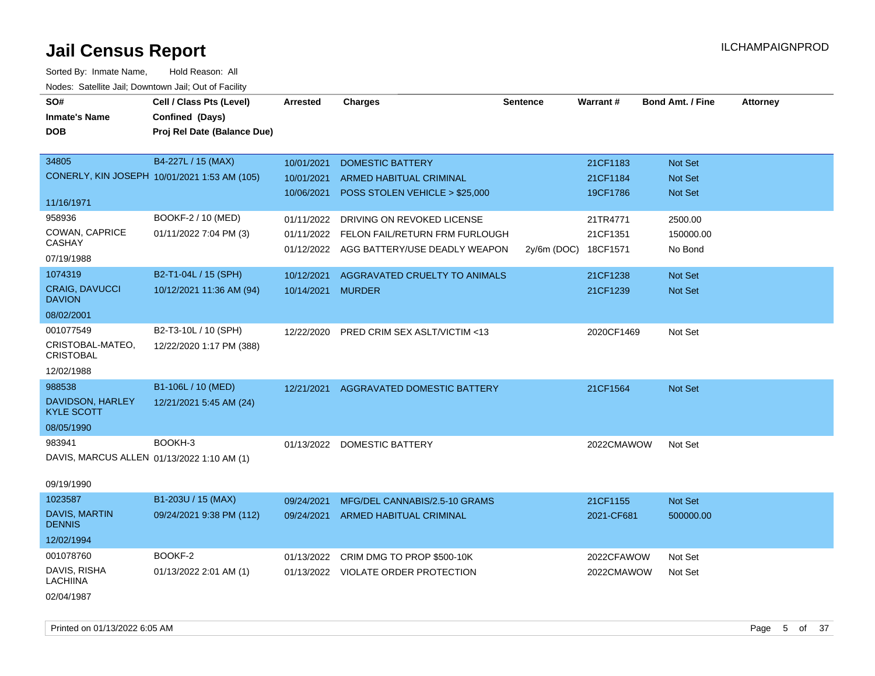Sorted By: Inmate Name, Hold Reason: All Nodes: Satellite Jail; Downtown Jail; Out of Facility

| SO#                                        | Cell / Class Pts (Level)                     | <b>Arrested</b>   | <b>Charges</b>                           | <b>Sentence</b> | Warrant#   | <b>Bond Amt. / Fine</b> | <b>Attorney</b> |
|--------------------------------------------|----------------------------------------------|-------------------|------------------------------------------|-----------------|------------|-------------------------|-----------------|
| <b>Inmate's Name</b>                       | Confined (Days)                              |                   |                                          |                 |            |                         |                 |
| <b>DOB</b>                                 | Proj Rel Date (Balance Due)                  |                   |                                          |                 |            |                         |                 |
|                                            |                                              |                   |                                          |                 |            |                         |                 |
| 34805                                      | B4-227L / 15 (MAX)                           | 10/01/2021        | <b>DOMESTIC BATTERY</b>                  |                 | 21CF1183   | Not Set                 |                 |
|                                            | CONERLY, KIN JOSEPH 10/01/2021 1:53 AM (105) | 10/01/2021        | <b>ARMED HABITUAL CRIMINAL</b>           |                 | 21CF1184   | Not Set                 |                 |
|                                            |                                              | 10/06/2021        | POSS STOLEN VEHICLE > \$25,000           |                 | 19CF1786   | Not Set                 |                 |
| 11/16/1971                                 |                                              |                   |                                          |                 |            |                         |                 |
| 958936                                     | BOOKF-2 / 10 (MED)                           | 01/11/2022        | DRIVING ON REVOKED LICENSE               |                 | 21TR4771   | 2500.00                 |                 |
| COWAN, CAPRICE                             | 01/11/2022 7:04 PM (3)                       | 01/11/2022        | FELON FAIL/RETURN FRM FURLOUGH           |                 | 21CF1351   | 150000.00               |                 |
| <b>CASHAY</b>                              |                                              |                   | 01/12/2022 AGG BATTERY/USE DEADLY WEAPON | 2y/6m (DOC)     | 18CF1571   | No Bond                 |                 |
| 07/19/1988                                 |                                              |                   |                                          |                 |            |                         |                 |
| 1074319                                    | B2-T1-04L / 15 (SPH)                         | 10/12/2021        | AGGRAVATED CRUELTY TO ANIMALS            |                 | 21CF1238   | Not Set                 |                 |
| <b>CRAIG, DAVUCCI</b><br><b>DAVION</b>     | 10/12/2021 11:36 AM (94)                     | 10/14/2021 MURDER |                                          |                 | 21CF1239   | <b>Not Set</b>          |                 |
| 08/02/2001                                 |                                              |                   |                                          |                 |            |                         |                 |
| 001077549                                  | B2-T3-10L / 10 (SPH)                         | 12/22/2020        | PRED CRIM SEX ASLT/VICTIM <13            |                 | 2020CF1469 | Not Set                 |                 |
| CRISTOBAL-MATEO,<br><b>CRISTOBAL</b>       | 12/22/2020 1:17 PM (388)                     |                   |                                          |                 |            |                         |                 |
| 12/02/1988                                 |                                              |                   |                                          |                 |            |                         |                 |
| 988538                                     | B1-106L / 10 (MED)                           | 12/21/2021        | AGGRAVATED DOMESTIC BATTERY              |                 | 21CF1564   | Not Set                 |                 |
| DAVIDSON, HARLEY<br><b>KYLE SCOTT</b>      | 12/21/2021 5:45 AM (24)                      |                   |                                          |                 |            |                         |                 |
| 08/05/1990                                 |                                              |                   |                                          |                 |            |                         |                 |
| 983941                                     | BOOKH-3                                      |                   | 01/13/2022 DOMESTIC BATTERY              |                 | 2022CMAWOW | Not Set                 |                 |
| DAVIS, MARCUS ALLEN 01/13/2022 1:10 AM (1) |                                              |                   |                                          |                 |            |                         |                 |
|                                            |                                              |                   |                                          |                 |            |                         |                 |
| 09/19/1990                                 |                                              |                   |                                          |                 |            |                         |                 |
| 1023587                                    | B1-203U / 15 (MAX)                           | 09/24/2021        | MFG/DEL CANNABIS/2.5-10 GRAMS            |                 | 21CF1155   | Not Set                 |                 |
| <b>DAVIS, MARTIN</b><br><b>DENNIS</b>      | 09/24/2021 9:38 PM (112)                     | 09/24/2021        | ARMED HABITUAL CRIMINAL                  |                 | 2021-CF681 | 500000.00               |                 |
| 12/02/1994                                 |                                              |                   |                                          |                 |            |                         |                 |
| 001078760                                  | BOOKF-2                                      | 01/13/2022        | CRIM DMG TO PROP \$500-10K               |                 | 2022CFAWOW | Not Set                 |                 |
| DAVIS, RISHA<br>LACHIINA                   | 01/13/2022 2:01 AM (1)                       |                   | 01/13/2022 VIOLATE ORDER PROTECTION      |                 | 2022CMAWOW | Not Set                 |                 |
| 02/04/1987                                 |                                              |                   |                                          |                 |            |                         |                 |

Printed on 01/13/2022 6:05 AM Page 5 of 37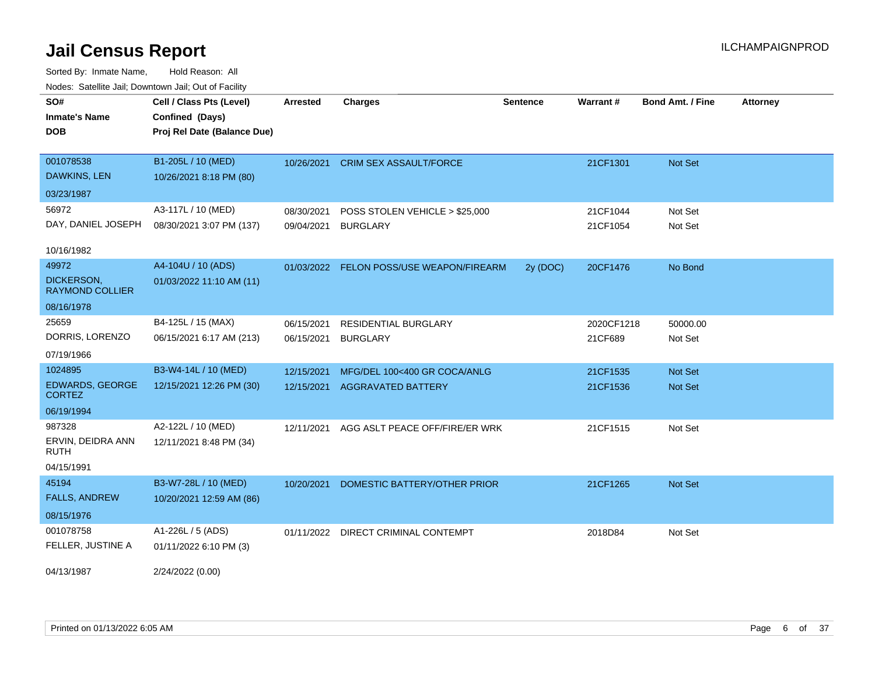| roaco. Calcinio can, Downtown can, Out or Faoint |                             |                 |                                          |                 |            |                         |                 |
|--------------------------------------------------|-----------------------------|-----------------|------------------------------------------|-----------------|------------|-------------------------|-----------------|
| SO#                                              | Cell / Class Pts (Level)    | <b>Arrested</b> | <b>Charges</b>                           | <b>Sentence</b> | Warrant#   | <b>Bond Amt. / Fine</b> | <b>Attorney</b> |
| <b>Inmate's Name</b>                             | Confined (Days)             |                 |                                          |                 |            |                         |                 |
| <b>DOB</b>                                       | Proj Rel Date (Balance Due) |                 |                                          |                 |            |                         |                 |
|                                                  |                             |                 |                                          |                 |            |                         |                 |
| 001078538                                        | B1-205L / 10 (MED)          |                 | 10/26/2021 CRIM SEX ASSAULT/FORCE        |                 | 21CF1301   | Not Set                 |                 |
| DAWKINS, LEN                                     | 10/26/2021 8:18 PM (80)     |                 |                                          |                 |            |                         |                 |
| 03/23/1987                                       |                             |                 |                                          |                 |            |                         |                 |
| 56972                                            | A3-117L / 10 (MED)          | 08/30/2021      | POSS STOLEN VEHICLE > \$25,000           |                 | 21CF1044   | Not Set                 |                 |
| DAY, DANIEL JOSEPH                               | 08/30/2021 3:07 PM (137)    | 09/04/2021      | <b>BURGLARY</b>                          |                 | 21CF1054   | Not Set                 |                 |
|                                                  |                             |                 |                                          |                 |            |                         |                 |
| 10/16/1982                                       |                             |                 |                                          |                 |            |                         |                 |
| 49972                                            | A4-104U / 10 (ADS)          |                 | 01/03/2022 FELON POSS/USE WEAPON/FIREARM | 2y (DOC)        | 20CF1476   | No Bond                 |                 |
| DICKERSON,<br><b>RAYMOND COLLIER</b>             | 01/03/2022 11:10 AM (11)    |                 |                                          |                 |            |                         |                 |
| 08/16/1978                                       |                             |                 |                                          |                 |            |                         |                 |
| 25659                                            | B4-125L / 15 (MAX)          | 06/15/2021      | <b>RESIDENTIAL BURGLARY</b>              |                 | 2020CF1218 | 50000.00                |                 |
| DORRIS, LORENZO                                  | 06/15/2021 6:17 AM (213)    | 06/15/2021      | <b>BURGLARY</b>                          |                 | 21CF689    | Not Set                 |                 |
| 07/19/1966                                       |                             |                 |                                          |                 |            |                         |                 |
| 1024895                                          | B3-W4-14L / 10 (MED)        | 12/15/2021      | MFG/DEL 100<400 GR COCA/ANLG             |                 | 21CF1535   | Not Set                 |                 |
| <b>EDWARDS, GEORGE</b><br><b>CORTEZ</b>          | 12/15/2021 12:26 PM (30)    |                 | 12/15/2021 AGGRAVATED BATTERY            |                 | 21CF1536   | Not Set                 |                 |
| 06/19/1994                                       |                             |                 |                                          |                 |            |                         |                 |
| 987328                                           | A2-122L / 10 (MED)          | 12/11/2021      | AGG ASLT PEACE OFF/FIRE/ER WRK           |                 | 21CF1515   | Not Set                 |                 |
| ERVIN, DEIDRA ANN<br>RUTH                        | 12/11/2021 8:48 PM (34)     |                 |                                          |                 |            |                         |                 |
| 04/15/1991                                       |                             |                 |                                          |                 |            |                         |                 |
| 45194                                            | B3-W7-28L / 10 (MED)        | 10/20/2021      | DOMESTIC BATTERY/OTHER PRIOR             |                 | 21CF1265   | Not Set                 |                 |
| <b>FALLS, ANDREW</b>                             | 10/20/2021 12:59 AM (86)    |                 |                                          |                 |            |                         |                 |
| 08/15/1976                                       |                             |                 |                                          |                 |            |                         |                 |
| 001078758                                        | A1-226L / 5 (ADS)           |                 | 01/11/2022 DIRECT CRIMINAL CONTEMPT      |                 | 2018D84    | Not Set                 |                 |
| FELLER, JUSTINE A                                | 01/11/2022 6:10 PM (3)      |                 |                                          |                 |            |                         |                 |
| 04/13/1987                                       | 2/24/2022 (0.00)            |                 |                                          |                 |            |                         |                 |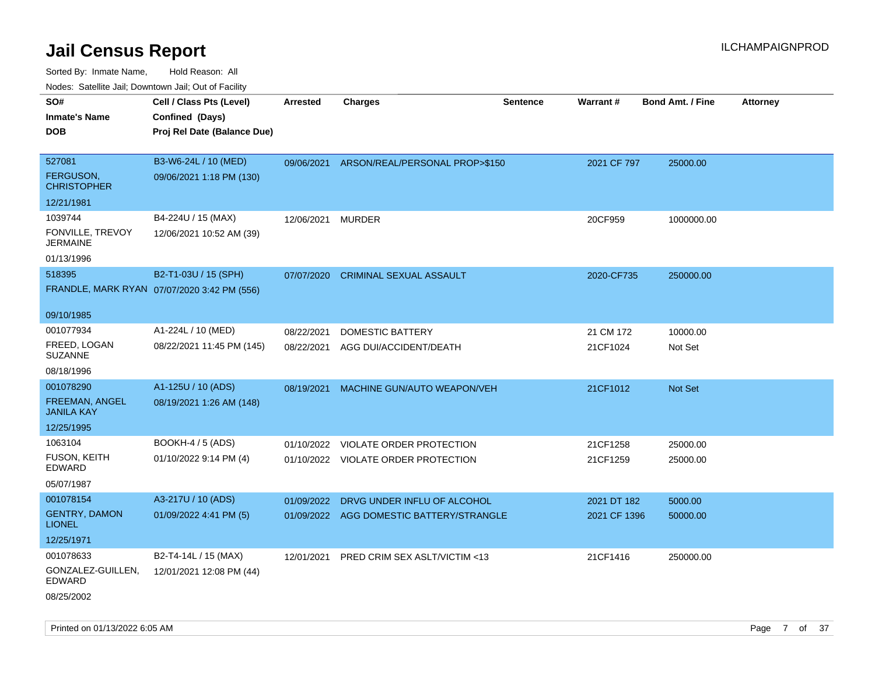| ivoues. Salellite Jali, Downtown Jali, Out of Facility |                                             |                 |                                          |                 |              |                         |                 |
|--------------------------------------------------------|---------------------------------------------|-----------------|------------------------------------------|-----------------|--------------|-------------------------|-----------------|
| SO#                                                    | Cell / Class Pts (Level)                    | <b>Arrested</b> | <b>Charges</b>                           | <b>Sentence</b> | Warrant#     | <b>Bond Amt. / Fine</b> | <b>Attorney</b> |
| <b>Inmate's Name</b>                                   | Confined (Days)                             |                 |                                          |                 |              |                         |                 |
| <b>DOB</b>                                             | Proj Rel Date (Balance Due)                 |                 |                                          |                 |              |                         |                 |
|                                                        |                                             |                 |                                          |                 |              |                         |                 |
| 527081                                                 | B3-W6-24L / 10 (MED)                        | 09/06/2021      | ARSON/REAL/PERSONAL PROP>\$150           |                 | 2021 CF 797  | 25000.00                |                 |
| <b>FERGUSON,</b><br><b>CHRISTOPHER</b>                 | 09/06/2021 1:18 PM (130)                    |                 |                                          |                 |              |                         |                 |
| 12/21/1981                                             |                                             |                 |                                          |                 |              |                         |                 |
| 1039744                                                | B4-224U / 15 (MAX)                          | 12/06/2021      | <b>MURDER</b>                            |                 | 20CF959      | 1000000.00              |                 |
| FONVILLE, TREVOY<br><b>JERMAINE</b>                    | 12/06/2021 10:52 AM (39)                    |                 |                                          |                 |              |                         |                 |
| 01/13/1996                                             |                                             |                 |                                          |                 |              |                         |                 |
| 518395                                                 | B2-T1-03U / 15 (SPH)                        | 07/07/2020      | <b>CRIMINAL SEXUAL ASSAULT</b>           |                 | 2020-CF735   | 250000.00               |                 |
|                                                        | FRANDLE, MARK RYAN 07/07/2020 3:42 PM (556) |                 |                                          |                 |              |                         |                 |
|                                                        |                                             |                 |                                          |                 |              |                         |                 |
| 09/10/1985                                             |                                             |                 |                                          |                 |              |                         |                 |
| 001077934                                              | A1-224L / 10 (MED)                          | 08/22/2021      | DOMESTIC BATTERY                         |                 | 21 CM 172    | 10000.00                |                 |
| FREED, LOGAN<br><b>SUZANNE</b>                         | 08/22/2021 11:45 PM (145)                   | 08/22/2021      | AGG DUI/ACCIDENT/DEATH                   |                 | 21CF1024     | Not Set                 |                 |
| 08/18/1996                                             |                                             |                 |                                          |                 |              |                         |                 |
| 001078290                                              | A1-125U / 10 (ADS)                          | 08/19/2021      | MACHINE GUN/AUTO WEAPON/VEH              |                 | 21CF1012     | Not Set                 |                 |
| FREEMAN, ANGEL<br><b>JANILA KAY</b>                    | 08/19/2021 1:26 AM (148)                    |                 |                                          |                 |              |                         |                 |
| 12/25/1995                                             |                                             |                 |                                          |                 |              |                         |                 |
| 1063104                                                | <b>BOOKH-4 / 5 (ADS)</b>                    |                 | 01/10/2022 VIOLATE ORDER PROTECTION      |                 | 21CF1258     | 25000.00                |                 |
| <b>FUSON, KEITH</b><br>EDWARD                          | 01/10/2022 9:14 PM (4)                      |                 | 01/10/2022 VIOLATE ORDER PROTECTION      |                 | 21CF1259     | 25000.00                |                 |
| 05/07/1987                                             |                                             |                 |                                          |                 |              |                         |                 |
| 001078154                                              | A3-217U / 10 (ADS)                          | 01/09/2022      | DRVG UNDER INFLU OF ALCOHOL              |                 | 2021 DT 182  | 5000.00                 |                 |
| <b>GENTRY, DAMON</b><br><b>LIONEL</b>                  | 01/09/2022 4:41 PM (5)                      |                 | 01/09/2022 AGG DOMESTIC BATTERY/STRANGLE |                 | 2021 CF 1396 | 50000.00                |                 |
| 12/25/1971                                             |                                             |                 |                                          |                 |              |                         |                 |
| 001078633                                              | B2-T4-14L / 15 (MAX)                        | 12/01/2021      | PRED CRIM SEX ASLT/VICTIM <13            |                 | 21CF1416     | 250000.00               |                 |
| GONZALEZ-GUILLEN,<br><b>EDWARD</b>                     | 12/01/2021 12:08 PM (44)                    |                 |                                          |                 |              |                         |                 |
| 08/25/2002                                             |                                             |                 |                                          |                 |              |                         |                 |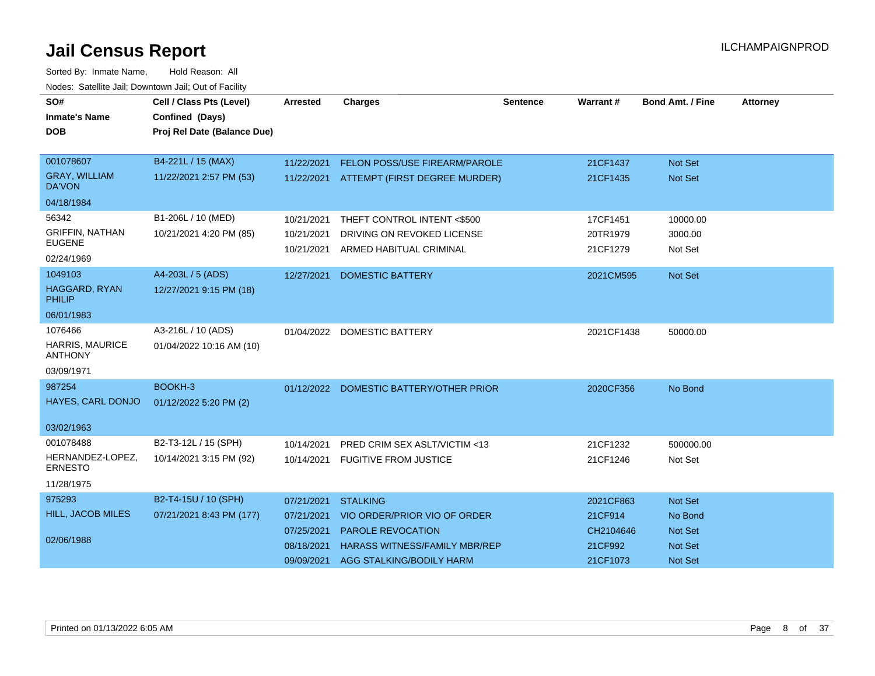| SO#                                      | Cell / Class Pts (Level)    | <b>Arrested</b> | <b>Charges</b>                           | <b>Sentence</b> | Warrant#   | <b>Bond Amt. / Fine</b> | <b>Attorney</b> |
|------------------------------------------|-----------------------------|-----------------|------------------------------------------|-----------------|------------|-------------------------|-----------------|
| <b>Inmate's Name</b>                     | Confined (Days)             |                 |                                          |                 |            |                         |                 |
| <b>DOB</b>                               | Proj Rel Date (Balance Due) |                 |                                          |                 |            |                         |                 |
|                                          |                             |                 |                                          |                 |            |                         |                 |
| 001078607                                | B4-221L / 15 (MAX)          | 11/22/2021      | FELON POSS/USE FIREARM/PAROLE            |                 | 21CF1437   | <b>Not Set</b>          |                 |
| <b>GRAY, WILLIAM</b><br>DA'VON           | 11/22/2021 2:57 PM (53)     |                 | 11/22/2021 ATTEMPT (FIRST DEGREE MURDER) |                 | 21CF1435   | Not Set                 |                 |
| 04/18/1984                               |                             |                 |                                          |                 |            |                         |                 |
| 56342                                    | B1-206L / 10 (MED)          | 10/21/2021      | THEFT CONTROL INTENT <\$500              |                 | 17CF1451   | 10000.00                |                 |
| <b>GRIFFIN, NATHAN</b>                   | 10/21/2021 4:20 PM (85)     | 10/21/2021      | DRIVING ON REVOKED LICENSE               |                 | 20TR1979   | 3000.00                 |                 |
| <b>EUGENE</b>                            |                             | 10/21/2021      | ARMED HABITUAL CRIMINAL                  |                 | 21CF1279   | Not Set                 |                 |
| 02/24/1969                               |                             |                 |                                          |                 |            |                         |                 |
| 1049103                                  | A4-203L / 5 (ADS)           | 12/27/2021      | <b>DOMESTIC BATTERY</b>                  |                 | 2021CM595  | <b>Not Set</b>          |                 |
| <b>HAGGARD, RYAN</b><br>PHILIP           | 12/27/2021 9:15 PM (18)     |                 |                                          |                 |            |                         |                 |
| 06/01/1983                               |                             |                 |                                          |                 |            |                         |                 |
| 1076466                                  | A3-216L / 10 (ADS)          | 01/04/2022      | <b>DOMESTIC BATTERY</b>                  |                 | 2021CF1438 | 50000.00                |                 |
| <b>HARRIS, MAURICE</b><br><b>ANTHONY</b> | 01/04/2022 10:16 AM (10)    |                 |                                          |                 |            |                         |                 |
| 03/09/1971                               |                             |                 |                                          |                 |            |                         |                 |
| 987254                                   | BOOKH-3                     |                 | 01/12/2022 DOMESTIC BATTERY/OTHER PRIOR  |                 | 2020CF356  | No Bond                 |                 |
| HAYES, CARL DONJO                        | 01/12/2022 5:20 PM (2)      |                 |                                          |                 |            |                         |                 |
| 03/02/1963                               |                             |                 |                                          |                 |            |                         |                 |
| 001078488                                | B2-T3-12L / 15 (SPH)        | 10/14/2021      | PRED CRIM SEX ASLT/VICTIM <13            |                 | 21CF1232   | 500000.00               |                 |
| HERNANDEZ-LOPEZ,<br><b>ERNESTO</b>       | 10/14/2021 3:15 PM (92)     | 10/14/2021      | <b>FUGITIVE FROM JUSTICE</b>             |                 | 21CF1246   | Not Set                 |                 |
| 11/28/1975                               |                             |                 |                                          |                 |            |                         |                 |
| 975293                                   | B2-T4-15U / 10 (SPH)        | 07/21/2021      | <b>STALKING</b>                          |                 | 2021CF863  | Not Set                 |                 |
| HILL, JACOB MILES                        | 07/21/2021 8:43 PM (177)    | 07/21/2021      | VIO ORDER/PRIOR VIO OF ORDER             |                 | 21CF914    | No Bond                 |                 |
|                                          |                             | 07/25/2021      | PAROLE REVOCATION                        |                 | CH2104646  | <b>Not Set</b>          |                 |
| 02/06/1988                               |                             | 08/18/2021      | <b>HARASS WITNESS/FAMILY MBR/REP</b>     |                 | 21CF992    | <b>Not Set</b>          |                 |
|                                          |                             | 09/09/2021      | AGG STALKING/BODILY HARM                 |                 | 21CF1073   | <b>Not Set</b>          |                 |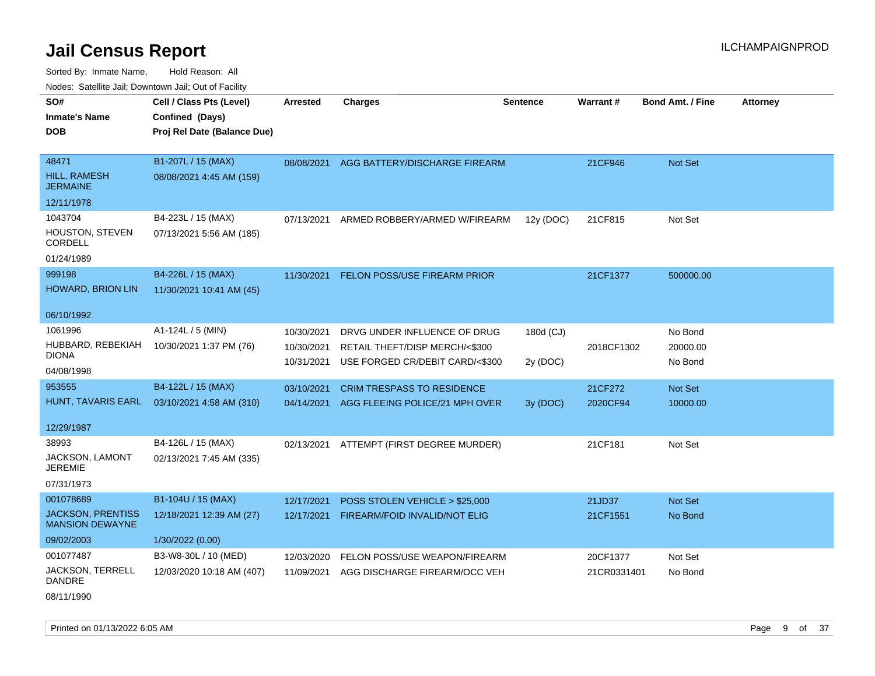Sorted By: Inmate Name, Hold Reason: All Nodes: Satellite Jail; Downtown Jail; Out of Facility

| vouco. Odichite Jan, Downtown Jan, Out of Facility |                             |                 |                                   |                 |                 |                         |                 |
|----------------------------------------------------|-----------------------------|-----------------|-----------------------------------|-----------------|-----------------|-------------------------|-----------------|
| SO#                                                | Cell / Class Pts (Level)    | <b>Arrested</b> | <b>Charges</b>                    | <b>Sentence</b> | <b>Warrant#</b> | <b>Bond Amt. / Fine</b> | <b>Attorney</b> |
| <b>Inmate's Name</b>                               | Confined (Days)             |                 |                                   |                 |                 |                         |                 |
| DOB                                                | Proj Rel Date (Balance Due) |                 |                                   |                 |                 |                         |                 |
|                                                    |                             |                 |                                   |                 |                 |                         |                 |
| 48471                                              | B1-207L / 15 (MAX)          | 08/08/2021      | AGG BATTERY/DISCHARGE FIREARM     |                 | 21CF946         | Not Set                 |                 |
| HILL, RAMESH<br><b>JERMAINE</b>                    | 08/08/2021 4:45 AM (159)    |                 |                                   |                 |                 |                         |                 |
| 12/11/1978                                         |                             |                 |                                   |                 |                 |                         |                 |
| 1043704                                            | B4-223L / 15 (MAX)          | 07/13/2021      | ARMED ROBBERY/ARMED W/FIREARM     | 12y (DOC)       | 21CF815         | Not Set                 |                 |
| HOUSTON, STEVEN<br>CORDELL                         | 07/13/2021 5:56 AM (185)    |                 |                                   |                 |                 |                         |                 |
| 01/24/1989                                         |                             |                 |                                   |                 |                 |                         |                 |
| 999198                                             | B4-226L / 15 (MAX)          | 11/30/2021      | FELON POSS/USE FIREARM PRIOR      |                 | 21CF1377        | 500000.00               |                 |
| <b>HOWARD, BRION LIN</b>                           | 11/30/2021 10:41 AM (45)    |                 |                                   |                 |                 |                         |                 |
| 06/10/1992                                         |                             |                 |                                   |                 |                 |                         |                 |
| 1061996                                            | A1-124L / 5 (MIN)           | 10/30/2021      | DRVG UNDER INFLUENCE OF DRUG      | 180d (CJ)       |                 | No Bond                 |                 |
| HUBBARD, REBEKIAH                                  | 10/30/2021 1:37 PM (76)     | 10/30/2021      | RETAIL THEFT/DISP MERCH/<\$300    |                 | 2018CF1302      | 20000.00                |                 |
| DIONA                                              |                             | 10/31/2021      | USE FORGED CR/DEBIT CARD/<\$300   | 2y (DOC)        |                 | No Bond                 |                 |
| 04/08/1998                                         |                             |                 |                                   |                 |                 |                         |                 |
| 953555                                             | B4-122L / 15 (MAX)          | 03/10/2021      | <b>CRIM TRESPASS TO RESIDENCE</b> |                 | 21CF272         | Not Set                 |                 |
| HUNT, TAVARIS EARL                                 | 03/10/2021 4:58 AM (310)    | 04/14/2021      | AGG FLEEING POLICE/21 MPH OVER    | 3y (DOC)        | 2020CF94        | 10000.00                |                 |
| 12/29/1987                                         |                             |                 |                                   |                 |                 |                         |                 |
|                                                    |                             |                 |                                   |                 |                 |                         |                 |
| 38993                                              | B4-126L / 15 (MAX)          | 02/13/2021      | ATTEMPT (FIRST DEGREE MURDER)     |                 | 21CF181         | Not Set                 |                 |
| <b>JACKSON, LAMONT</b><br><b>JEREMIE</b>           | 02/13/2021 7:45 AM (335)    |                 |                                   |                 |                 |                         |                 |
| 07/31/1973                                         |                             |                 |                                   |                 |                 |                         |                 |
| 001078689                                          | B1-104U / 15 (MAX)          | 12/17/2021      | POSS STOLEN VEHICLE > \$25,000    |                 | 21JD37          | <b>Not Set</b>          |                 |
| <b>JACKSON, PRENTISS</b><br><b>MANSION DEWAYNE</b> | 12/18/2021 12:39 AM (27)    | 12/17/2021      | FIREARM/FOID INVALID/NOT ELIG     |                 | 21CF1551        | No Bond                 |                 |
| 09/02/2003                                         | 1/30/2022 (0.00)            |                 |                                   |                 |                 |                         |                 |
| 001077487                                          | B3-W8-30L / 10 (MED)        | 12/03/2020      | FELON POSS/USE WEAPON/FIREARM     |                 | 20CF1377        | Not Set                 |                 |
| JACKSON, TERRELL<br><b>DANDRE</b>                  | 12/03/2020 10:18 AM (407)   | 11/09/2021      | AGG DISCHARGE FIREARM/OCC VEH     |                 | 21CR0331401     | No Bond                 |                 |

08/11/1990

Printed on 01/13/2022 6:05 AM **Page 9 of 37**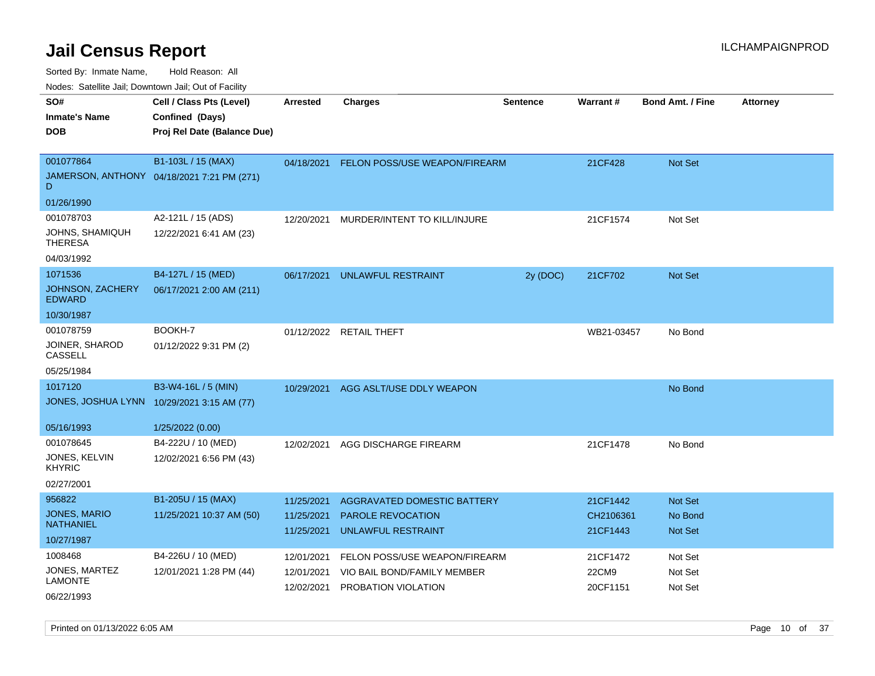Sorted By: Inmate Name, Hold Reason: All

Nodes: Satellite Jail; Downtown Jail; Out of Facility

| SO#                                      | Cell / Class Pts (Level)                   | Arrested                 | <b>Charges</b>                                 | Sentence | <b>Warrant#</b>       | <b>Bond Amt. / Fine</b> | <b>Attorney</b> |
|------------------------------------------|--------------------------------------------|--------------------------|------------------------------------------------|----------|-----------------------|-------------------------|-----------------|
| <b>Inmate's Name</b>                     | Confined (Days)                            |                          |                                                |          |                       |                         |                 |
| <b>DOB</b>                               | Proj Rel Date (Balance Due)                |                          |                                                |          |                       |                         |                 |
|                                          |                                            |                          |                                                |          |                       |                         |                 |
| 001077864                                | B1-103L / 15 (MAX)                         | 04/18/2021               | FELON POSS/USE WEAPON/FIREARM                  |          | 21CF428               | <b>Not Set</b>          |                 |
| D                                        | JAMERSON, ANTHONY 04/18/2021 7:21 PM (271) |                          |                                                |          |                       |                         |                 |
| 01/26/1990                               |                                            |                          |                                                |          |                       |                         |                 |
| 001078703                                | A2-121L / 15 (ADS)                         | 12/20/2021               | MURDER/INTENT TO KILL/INJURE                   |          | 21CF1574              | Not Set                 |                 |
| JOHNS, SHAMIQUH<br><b>THERESA</b>        | 12/22/2021 6:41 AM (23)                    |                          |                                                |          |                       |                         |                 |
| 04/03/1992                               |                                            |                          |                                                |          |                       |                         |                 |
| 1071536                                  | B4-127L / 15 (MED)                         | 06/17/2021               | UNLAWFUL RESTRAINT                             | 2y (DOC) | 21CF702               | <b>Not Set</b>          |                 |
| <b>JOHNSON, ZACHERY</b><br><b>EDWARD</b> | 06/17/2021 2:00 AM (211)                   |                          |                                                |          |                       |                         |                 |
| 10/30/1987                               |                                            |                          |                                                |          |                       |                         |                 |
| 001078759                                | BOOKH-7                                    |                          | 01/12/2022 RETAIL THEFT                        |          | WB21-03457            | No Bond                 |                 |
| JOINER, SHAROD<br>CASSELL                | 01/12/2022 9:31 PM (2)                     |                          |                                                |          |                       |                         |                 |
| 05/25/1984                               |                                            |                          |                                                |          |                       |                         |                 |
| 1017120                                  | B3-W4-16L / 5 (MIN)                        | 10/29/2021               | AGG ASLT/USE DDLY WEAPON                       |          |                       | No Bond                 |                 |
|                                          | JONES, JOSHUA LYNN 10/29/2021 3:15 AM (77) |                          |                                                |          |                       |                         |                 |
| 05/16/1993                               | 1/25/2022 (0.00)                           |                          |                                                |          |                       |                         |                 |
| 001078645                                | B4-222U / 10 (MED)                         | 12/02/2021               | AGG DISCHARGE FIREARM                          |          | 21CF1478              | No Bond                 |                 |
| JONES, KELVIN<br><b>KHYRIC</b>           | 12/02/2021 6:56 PM (43)                    |                          |                                                |          |                       |                         |                 |
| 02/27/2001                               |                                            |                          |                                                |          |                       |                         |                 |
| 956822                                   | B1-205U / 15 (MAX)                         | 11/25/2021               | <b>AGGRAVATED DOMESTIC BATTERY</b>             |          | 21CF1442              | <b>Not Set</b>          |                 |
| <b>JONES, MARIO</b><br><b>NATHANIEL</b>  | 11/25/2021 10:37 AM (50)                   | 11/25/2021<br>11/25/2021 | <b>PAROLE REVOCATION</b><br>UNLAWFUL RESTRAINT |          | CH2106361<br>21CF1443 | No Bond<br>Not Set      |                 |
| 10/27/1987                               |                                            |                          |                                                |          |                       |                         |                 |
| 1008468                                  | B4-226U / 10 (MED)                         | 12/01/2021               | FELON POSS/USE WEAPON/FIREARM                  |          | 21CF1472              | Not Set                 |                 |
| JONES, MARTEZ                            | 12/01/2021 1:28 PM (44)                    | 12/01/2021               | VIO BAIL BOND/FAMILY MEMBER                    |          | 22CM9                 | Not Set                 |                 |
| <b>LAMONTE</b>                           |                                            | 12/02/2021               | PROBATION VIOLATION                            |          | 20CF1151              | Not Set                 |                 |
| 06/22/1993                               |                                            |                          |                                                |          |                       |                         |                 |

Printed on 01/13/2022 6:05 AM **Page 10** of 37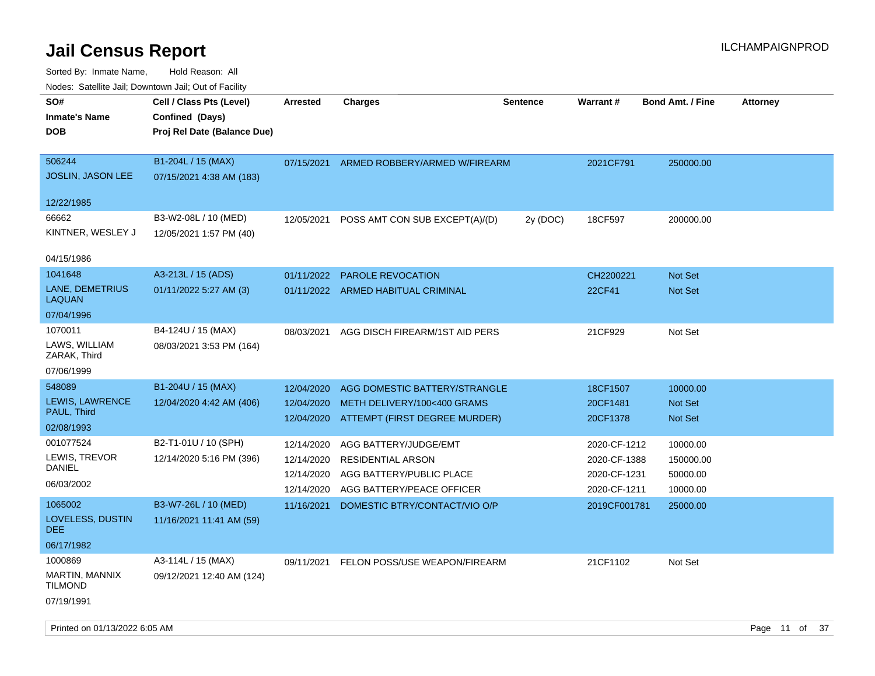| <u>Rodos.</u> Odiolino dali, Downtown dali, Odi of Fabilit       |                                                                            |                                                      |                                                                                                            |                 |                                                              |                                               |                 |
|------------------------------------------------------------------|----------------------------------------------------------------------------|------------------------------------------------------|------------------------------------------------------------------------------------------------------------|-----------------|--------------------------------------------------------------|-----------------------------------------------|-----------------|
| SO#<br><b>Inmate's Name</b><br><b>DOB</b>                        | Cell / Class Pts (Level)<br>Confined (Days)<br>Proj Rel Date (Balance Due) | <b>Arrested</b>                                      | <b>Charges</b>                                                                                             | <b>Sentence</b> | <b>Warrant#</b>                                              | <b>Bond Amt. / Fine</b>                       | <b>Attorney</b> |
| 506244<br>JOSLIN, JASON LEE                                      | B1-204L / 15 (MAX)<br>07/15/2021 4:38 AM (183)                             | 07/15/2021                                           | ARMED ROBBERY/ARMED W/FIREARM                                                                              |                 | 2021CF791                                                    | 250000.00                                     |                 |
| 12/22/1985<br>66662<br>KINTNER, WESLEY J                         | B3-W2-08L / 10 (MED)<br>12/05/2021 1:57 PM (40)                            | 12/05/2021                                           | POSS AMT CON SUB EXCEPT(A)/(D)                                                                             | 2y (DOC)        | 18CF597                                                      | 200000.00                                     |                 |
| 04/15/1986<br>1041648<br>LANE, DEMETRIUS<br>LAQUAN<br>07/04/1996 | A3-213L / 15 (ADS)<br>01/11/2022 5:27 AM (3)                               | 01/11/2022                                           | <b>PAROLE REVOCATION</b><br>01/11/2022 ARMED HABITUAL CRIMINAL                                             |                 | CH2200221<br>22CF41                                          | <b>Not Set</b><br>Not Set                     |                 |
| 1070011<br>LAWS, WILLIAM<br>ZARAK, Third<br>07/06/1999           | B4-124U / 15 (MAX)<br>08/03/2021 3:53 PM (164)                             | 08/03/2021                                           | AGG DISCH FIREARM/1ST AID PERS                                                                             |                 | 21CF929                                                      | Not Set                                       |                 |
| 548089<br>LEWIS, LAWRENCE<br>PAUL, Third<br>02/08/1993           | B1-204U / 15 (MAX)<br>12/04/2020 4:42 AM (406)                             | 12/04/2020<br>12/04/2020                             | AGG DOMESTIC BATTERY/STRANGLE<br>METH DELIVERY/100<400 GRAMS<br>12/04/2020 ATTEMPT (FIRST DEGREE MURDER)   |                 | 18CF1507<br>20CF1481<br>20CF1378                             | 10000.00<br>Not Set<br>Not Set                |                 |
| 001077524<br>LEWIS, TREVOR<br>DANIEL<br>06/03/2002               | B2-T1-01U / 10 (SPH)<br>12/14/2020 5:16 PM (396)                           | 12/14/2020<br>12/14/2020<br>12/14/2020<br>12/14/2020 | AGG BATTERY/JUDGE/EMT<br><b>RESIDENTIAL ARSON</b><br>AGG BATTERY/PUBLIC PLACE<br>AGG BATTERY/PEACE OFFICER |                 | 2020-CF-1212<br>2020-CF-1388<br>2020-CF-1231<br>2020-CF-1211 | 10000.00<br>150000.00<br>50000.00<br>10000.00 |                 |
| 1065002<br>LOVELESS, DUSTIN<br>DEE<br>06/17/1982                 | B3-W7-26L / 10 (MED)<br>11/16/2021 11:41 AM (59)                           | 11/16/2021                                           | DOMESTIC BTRY/CONTACT/VIO O/P                                                                              |                 | 2019CF001781                                                 | 25000.00                                      |                 |
| 1000869<br>MARTIN, MANNIX<br><b>TILMOND</b><br>07/19/1991        | A3-114L / 15 (MAX)<br>09/12/2021 12:40 AM (124)                            |                                                      | 09/11/2021 FELON POSS/USE WEAPON/FIREARM                                                                   |                 | 21CF1102                                                     | Not Set                                       |                 |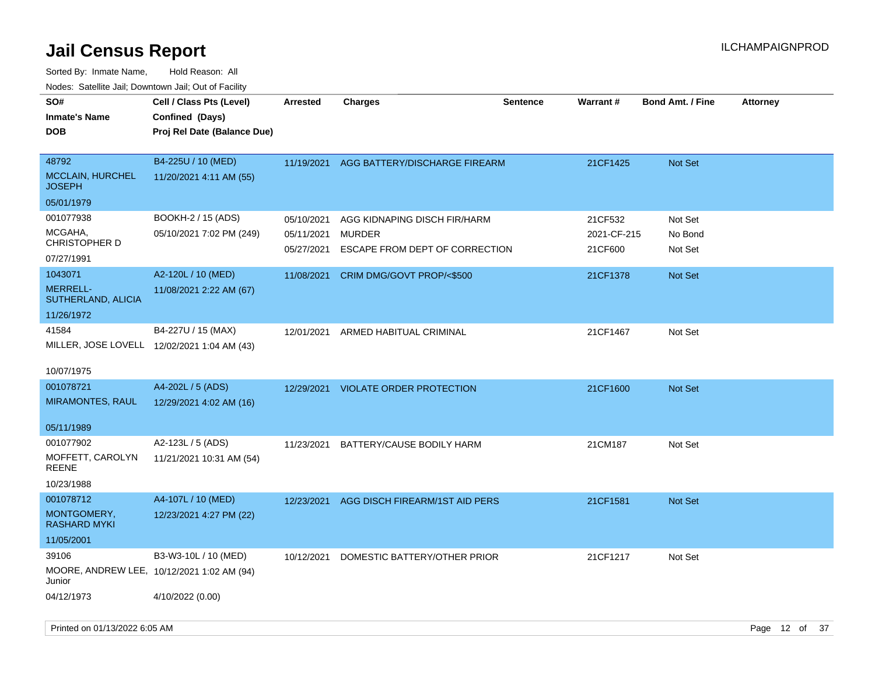| SO#<br>Cell / Class Pts (Level)<br><b>Charges</b><br>Warrant#<br><b>Sentence</b><br><b>Bond Amt. / Fine</b><br><b>Attorney</b><br><b>Arrested</b><br>Confined (Days)<br><b>Inmate's Name</b><br><b>DOB</b><br>Proj Rel Date (Balance Due)<br>B4-225U / 10 (MED)<br>48792<br>11/19/2021<br>AGG BATTERY/DISCHARGE FIREARM<br>21CF1425<br><b>Not Set</b><br><b>MCCLAIN, HURCHEL</b><br>11/20/2021 4:11 AM (55)<br><b>JOSEPH</b><br>05/01/1979<br>001077938<br>BOOKH-2 / 15 (ADS)<br>AGG KIDNAPING DISCH FIR/HARM<br>21CF532<br>Not Set<br>05/10/2021<br>MCGAHA,<br>05/10/2021 7:02 PM (249)<br>05/11/2021<br><b>MURDER</b><br>2021-CF-215<br>No Bond<br><b>CHRISTOPHER D</b><br>ESCAPE FROM DEPT OF CORRECTION<br>21CF600<br>05/27/2021<br>Not Set<br>07/27/1991<br>A2-120L / 10 (MED)<br>1043071<br>CRIM DMG/GOVT PROP/<\$500<br>11/08/2021<br>21CF1378<br>Not Set<br><b>MERRELL-</b><br>11/08/2021 2:22 AM (67)<br>SUTHERLAND, ALICIA<br>11/26/1972<br>B4-227U / 15 (MAX)<br>41584<br>12/01/2021 ARMED HABITUAL CRIMINAL<br>21CF1467<br>Not Set<br>MILLER, JOSE LOVELL 12/02/2021 1:04 AM (43)<br>10/07/1975<br>A4-202L / 5 (ADS)<br>001078721<br>12/29/2021 VIOLATE ORDER PROTECTION<br><b>Not Set</b><br>21CF1600<br>MIRAMONTES, RAUL<br>12/29/2021 4:02 AM (16)<br>05/11/1989<br>A2-123L / 5 (ADS)<br>001077902<br>11/23/2021<br>BATTERY/CAUSE BODILY HARM<br>21CM187<br>Not Set<br>MOFFETT, CAROLYN<br>11/21/2021 10:31 AM (54)<br><b>REENE</b><br>10/23/1988<br>A4-107L / 10 (MED)<br>001078712<br>AGG DISCH FIREARM/1ST AID PERS<br>12/23/2021<br>21CF1581<br><b>Not Set</b><br>MONTGOMERY,<br>12/23/2021 4:27 PM (22)<br><b>RASHARD MYKI</b><br>11/05/2001<br>39106<br>B3-W3-10L / 10 (MED)<br>DOMESTIC BATTERY/OTHER PRIOR<br>21CF1217<br>Not Set<br>10/12/2021<br>MOORE, ANDREW LEE, 10/12/2021 1:02 AM (94)<br>Junior<br>04/12/1973<br>4/10/2022 (0.00) | roaco. Odichile Jan, Downtown Jan, Out of Facility |  |  |  |  |
|------------------------------------------------------------------------------------------------------------------------------------------------------------------------------------------------------------------------------------------------------------------------------------------------------------------------------------------------------------------------------------------------------------------------------------------------------------------------------------------------------------------------------------------------------------------------------------------------------------------------------------------------------------------------------------------------------------------------------------------------------------------------------------------------------------------------------------------------------------------------------------------------------------------------------------------------------------------------------------------------------------------------------------------------------------------------------------------------------------------------------------------------------------------------------------------------------------------------------------------------------------------------------------------------------------------------------------------------------------------------------------------------------------------------------------------------------------------------------------------------------------------------------------------------------------------------------------------------------------------------------------------------------------------------------------------------------------------------------------------------------------------------------------------------------------------------------------------------------------------|----------------------------------------------------|--|--|--|--|
|                                                                                                                                                                                                                                                                                                                                                                                                                                                                                                                                                                                                                                                                                                                                                                                                                                                                                                                                                                                                                                                                                                                                                                                                                                                                                                                                                                                                                                                                                                                                                                                                                                                                                                                                                                                                                                                                  |                                                    |  |  |  |  |
|                                                                                                                                                                                                                                                                                                                                                                                                                                                                                                                                                                                                                                                                                                                                                                                                                                                                                                                                                                                                                                                                                                                                                                                                                                                                                                                                                                                                                                                                                                                                                                                                                                                                                                                                                                                                                                                                  |                                                    |  |  |  |  |
|                                                                                                                                                                                                                                                                                                                                                                                                                                                                                                                                                                                                                                                                                                                                                                                                                                                                                                                                                                                                                                                                                                                                                                                                                                                                                                                                                                                                                                                                                                                                                                                                                                                                                                                                                                                                                                                                  |                                                    |  |  |  |  |
|                                                                                                                                                                                                                                                                                                                                                                                                                                                                                                                                                                                                                                                                                                                                                                                                                                                                                                                                                                                                                                                                                                                                                                                                                                                                                                                                                                                                                                                                                                                                                                                                                                                                                                                                                                                                                                                                  |                                                    |  |  |  |  |
|                                                                                                                                                                                                                                                                                                                                                                                                                                                                                                                                                                                                                                                                                                                                                                                                                                                                                                                                                                                                                                                                                                                                                                                                                                                                                                                                                                                                                                                                                                                                                                                                                                                                                                                                                                                                                                                                  |                                                    |  |  |  |  |
|                                                                                                                                                                                                                                                                                                                                                                                                                                                                                                                                                                                                                                                                                                                                                                                                                                                                                                                                                                                                                                                                                                                                                                                                                                                                                                                                                                                                                                                                                                                                                                                                                                                                                                                                                                                                                                                                  |                                                    |  |  |  |  |
|                                                                                                                                                                                                                                                                                                                                                                                                                                                                                                                                                                                                                                                                                                                                                                                                                                                                                                                                                                                                                                                                                                                                                                                                                                                                                                                                                                                                                                                                                                                                                                                                                                                                                                                                                                                                                                                                  |                                                    |  |  |  |  |
|                                                                                                                                                                                                                                                                                                                                                                                                                                                                                                                                                                                                                                                                                                                                                                                                                                                                                                                                                                                                                                                                                                                                                                                                                                                                                                                                                                                                                                                                                                                                                                                                                                                                                                                                                                                                                                                                  |                                                    |  |  |  |  |
|                                                                                                                                                                                                                                                                                                                                                                                                                                                                                                                                                                                                                                                                                                                                                                                                                                                                                                                                                                                                                                                                                                                                                                                                                                                                                                                                                                                                                                                                                                                                                                                                                                                                                                                                                                                                                                                                  |                                                    |  |  |  |  |
|                                                                                                                                                                                                                                                                                                                                                                                                                                                                                                                                                                                                                                                                                                                                                                                                                                                                                                                                                                                                                                                                                                                                                                                                                                                                                                                                                                                                                                                                                                                                                                                                                                                                                                                                                                                                                                                                  |                                                    |  |  |  |  |
|                                                                                                                                                                                                                                                                                                                                                                                                                                                                                                                                                                                                                                                                                                                                                                                                                                                                                                                                                                                                                                                                                                                                                                                                                                                                                                                                                                                                                                                                                                                                                                                                                                                                                                                                                                                                                                                                  |                                                    |  |  |  |  |
|                                                                                                                                                                                                                                                                                                                                                                                                                                                                                                                                                                                                                                                                                                                                                                                                                                                                                                                                                                                                                                                                                                                                                                                                                                                                                                                                                                                                                                                                                                                                                                                                                                                                                                                                                                                                                                                                  |                                                    |  |  |  |  |
|                                                                                                                                                                                                                                                                                                                                                                                                                                                                                                                                                                                                                                                                                                                                                                                                                                                                                                                                                                                                                                                                                                                                                                                                                                                                                                                                                                                                                                                                                                                                                                                                                                                                                                                                                                                                                                                                  |                                                    |  |  |  |  |
|                                                                                                                                                                                                                                                                                                                                                                                                                                                                                                                                                                                                                                                                                                                                                                                                                                                                                                                                                                                                                                                                                                                                                                                                                                                                                                                                                                                                                                                                                                                                                                                                                                                                                                                                                                                                                                                                  |                                                    |  |  |  |  |
|                                                                                                                                                                                                                                                                                                                                                                                                                                                                                                                                                                                                                                                                                                                                                                                                                                                                                                                                                                                                                                                                                                                                                                                                                                                                                                                                                                                                                                                                                                                                                                                                                                                                                                                                                                                                                                                                  |                                                    |  |  |  |  |
|                                                                                                                                                                                                                                                                                                                                                                                                                                                                                                                                                                                                                                                                                                                                                                                                                                                                                                                                                                                                                                                                                                                                                                                                                                                                                                                                                                                                                                                                                                                                                                                                                                                                                                                                                                                                                                                                  |                                                    |  |  |  |  |
|                                                                                                                                                                                                                                                                                                                                                                                                                                                                                                                                                                                                                                                                                                                                                                                                                                                                                                                                                                                                                                                                                                                                                                                                                                                                                                                                                                                                                                                                                                                                                                                                                                                                                                                                                                                                                                                                  |                                                    |  |  |  |  |
|                                                                                                                                                                                                                                                                                                                                                                                                                                                                                                                                                                                                                                                                                                                                                                                                                                                                                                                                                                                                                                                                                                                                                                                                                                                                                                                                                                                                                                                                                                                                                                                                                                                                                                                                                                                                                                                                  |                                                    |  |  |  |  |
|                                                                                                                                                                                                                                                                                                                                                                                                                                                                                                                                                                                                                                                                                                                                                                                                                                                                                                                                                                                                                                                                                                                                                                                                                                                                                                                                                                                                                                                                                                                                                                                                                                                                                                                                                                                                                                                                  |                                                    |  |  |  |  |
|                                                                                                                                                                                                                                                                                                                                                                                                                                                                                                                                                                                                                                                                                                                                                                                                                                                                                                                                                                                                                                                                                                                                                                                                                                                                                                                                                                                                                                                                                                                                                                                                                                                                                                                                                                                                                                                                  |                                                    |  |  |  |  |
|                                                                                                                                                                                                                                                                                                                                                                                                                                                                                                                                                                                                                                                                                                                                                                                                                                                                                                                                                                                                                                                                                                                                                                                                                                                                                                                                                                                                                                                                                                                                                                                                                                                                                                                                                                                                                                                                  |                                                    |  |  |  |  |
|                                                                                                                                                                                                                                                                                                                                                                                                                                                                                                                                                                                                                                                                                                                                                                                                                                                                                                                                                                                                                                                                                                                                                                                                                                                                                                                                                                                                                                                                                                                                                                                                                                                                                                                                                                                                                                                                  |                                                    |  |  |  |  |
|                                                                                                                                                                                                                                                                                                                                                                                                                                                                                                                                                                                                                                                                                                                                                                                                                                                                                                                                                                                                                                                                                                                                                                                                                                                                                                                                                                                                                                                                                                                                                                                                                                                                                                                                                                                                                                                                  |                                                    |  |  |  |  |
|                                                                                                                                                                                                                                                                                                                                                                                                                                                                                                                                                                                                                                                                                                                                                                                                                                                                                                                                                                                                                                                                                                                                                                                                                                                                                                                                                                                                                                                                                                                                                                                                                                                                                                                                                                                                                                                                  |                                                    |  |  |  |  |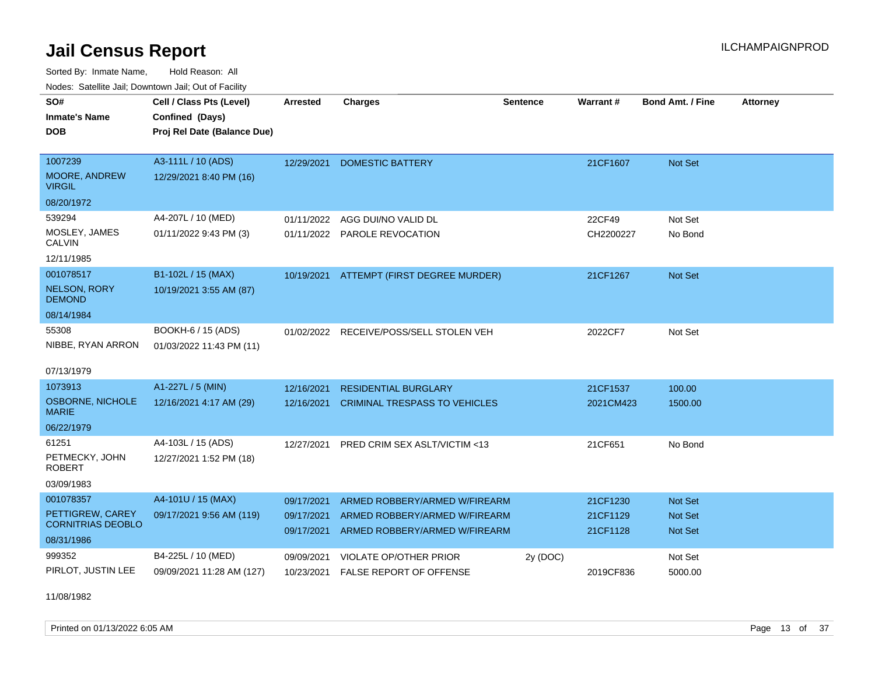Sorted By: Inmate Name, Hold Reason: All Nodes: Satellite Jail; Downtown Jail; Out of Facility

| Nuuts. Saltiille Jall, Downluwin Jall, Oul of Facility |                             |                 |                                         |                 |           |                         |                 |
|--------------------------------------------------------|-----------------------------|-----------------|-----------------------------------------|-----------------|-----------|-------------------------|-----------------|
| SO#                                                    | Cell / Class Pts (Level)    | <b>Arrested</b> | <b>Charges</b>                          | <b>Sentence</b> | Warrant#  | <b>Bond Amt. / Fine</b> | <b>Attorney</b> |
| <b>Inmate's Name</b>                                   | Confined (Days)             |                 |                                         |                 |           |                         |                 |
| <b>DOB</b>                                             | Proj Rel Date (Balance Due) |                 |                                         |                 |           |                         |                 |
|                                                        |                             |                 |                                         |                 |           |                         |                 |
| 1007239                                                | A3-111L / 10 (ADS)          | 12/29/2021      | <b>DOMESTIC BATTERY</b>                 |                 | 21CF1607  | Not Set                 |                 |
| <b>MOORE, ANDREW</b><br><b>VIRGIL</b>                  | 12/29/2021 8:40 PM (16)     |                 |                                         |                 |           |                         |                 |
| 08/20/1972                                             |                             |                 |                                         |                 |           |                         |                 |
| 539294                                                 | A4-207L / 10 (MED)          | 01/11/2022      | AGG DUI/NO VALID DL                     |                 | 22CF49    | Not Set                 |                 |
| MOSLEY, JAMES<br>CALVIN                                | 01/11/2022 9:43 PM (3)      |                 | 01/11/2022 PAROLE REVOCATION            |                 | CH2200227 | No Bond                 |                 |
| 12/11/1985                                             |                             |                 |                                         |                 |           |                         |                 |
| 001078517                                              | B1-102L / 15 (MAX)          | 10/19/2021      | ATTEMPT (FIRST DEGREE MURDER)           |                 | 21CF1267  | Not Set                 |                 |
| <b>NELSON, RORY</b><br><b>DEMOND</b>                   | 10/19/2021 3:55 AM (87)     |                 |                                         |                 |           |                         |                 |
| 08/14/1984                                             |                             |                 |                                         |                 |           |                         |                 |
| 55308                                                  | BOOKH-6 / 15 (ADS)          |                 | 01/02/2022 RECEIVE/POSS/SELL STOLEN VEH |                 | 2022CF7   | Not Set                 |                 |
| NIBBE, RYAN ARRON                                      | 01/03/2022 11:43 PM (11)    |                 |                                         |                 |           |                         |                 |
| 07/13/1979                                             |                             |                 |                                         |                 |           |                         |                 |
| 1073913                                                | A1-227L / 5 (MIN)           | 12/16/2021      | <b>RESIDENTIAL BURGLARY</b>             |                 | 21CF1537  | 100.00                  |                 |
| OSBORNE, NICHOLE<br><b>MARIE</b>                       | 12/16/2021 4:17 AM (29)     | 12/16/2021      | <b>CRIMINAL TRESPASS TO VEHICLES</b>    |                 | 2021CM423 | 1500.00                 |                 |
| 06/22/1979                                             |                             |                 |                                         |                 |           |                         |                 |
| 61251                                                  | A4-103L / 15 (ADS)          | 12/27/2021      | PRED CRIM SEX ASLT/VICTIM <13           |                 | 21CF651   | No Bond                 |                 |
| PETMECKY, JOHN<br><b>ROBERT</b>                        | 12/27/2021 1:52 PM (18)     |                 |                                         |                 |           |                         |                 |
| 03/09/1983                                             |                             |                 |                                         |                 |           |                         |                 |
| 001078357                                              | A4-101U / 15 (MAX)          | 09/17/2021      | ARMED ROBBERY/ARMED W/FIREARM           |                 | 21CF1230  | <b>Not Set</b>          |                 |
| PETTIGREW, CAREY                                       | 09/17/2021 9:56 AM (119)    | 09/17/2021      | ARMED ROBBERY/ARMED W/FIREARM           |                 | 21CF1129  | Not Set                 |                 |
| <b>CORNITRIAS DEOBLO</b>                               |                             | 09/17/2021      | ARMED ROBBERY/ARMED W/FIREARM           |                 | 21CF1128  | Not Set                 |                 |
| 08/31/1986                                             |                             |                 |                                         |                 |           |                         |                 |
| 999352                                                 | B4-225L / 10 (MED)          | 09/09/2021      | <b>VIOLATE OP/OTHER PRIOR</b>           | 2y (DOC)        |           | Not Set                 |                 |
| PIRLOT, JUSTIN LEE                                     | 09/09/2021 11:28 AM (127)   | 10/23/2021      | <b>FALSE REPORT OF OFFENSE</b>          |                 | 2019CF836 | 5000.00                 |                 |

11/08/1982

Printed on 01/13/2022 6:05 AM **Page 13** of 37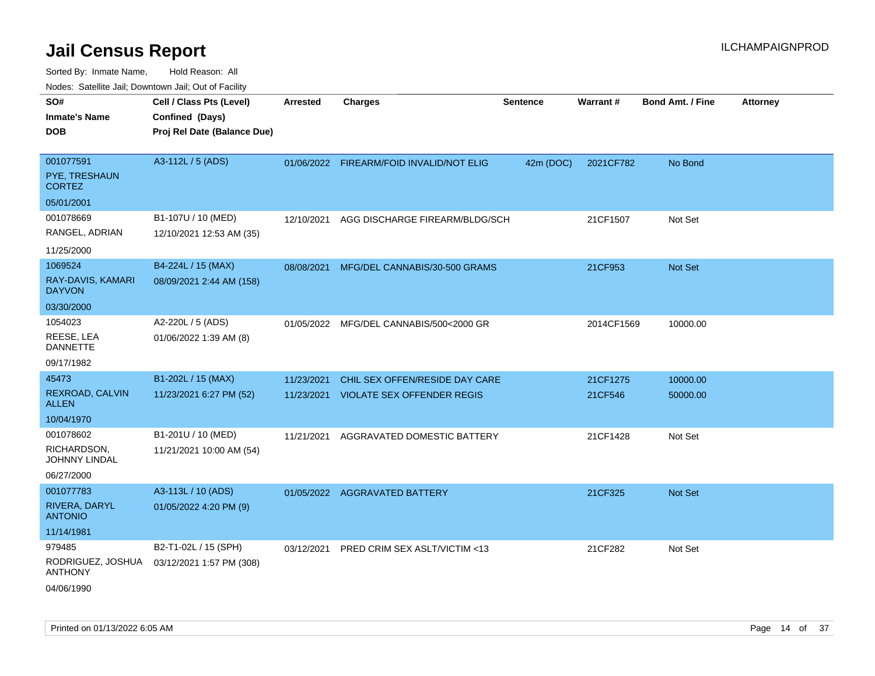| SO#                                 | Cell / Class Pts (Level)    | <b>Arrested</b> | <b>Charges</b>                          | <b>Sentence</b> | Warrant#   | <b>Bond Amt. / Fine</b> | <b>Attorney</b> |
|-------------------------------------|-----------------------------|-----------------|-----------------------------------------|-----------------|------------|-------------------------|-----------------|
| <b>Inmate's Name</b>                | Confined (Days)             |                 |                                         |                 |            |                         |                 |
| <b>DOB</b>                          | Proj Rel Date (Balance Due) |                 |                                         |                 |            |                         |                 |
|                                     |                             |                 |                                         |                 |            |                         |                 |
| 001077591                           | A3-112L / 5 (ADS)           | 01/06/2022      | FIREARM/FOID INVALID/NOT ELIG           | 42m (DOC)       | 2021CF782  | No Bond                 |                 |
| PYE, TRESHAUN<br><b>CORTEZ</b>      |                             |                 |                                         |                 |            |                         |                 |
| 05/01/2001                          |                             |                 |                                         |                 |            |                         |                 |
| 001078669                           | B1-107U / 10 (MED)          | 12/10/2021      | AGG DISCHARGE FIREARM/BLDG/SCH          |                 | 21CF1507   | Not Set                 |                 |
| RANGEL, ADRIAN                      | 12/10/2021 12:53 AM (35)    |                 |                                         |                 |            |                         |                 |
| 11/25/2000                          |                             |                 |                                         |                 |            |                         |                 |
| 1069524                             | B4-224L / 15 (MAX)          | 08/08/2021      | MFG/DEL CANNABIS/30-500 GRAMS           |                 | 21CF953    | Not Set                 |                 |
| RAY-DAVIS, KAMARI<br><b>DAYVON</b>  | 08/09/2021 2:44 AM (158)    |                 |                                         |                 |            |                         |                 |
| 03/30/2000                          |                             |                 |                                         |                 |            |                         |                 |
| 1054023                             | A2-220L / 5 (ADS)           |                 | 01/05/2022 MFG/DEL CANNABIS/500<2000 GR |                 | 2014CF1569 | 10000.00                |                 |
| REESE, LEA<br><b>DANNETTE</b>       | 01/06/2022 1:39 AM (8)      |                 |                                         |                 |            |                         |                 |
| 09/17/1982                          |                             |                 |                                         |                 |            |                         |                 |
| 45473                               | B1-202L / 15 (MAX)          | 11/23/2021      | CHIL SEX OFFEN/RESIDE DAY CARE          |                 | 21CF1275   | 10000.00                |                 |
| REXROAD, CALVIN<br><b>ALLEN</b>     | 11/23/2021 6:27 PM (52)     | 11/23/2021      | <b>VIOLATE SEX OFFENDER REGIS</b>       |                 | 21CF546    | 50000.00                |                 |
| 10/04/1970                          |                             |                 |                                         |                 |            |                         |                 |
| 001078602                           | B1-201U / 10 (MED)          | 11/21/2021      | AGGRAVATED DOMESTIC BATTERY             |                 | 21CF1428   | Not Set                 |                 |
| RICHARDSON,<br>JOHNNY LINDAL        | 11/21/2021 10:00 AM (54)    |                 |                                         |                 |            |                         |                 |
| 06/27/2000                          |                             |                 |                                         |                 |            |                         |                 |
| 001077783                           | A3-113L / 10 (ADS)          |                 | 01/05/2022 AGGRAVATED BATTERY           |                 | 21CF325    | Not Set                 |                 |
| RIVERA, DARYL<br><b>ANTONIO</b>     | 01/05/2022 4:20 PM (9)      |                 |                                         |                 |            |                         |                 |
| 11/14/1981                          |                             |                 |                                         |                 |            |                         |                 |
| 979485                              | B2-T1-02L / 15 (SPH)        | 03/12/2021      | PRED CRIM SEX ASLT/VICTIM <13           |                 | 21CF282    | Not Set                 |                 |
| RODRIGUEZ, JOSHUA<br><b>ANTHONY</b> | 03/12/2021 1:57 PM (308)    |                 |                                         |                 |            |                         |                 |
| 04/06/1990                          |                             |                 |                                         |                 |            |                         |                 |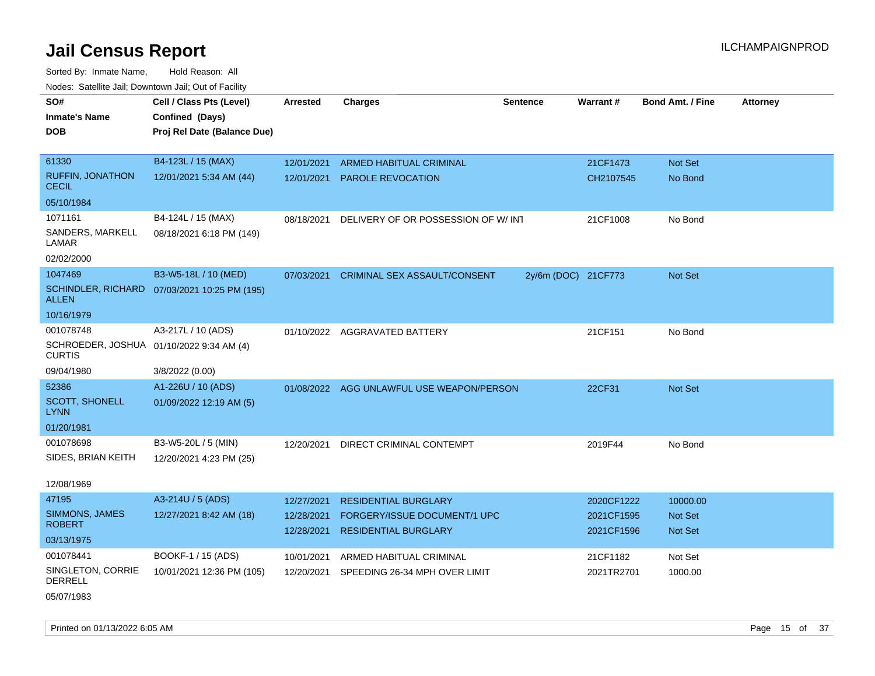Sorted By: Inmate Name, Hold Reason: All Nodes: Satellite Jail; Downtown Jail; Out of Facility

| SO#<br><b>Inmate's Name</b><br><b>DOB</b>                 | Cell / Class Pts (Level)<br>Confined (Days)<br>Proj Rel Date (Balance Due) | <b>Arrested</b> | <b>Charges</b>                      | <b>Sentence</b>     | <b>Warrant#</b> | <b>Bond Amt. / Fine</b> | <b>Attorney</b> |
|-----------------------------------------------------------|----------------------------------------------------------------------------|-----------------|-------------------------------------|---------------------|-----------------|-------------------------|-----------------|
|                                                           |                                                                            |                 |                                     |                     |                 |                         |                 |
| 61330                                                     | B4-123L / 15 (MAX)                                                         | 12/01/2021      | <b>ARMED HABITUAL CRIMINAL</b>      |                     | 21CF1473        | Not Set                 |                 |
| <b>RUFFIN, JONATHON</b><br><b>CECIL</b>                   | 12/01/2021 5:34 AM (44)                                                    | 12/01/2021      | PAROLE REVOCATION                   |                     | CH2107545       | No Bond                 |                 |
| 05/10/1984                                                |                                                                            |                 |                                     |                     |                 |                         |                 |
| 1071161                                                   | B4-124L / 15 (MAX)                                                         | 08/18/2021      | DELIVERY OF OR POSSESSION OF W/INT  |                     | 21CF1008        | No Bond                 |                 |
| SANDERS, MARKELL<br>LAMAR                                 | 08/18/2021 6:18 PM (149)                                                   |                 |                                     |                     |                 |                         |                 |
| 02/02/2000                                                |                                                                            |                 |                                     |                     |                 |                         |                 |
| 1047469                                                   | B3-W5-18L / 10 (MED)                                                       | 07/03/2021      | <b>CRIMINAL SEX ASSAULT/CONSENT</b> | 2y/6m (DOC) 21CF773 |                 | Not Set                 |                 |
| ALLEN                                                     | SCHINDLER, RICHARD 07/03/2021 10:25 PM (195)                               |                 |                                     |                     |                 |                         |                 |
| 10/16/1979                                                |                                                                            |                 |                                     |                     |                 |                         |                 |
| 001078748                                                 | A3-217L / 10 (ADS)                                                         |                 | 01/10/2022 AGGRAVATED BATTERY       |                     | 21CF151         | No Bond                 |                 |
| SCHROEDER, JOSHUA 01/10/2022 9:34 AM (4)<br><b>CURTIS</b> |                                                                            |                 |                                     |                     |                 |                         |                 |
| 09/04/1980                                                | 3/8/2022 (0.00)                                                            |                 |                                     |                     |                 |                         |                 |
| 52386                                                     | A1-226U / 10 (ADS)                                                         | 01/08/2022      | AGG UNLAWFUL USE WEAPON/PERSON      |                     | 22CF31          | Not Set                 |                 |
| <b>SCOTT, SHONELL</b><br><b>LYNN</b>                      | 01/09/2022 12:19 AM (5)                                                    |                 |                                     |                     |                 |                         |                 |
| 01/20/1981                                                |                                                                            |                 |                                     |                     |                 |                         |                 |
| 001078698                                                 | B3-W5-20L / 5 (MIN)                                                        | 12/20/2021      | DIRECT CRIMINAL CONTEMPT            |                     | 2019F44         | No Bond                 |                 |
| SIDES, BRIAN KEITH                                        | 12/20/2021 4:23 PM (25)                                                    |                 |                                     |                     |                 |                         |                 |
| 12/08/1969                                                |                                                                            |                 |                                     |                     |                 |                         |                 |
| 47195                                                     | A3-214U / 5 (ADS)                                                          | 12/27/2021      | <b>RESIDENTIAL BURGLARY</b>         |                     | 2020CF1222      | 10000.00                |                 |
| <b>SIMMONS, JAMES</b>                                     | 12/27/2021 8:42 AM (18)                                                    | 12/28/2021      | FORGERY/ISSUE DOCUMENT/1 UPC        |                     | 2021CF1595      | <b>Not Set</b>          |                 |
| <b>ROBERT</b>                                             |                                                                            | 12/28/2021      | RESIDENTIAL BURGLARY                |                     | 2021CF1596      | Not Set                 |                 |
| 03/13/1975                                                |                                                                            |                 |                                     |                     |                 |                         |                 |
| 001078441                                                 | BOOKF-1 / 15 (ADS)                                                         | 10/01/2021      | ARMED HABITUAL CRIMINAL             |                     | 21CF1182        | Not Set                 |                 |
| SINGLETON, CORRIE<br><b>DERRELL</b>                       | 10/01/2021 12:36 PM (105)                                                  | 12/20/2021      | SPEEDING 26-34 MPH OVER LIMIT       |                     | 2021TR2701      | 1000.00                 |                 |

05/07/1983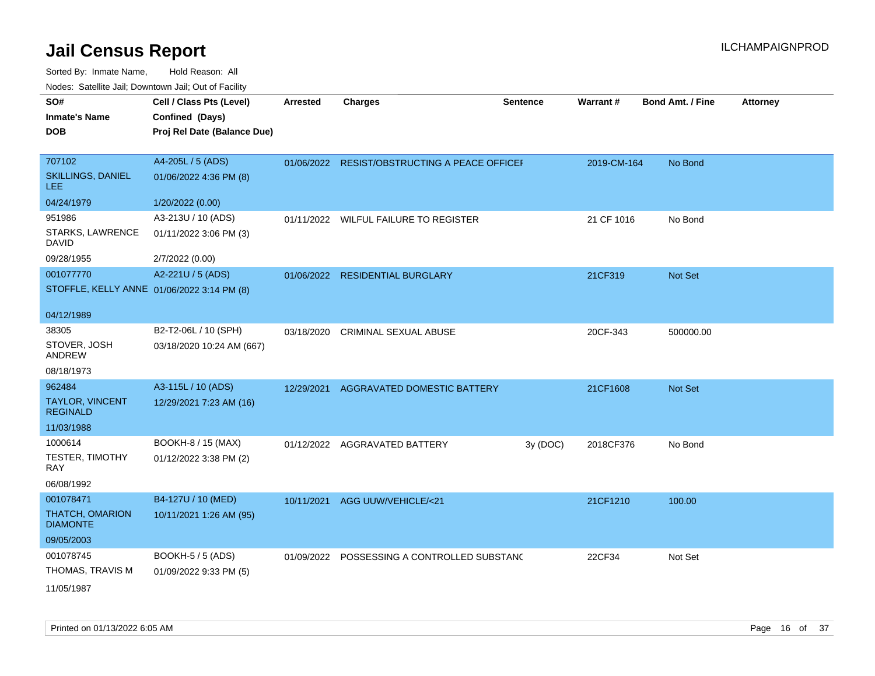| Todoo. Catomic can, Bowmonn can, Cat or Facility |                                            |                 |                                               |                 |             |                         |                 |
|--------------------------------------------------|--------------------------------------------|-----------------|-----------------------------------------------|-----------------|-------------|-------------------------|-----------------|
| SO#                                              | Cell / Class Pts (Level)                   | <b>Arrested</b> | <b>Charges</b>                                | <b>Sentence</b> | Warrant#    | <b>Bond Amt. / Fine</b> | <b>Attorney</b> |
| <b>Inmate's Name</b>                             | Confined (Days)                            |                 |                                               |                 |             |                         |                 |
| <b>DOB</b>                                       | Proj Rel Date (Balance Due)                |                 |                                               |                 |             |                         |                 |
|                                                  |                                            |                 |                                               |                 |             |                         |                 |
| 707102                                           | A4-205L / 5 (ADS)                          |                 | 01/06/2022 RESIST/OBSTRUCTING A PEACE OFFICEI |                 | 2019-CM-164 | No Bond                 |                 |
| SKILLINGS, DANIEL<br><b>LEE</b>                  | 01/06/2022 4:36 PM (8)                     |                 |                                               |                 |             |                         |                 |
| 04/24/1979                                       | 1/20/2022 (0.00)                           |                 |                                               |                 |             |                         |                 |
| 951986                                           | A3-213U / 10 (ADS)                         |                 | 01/11/2022 WILFUL FAILURE TO REGISTER         |                 | 21 CF 1016  | No Bond                 |                 |
| STARKS, LAWRENCE<br><b>DAVID</b>                 | 01/11/2022 3:06 PM (3)                     |                 |                                               |                 |             |                         |                 |
| 09/28/1955                                       | 2/7/2022 (0.00)                            |                 |                                               |                 |             |                         |                 |
| 001077770                                        | A2-221U / 5 (ADS)                          | 01/06/2022      | <b>RESIDENTIAL BURGLARY</b>                   |                 | 21CF319     | Not Set                 |                 |
|                                                  | STOFFLE, KELLY ANNE 01/06/2022 3:14 PM (8) |                 |                                               |                 |             |                         |                 |
|                                                  |                                            |                 |                                               |                 |             |                         |                 |
| 04/12/1989                                       |                                            |                 |                                               |                 |             |                         |                 |
| 38305                                            | B2-T2-06L / 10 (SPH)                       | 03/18/2020      | <b>CRIMINAL SEXUAL ABUSE</b>                  |                 | 20CF-343    | 500000.00               |                 |
| STOVER, JOSH<br>ANDREW                           | 03/18/2020 10:24 AM (667)                  |                 |                                               |                 |             |                         |                 |
| 08/18/1973                                       |                                            |                 |                                               |                 |             |                         |                 |
| 962484                                           | A3-115L / 10 (ADS)                         |                 | 12/29/2021 AGGRAVATED DOMESTIC BATTERY        |                 | 21CF1608    | Not Set                 |                 |
| TAYLOR, VINCENT<br><b>REGINALD</b>               | 12/29/2021 7:23 AM (16)                    |                 |                                               |                 |             |                         |                 |
| 11/03/1988                                       |                                            |                 |                                               |                 |             |                         |                 |
| 1000614                                          | BOOKH-8 / 15 (MAX)                         | 01/12/2022      | AGGRAVATED BATTERY                            | 3y (DOC)        | 2018CF376   | No Bond                 |                 |
| TESTER, TIMOTHY<br><b>RAY</b>                    | 01/12/2022 3:38 PM (2)                     |                 |                                               |                 |             |                         |                 |
| 06/08/1992                                       |                                            |                 |                                               |                 |             |                         |                 |
| 001078471                                        | B4-127U / 10 (MED)                         | 10/11/2021      | AGG UUW/VEHICLE/<21                           |                 | 21CF1210    | 100.00                  |                 |
| THATCH, OMARION<br><b>DIAMONTE</b>               | 10/11/2021 1:26 AM (95)                    |                 |                                               |                 |             |                         |                 |
| 09/05/2003                                       |                                            |                 |                                               |                 |             |                         |                 |
| 001078745                                        | BOOKH-5 / 5 (ADS)                          |                 | 01/09/2022 POSSESSING A CONTROLLED SUBSTANC   |                 | 22CF34      | Not Set                 |                 |
| THOMAS, TRAVIS M                                 | 01/09/2022 9:33 PM (5)                     |                 |                                               |                 |             |                         |                 |
|                                                  |                                            |                 |                                               |                 |             |                         |                 |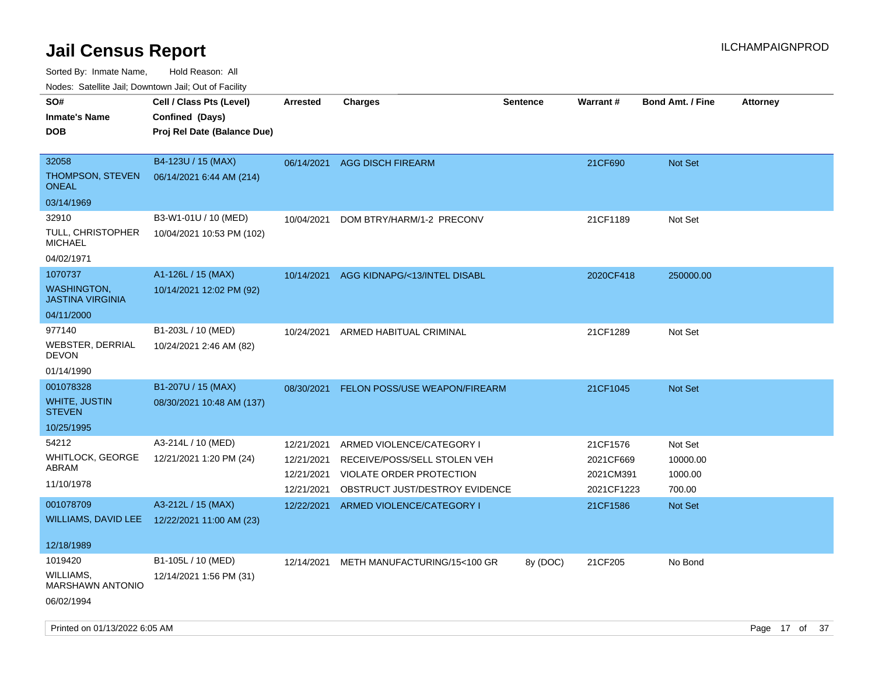Sorted By: Inmate Name, Hold Reason: All

Nodes: Satellite Jail; Downtown Jail; Out of Facility

| rougs. Calcing Jan, Downtown Jan, Out of Facility |                                              |                 |                                      |                 |            |                         |                 |
|---------------------------------------------------|----------------------------------------------|-----------------|--------------------------------------|-----------------|------------|-------------------------|-----------------|
| SO#                                               | Cell / Class Pts (Level)                     | <b>Arrested</b> | <b>Charges</b>                       | <b>Sentence</b> | Warrant#   | <b>Bond Amt. / Fine</b> | <b>Attorney</b> |
| <b>Inmate's Name</b>                              | Confined (Days)                              |                 |                                      |                 |            |                         |                 |
| <b>DOB</b>                                        | Proj Rel Date (Balance Due)                  |                 |                                      |                 |            |                         |                 |
|                                                   |                                              |                 |                                      |                 |            |                         |                 |
| 32058                                             | B4-123U / 15 (MAX)                           | 06/14/2021      | <b>AGG DISCH FIREARM</b>             |                 | 21CF690    | <b>Not Set</b>          |                 |
| <b>THOMPSON, STEVEN</b><br><b>ONEAL</b>           | 06/14/2021 6:44 AM (214)                     |                 |                                      |                 |            |                         |                 |
| 03/14/1969                                        |                                              |                 |                                      |                 |            |                         |                 |
| 32910                                             | B3-W1-01U / 10 (MED)                         | 10/04/2021      | DOM BTRY/HARM/1-2 PRECONV            |                 | 21CF1189   | Not Set                 |                 |
| <b>TULL, CHRISTOPHER</b><br><b>MICHAEL</b>        | 10/04/2021 10:53 PM (102)                    |                 |                                      |                 |            |                         |                 |
| 04/02/1971                                        |                                              |                 |                                      |                 |            |                         |                 |
| 1070737                                           | A1-126L / 15 (MAX)                           | 10/14/2021      | AGG KIDNAPG/<13/INTEL DISABL         |                 | 2020CF418  | 250000.00               |                 |
| <b>WASHINGTON,</b><br><b>JASTINA VIRGINIA</b>     | 10/14/2021 12:02 PM (92)                     |                 |                                      |                 |            |                         |                 |
| 04/11/2000                                        |                                              |                 |                                      |                 |            |                         |                 |
| 977140                                            | B1-203L / 10 (MED)                           | 10/24/2021      | ARMED HABITUAL CRIMINAL              |                 | 21CF1289   | Not Set                 |                 |
| <b>WEBSTER, DERRIAL</b><br><b>DEVON</b>           | 10/24/2021 2:46 AM (82)                      |                 |                                      |                 |            |                         |                 |
| 01/14/1990                                        |                                              |                 |                                      |                 |            |                         |                 |
| 001078328                                         | B1-207U / 15 (MAX)                           | 08/30/2021      | <b>FELON POSS/USE WEAPON/FIREARM</b> |                 | 21CF1045   | Not Set                 |                 |
| WHITE, JUSTIN<br><b>STEVEN</b>                    | 08/30/2021 10:48 AM (137)                    |                 |                                      |                 |            |                         |                 |
| 10/25/1995                                        |                                              |                 |                                      |                 |            |                         |                 |
| 54212                                             | A3-214L / 10 (MED)                           | 12/21/2021      | ARMED VIOLENCE/CATEGORY I            |                 | 21CF1576   | Not Set                 |                 |
| <b>WHITLOCK, GEORGE</b>                           | 12/21/2021 1:20 PM (24)                      | 12/21/2021      | RECEIVE/POSS/SELL STOLEN VEH         |                 | 2021CF669  | 10000.00                |                 |
| ABRAM                                             |                                              | 12/21/2021      | VIOLATE ORDER PROTECTION             |                 | 2021CM391  | 1000.00                 |                 |
| 11/10/1978                                        |                                              | 12/21/2021      | OBSTRUCT JUST/DESTROY EVIDENCE       |                 | 2021CF1223 | 700.00                  |                 |
| 001078709                                         | A3-212L / 15 (MAX)                           | 12/22/2021      | ARMED VIOLENCE/CATEGORY I            |                 | 21CF1586   | <b>Not Set</b>          |                 |
|                                                   | WILLIAMS, DAVID LEE 12/22/2021 11:00 AM (23) |                 |                                      |                 |            |                         |                 |
|                                                   |                                              |                 |                                      |                 |            |                         |                 |
| 12/18/1989                                        |                                              |                 |                                      |                 |            |                         |                 |
| 1019420                                           | B1-105L / 10 (MED)                           | 12/14/2021      | METH MANUFACTURING/15<100 GR         | 8y (DOC)        | 21CF205    | No Bond                 |                 |
| WILLIAMS,<br><b>MARSHAWN ANTONIO</b>              | 12/14/2021 1:56 PM (31)                      |                 |                                      |                 |            |                         |                 |
| 06/02/1994                                        |                                              |                 |                                      |                 |            |                         |                 |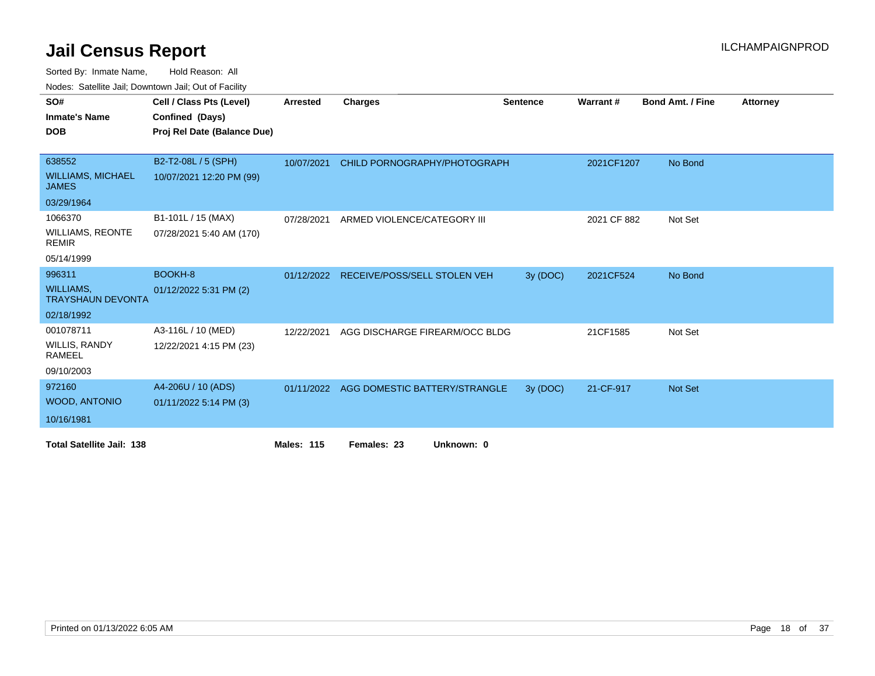| SO#                                          | Cell / Class Pts (Level)    | Arrested          | <b>Charges</b>                      | <b>Sentence</b> | Warrant#    | <b>Bond Amt. / Fine</b> | <b>Attorney</b> |
|----------------------------------------------|-----------------------------|-------------------|-------------------------------------|-----------------|-------------|-------------------------|-----------------|
| <b>Inmate's Name</b>                         | Confined (Days)             |                   |                                     |                 |             |                         |                 |
| <b>DOB</b>                                   | Proj Rel Date (Balance Due) |                   |                                     |                 |             |                         |                 |
|                                              |                             |                   |                                     |                 |             |                         |                 |
| 638552                                       | B2-T2-08L / 5 (SPH)         | 10/07/2021        | CHILD PORNOGRAPHY/PHOTOGRAPH        |                 | 2021CF1207  | No Bond                 |                 |
| <b>WILLIAMS, MICHAEL</b><br><b>JAMES</b>     | 10/07/2021 12:20 PM (99)    |                   |                                     |                 |             |                         |                 |
| 03/29/1964                                   |                             |                   |                                     |                 |             |                         |                 |
| 1066370                                      | B1-101L / 15 (MAX)          | 07/28/2021        | ARMED VIOLENCE/CATEGORY III         |                 | 2021 CF 882 | Not Set                 |                 |
| <b>WILLIAMS, REONTE</b><br><b>REMIR</b>      | 07/28/2021 5:40 AM (170)    |                   |                                     |                 |             |                         |                 |
| 05/14/1999                                   |                             |                   |                                     |                 |             |                         |                 |
| 996311                                       | <b>BOOKH-8</b>              | 01/12/2022        | <b>RECEIVE/POSS/SELL STOLEN VEH</b> | 3y (DOC)        | 2021CF524   | No Bond                 |                 |
| <b>WILLIAMS,</b><br><b>TRAYSHAUN DEVONTA</b> | 01/12/2022 5:31 PM (2)      |                   |                                     |                 |             |                         |                 |
| 02/18/1992                                   |                             |                   |                                     |                 |             |                         |                 |
| 001078711                                    | A3-116L / 10 (MED)          | 12/22/2021        | AGG DISCHARGE FIREARM/OCC BLDG      |                 | 21CF1585    | Not Set                 |                 |
| <b>WILLIS, RANDY</b><br>RAMEEL               | 12/22/2021 4:15 PM (23)     |                   |                                     |                 |             |                         |                 |
| 09/10/2003                                   |                             |                   |                                     |                 |             |                         |                 |
| 972160                                       | A4-206U / 10 (ADS)          | 01/11/2022        | AGG DOMESTIC BATTERY/STRANGLE       | 3y (DOC)        | 21-CF-917   | Not Set                 |                 |
| <b>WOOD, ANTONIO</b>                         | 01/11/2022 5:14 PM (3)      |                   |                                     |                 |             |                         |                 |
| 10/16/1981                                   |                             |                   |                                     |                 |             |                         |                 |
| <b>Total Satellite Jail: 138</b>             |                             | <b>Males: 115</b> | Females: 23<br>Unknown: 0           |                 |             |                         |                 |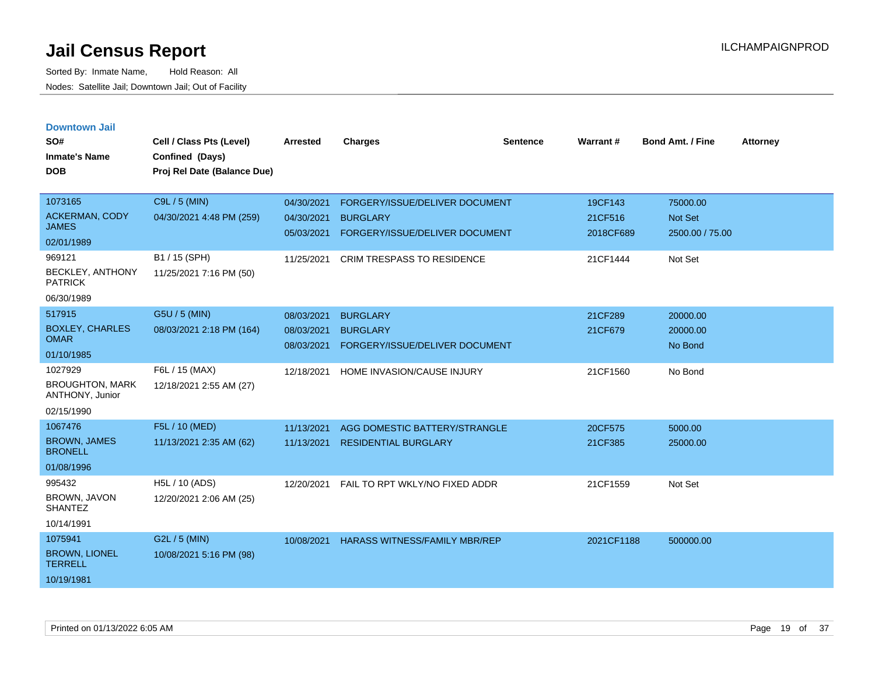| <b>Downtown Jail</b> |  |
|----------------------|--|
|                      |  |

| SO#<br><b>Inmate's Name</b><br><b>DOB</b>                                                                             | Cell / Class Pts (Level)<br>Confined (Days)<br>Proj Rel Date (Balance Due)            | <b>Arrested</b>                                      | <b>Charges</b>                                                                                                           | Sentence | Warrant #                                   | <b>Bond Amt. / Fine</b>                           | <b>Attorney</b> |
|-----------------------------------------------------------------------------------------------------------------------|---------------------------------------------------------------------------------------|------------------------------------------------------|--------------------------------------------------------------------------------------------------------------------------|----------|---------------------------------------------|---------------------------------------------------|-----------------|
| 1073165<br><b>ACKERMAN, CODY</b><br><b>JAMES</b><br>02/01/1989<br>969121<br><b>BECKLEY, ANTHONY</b><br><b>PATRICK</b> | C9L / 5 (MIN)<br>04/30/2021 4:48 PM (259)<br>B1 / 15 (SPH)<br>11/25/2021 7:16 PM (50) | 04/30/2021<br>04/30/2021<br>05/03/2021<br>11/25/2021 | FORGERY/ISSUE/DELIVER DOCUMENT<br><b>BURGLARY</b><br>FORGERY/ISSUE/DELIVER DOCUMENT<br><b>CRIM TRESPASS TO RESIDENCE</b> |          | 19CF143<br>21CF516<br>2018CF689<br>21CF1444 | 75000.00<br>Not Set<br>2500.00 / 75.00<br>Not Set |                 |
| 06/30/1989<br>517915<br><b>BOXLEY, CHARLES</b><br><b>OMAR</b>                                                         | G5U / 5 (MIN)<br>08/03/2021 2:18 PM (164)                                             | 08/03/2021<br>08/03/2021<br>08/03/2021               | <b>BURGLARY</b><br><b>BURGLARY</b><br>FORGERY/ISSUE/DELIVER DOCUMENT                                                     |          | 21CF289<br>21CF679                          | 20000.00<br>20000.00<br>No Bond                   |                 |
| 01/10/1985<br>1027929<br><b>BROUGHTON, MARK</b><br>ANTHONY, Junior                                                    | F6L / 15 (MAX)<br>12/18/2021 2:55 AM (27)                                             | 12/18/2021                                           | HOME INVASION/CAUSE INJURY                                                                                               |          | 21CF1560                                    | No Bond                                           |                 |
| 02/15/1990<br>1067476<br><b>BROWN, JAMES</b><br><b>BRONELL</b><br>01/08/1996                                          | F5L / 10 (MED)<br>11/13/2021 2:35 AM (62)                                             | 11/13/2021<br>11/13/2021                             | AGG DOMESTIC BATTERY/STRANGLE<br><b>RESIDENTIAL BURGLARY</b>                                                             |          | 20CF575<br>21CF385                          | 5000.00<br>25000.00                               |                 |
| 995432<br>BROWN, JAVON<br><b>SHANTEZ</b><br>10/14/1991                                                                | H5L / 10 (ADS)<br>12/20/2021 2:06 AM (25)                                             | 12/20/2021                                           | FAIL TO RPT WKLY/NO FIXED ADDR                                                                                           |          | 21CF1559                                    | Not Set                                           |                 |
| 1075941<br><b>BROWN, LIONEL</b><br><b>TERRELL</b><br>10/19/1981                                                       | G2L / 5 (MIN)<br>10/08/2021 5:16 PM (98)                                              | 10/08/2021                                           | HARASS WITNESS/FAMILY MBR/REP                                                                                            |          | 2021CF1188                                  | 500000.00                                         |                 |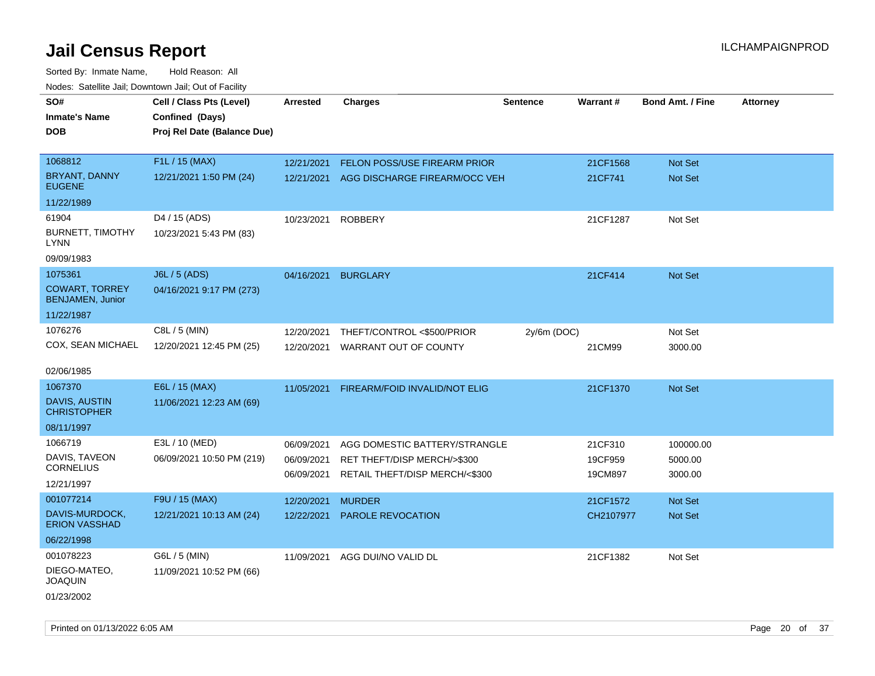Sorted By: Inmate Name, Hold Reason: All Nodes: Satellite Jail; Downtown Jail; Out of Facility

| SO#                                              | Cell / Class Pts (Level)    | <b>Arrested</b> | <b>Charges</b>                           | <b>Sentence</b> | Warrant#  | <b>Bond Amt. / Fine</b> | <b>Attorney</b> |
|--------------------------------------------------|-----------------------------|-----------------|------------------------------------------|-----------------|-----------|-------------------------|-----------------|
| <b>Inmate's Name</b>                             | Confined (Days)             |                 |                                          |                 |           |                         |                 |
| <b>DOB</b>                                       | Proj Rel Date (Balance Due) |                 |                                          |                 |           |                         |                 |
|                                                  |                             |                 |                                          |                 |           |                         |                 |
| 1068812                                          | F1L / 15 (MAX)              | 12/21/2021      | FELON POSS/USE FIREARM PRIOR             |                 | 21CF1568  | Not Set                 |                 |
| <b>BRYANT, DANNY</b><br><b>EUGENE</b>            | 12/21/2021 1:50 PM (24)     |                 | 12/21/2021 AGG DISCHARGE FIREARM/OCC VEH |                 | 21CF741   | Not Set                 |                 |
| 11/22/1989                                       |                             |                 |                                          |                 |           |                         |                 |
| 61904                                            | D4 / 15 (ADS)               | 10/23/2021      | <b>ROBBERY</b>                           |                 | 21CF1287  | Not Set                 |                 |
| <b>BURNETT, TIMOTHY</b><br><b>LYNN</b>           | 10/23/2021 5:43 PM (83)     |                 |                                          |                 |           |                         |                 |
| 09/09/1983                                       |                             |                 |                                          |                 |           |                         |                 |
| 1075361                                          | <b>J6L / 5 (ADS)</b>        | 04/16/2021      | <b>BURGLARY</b>                          |                 | 21CF414   | Not Set                 |                 |
| <b>COWART, TORREY</b><br><b>BENJAMEN, Junior</b> | 04/16/2021 9:17 PM (273)    |                 |                                          |                 |           |                         |                 |
| 11/22/1987                                       |                             |                 |                                          |                 |           |                         |                 |
| 1076276                                          | C8L / 5 (MIN)               | 12/20/2021      | THEFT/CONTROL <\$500/PRIOR               | 2y/6m (DOC)     |           | Not Set                 |                 |
| COX, SEAN MICHAEL                                | 12/20/2021 12:45 PM (25)    | 12/20/2021      | WARRANT OUT OF COUNTY                    |                 | 21CM99    | 3000.00                 |                 |
|                                                  |                             |                 |                                          |                 |           |                         |                 |
| 02/06/1985                                       |                             |                 |                                          |                 |           |                         |                 |
| 1067370                                          | E6L / 15 (MAX)              | 11/05/2021      | FIREARM/FOID INVALID/NOT ELIG            |                 | 21CF1370  | Not Set                 |                 |
| <b>DAVIS, AUSTIN</b><br><b>CHRISTOPHER</b>       | 11/06/2021 12:23 AM (69)    |                 |                                          |                 |           |                         |                 |
| 08/11/1997                                       |                             |                 |                                          |                 |           |                         |                 |
| 1066719                                          | E3L / 10 (MED)              | 06/09/2021      | AGG DOMESTIC BATTERY/STRANGLE            |                 | 21CF310   | 100000.00               |                 |
| DAVIS, TAVEON                                    | 06/09/2021 10:50 PM (219)   | 06/09/2021      | RET THEFT/DISP MERCH/>\$300              |                 | 19CF959   | 5000.00                 |                 |
| <b>CORNELIUS</b>                                 |                             | 06/09/2021      | RETAIL THEFT/DISP MERCH/<\$300           |                 | 19CM897   | 3000.00                 |                 |
| 12/21/1997                                       |                             |                 |                                          |                 |           |                         |                 |
| 001077214                                        | F9U / 15 (MAX)              | 12/20/2021      | <b>MURDER</b>                            |                 | 21CF1572  | Not Set                 |                 |
| DAVIS-MURDOCK,<br><b>ERION VASSHAD</b>           | 12/21/2021 10:13 AM (24)    | 12/22/2021      | PAROLE REVOCATION                        |                 | CH2107977 | Not Set                 |                 |
| 06/22/1998                                       |                             |                 |                                          |                 |           |                         |                 |
| 001078223                                        | G6L / 5 (MIN)               | 11/09/2021      | AGG DUI/NO VALID DL                      |                 | 21CF1382  | Not Set                 |                 |
| DIEGO-MATEO,<br><b>JOAQUIN</b>                   | 11/09/2021 10:52 PM (66)    |                 |                                          |                 |           |                         |                 |
| 01/23/2002                                       |                             |                 |                                          |                 |           |                         |                 |

Printed on 01/13/2022 6:05 AM Page 20 of 37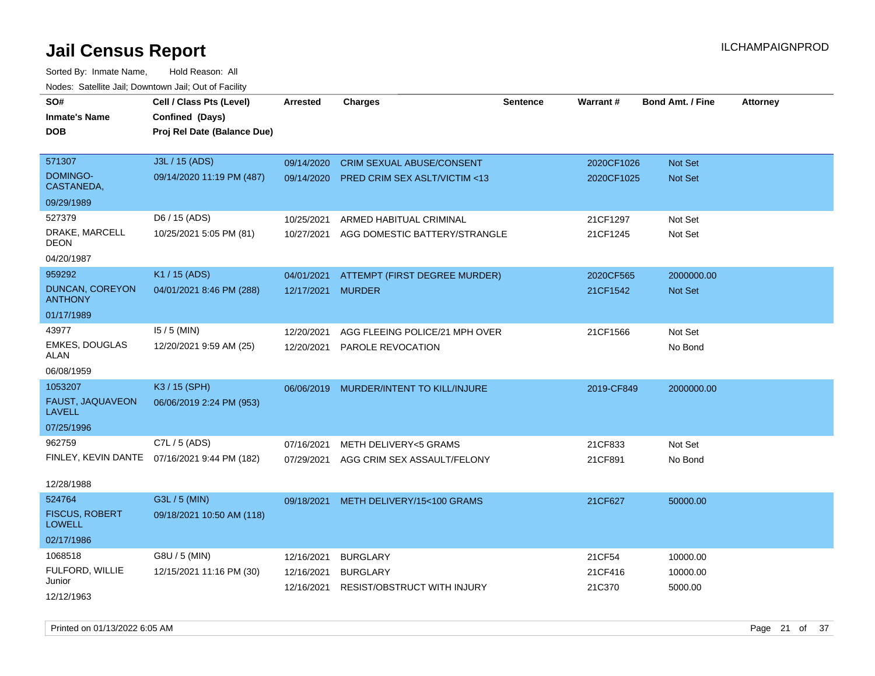Sorted By: Inmate Name, Hold Reason: All Nodes: Satellite Jail; Downtown Jail; Out of Facility

| SO#<br><b>Inmate's Name</b><br><b>DOB</b>                  | Cell / Class Pts (Level)<br>Confined (Days)<br>Proj Rel Date (Balance Due) | <b>Arrested</b>                        | <b>Charges</b>                                                              | <b>Sentence</b> | Warrant#                    | <b>Bond Amt. / Fine</b>         | <b>Attorney</b> |
|------------------------------------------------------------|----------------------------------------------------------------------------|----------------------------------------|-----------------------------------------------------------------------------|-----------------|-----------------------------|---------------------------------|-----------------|
| 571307<br>DOMINGO-<br>CASTANEDA,                           | J3L / 15 (ADS)<br>09/14/2020 11:19 PM (487)                                | 09/14/2020<br>09/14/2020               | <b>CRIM SEXUAL ABUSE/CONSENT</b><br><b>PRED CRIM SEX ASLT/VICTIM &lt;13</b> |                 | 2020CF1026<br>2020CF1025    | Not Set<br><b>Not Set</b>       |                 |
| 09/29/1989                                                 |                                                                            |                                        |                                                                             |                 |                             |                                 |                 |
| 527379<br>DRAKE, MARCELL<br>DEON<br>04/20/1987             | D6 / 15 (ADS)<br>10/25/2021 5:05 PM (81)                                   | 10/25/2021<br>10/27/2021               | ARMED HABITUAL CRIMINAL<br>AGG DOMESTIC BATTERY/STRANGLE                    |                 | 21CF1297<br>21CF1245        | Not Set<br>Not Set              |                 |
| 959292                                                     | K1 / 15 (ADS)                                                              | 04/01/2021                             | ATTEMPT (FIRST DEGREE MURDER)                                               |                 | 2020CF565                   | 2000000.00                      |                 |
| <b>DUNCAN, COREYON</b><br><b>ANTHONY</b>                   | 04/01/2021 8:46 PM (288)                                                   | 12/17/2021 MURDER                      |                                                                             |                 | 21CF1542                    | Not Set                         |                 |
| 01/17/1989                                                 |                                                                            |                                        |                                                                             |                 |                             |                                 |                 |
| 43977<br><b>EMKES, DOUGLAS</b><br>ALAN                     | $15/5$ (MIN)<br>12/20/2021 9:59 AM (25)                                    | 12/20/2021<br>12/20/2021               | AGG FLEEING POLICE/21 MPH OVER<br>PAROLE REVOCATION                         |                 | 21CF1566                    | Not Set<br>No Bond              |                 |
| 06/08/1959                                                 |                                                                            |                                        |                                                                             |                 |                             |                                 |                 |
| 1053207<br>FAUST, JAQUAVEON<br><b>LAVELL</b><br>07/25/1996 | K3 / 15 (SPH)<br>06/06/2019 2:24 PM (953)                                  | 06/06/2019                             | MURDER/INTENT TO KILL/INJURE                                                |                 | 2019-CF849                  | 2000000.00                      |                 |
| 962759                                                     | C7L / 5 (ADS)                                                              | 07/16/2021                             | <b>METH DELIVERY&lt;5 GRAMS</b>                                             |                 | 21CF833                     | Not Set                         |                 |
|                                                            | FINLEY, KEVIN DANTE 07/16/2021 9:44 PM (182)                               | 07/29/2021                             | AGG CRIM SEX ASSAULT/FELONY                                                 |                 | 21CF891                     | No Bond                         |                 |
| 12/28/1988                                                 |                                                                            |                                        |                                                                             |                 |                             |                                 |                 |
| 524764<br><b>FISCUS, ROBERT</b><br><b>LOWELL</b>           | G3L / 5 (MIN)<br>09/18/2021 10:50 AM (118)                                 | 09/18/2021                             | METH DELIVERY/15<100 GRAMS                                                  |                 | 21CF627                     | 50000.00                        |                 |
| 02/17/1986                                                 |                                                                            |                                        |                                                                             |                 |                             |                                 |                 |
| 1068518<br>FULFORD, WILLIE<br>Junior<br>12/12/1963         | G8U / 5 (MIN)<br>12/15/2021 11:16 PM (30)                                  | 12/16/2021<br>12/16/2021<br>12/16/2021 | <b>BURGLARY</b><br><b>BURGLARY</b><br><b>RESIST/OBSTRUCT WITH INJURY</b>    |                 | 21CF54<br>21CF416<br>21C370 | 10000.00<br>10000.00<br>5000.00 |                 |

Printed on 01/13/2022 6:05 AM Page 21 of 37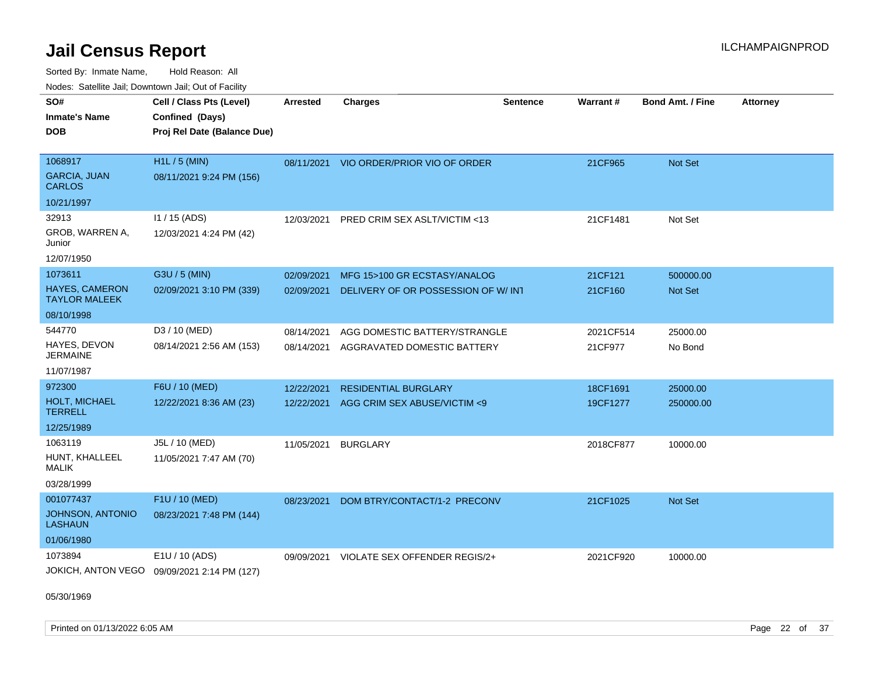Sorted By: Inmate Name, Hold Reason: All Nodes: Satellite Jail; Downtown Jail; Out of Facility

| Noucs. Calcinic Jail, Downtown Jail, Out of Facility |                                             |                 |                                         |                 |           |                         |                 |
|------------------------------------------------------|---------------------------------------------|-----------------|-----------------------------------------|-----------------|-----------|-------------------------|-----------------|
| SO#                                                  | Cell / Class Pts (Level)                    | <b>Arrested</b> | <b>Charges</b>                          | <b>Sentence</b> | Warrant#  | <b>Bond Amt. / Fine</b> | <b>Attorney</b> |
| <b>Inmate's Name</b>                                 | Confined (Days)                             |                 |                                         |                 |           |                         |                 |
| <b>DOB</b>                                           | Proj Rel Date (Balance Due)                 |                 |                                         |                 |           |                         |                 |
|                                                      |                                             |                 |                                         |                 |           |                         |                 |
| 1068917                                              | H1L / 5 (MIN)                               |                 | 08/11/2021 VIO ORDER/PRIOR VIO OF ORDER |                 | 21CF965   | Not Set                 |                 |
| <b>GARCIA, JUAN</b><br>CARLOS                        | 08/11/2021 9:24 PM (156)                    |                 |                                         |                 |           |                         |                 |
| 10/21/1997                                           |                                             |                 |                                         |                 |           |                         |                 |
| 32913                                                | I1 / 15 (ADS)                               | 12/03/2021      | PRED CRIM SEX ASLT/VICTIM <13           |                 | 21CF1481  | Not Set                 |                 |
| GROB, WARREN A,<br>Junior                            | 12/03/2021 4:24 PM (42)                     |                 |                                         |                 |           |                         |                 |
| 12/07/1950                                           |                                             |                 |                                         |                 |           |                         |                 |
| 1073611                                              | G3U / 5 (MIN)                               | 02/09/2021      | MFG 15>100 GR ECSTASY/ANALOG            |                 | 21CF121   | 500000.00               |                 |
| <b>HAYES, CAMERON</b><br><b>TAYLOR MALEEK</b>        | 02/09/2021 3:10 PM (339)                    | 02/09/2021      | DELIVERY OF OR POSSESSION OF W/INT      |                 | 21CF160   | <b>Not Set</b>          |                 |
| 08/10/1998                                           |                                             |                 |                                         |                 |           |                         |                 |
| 544770                                               | D3 / 10 (MED)                               | 08/14/2021      | AGG DOMESTIC BATTERY/STRANGLE           |                 | 2021CF514 | 25000.00                |                 |
| HAYES, DEVON<br><b>JERMAINE</b>                      | 08/14/2021 2:56 AM (153)                    | 08/14/2021      | AGGRAVATED DOMESTIC BATTERY             |                 | 21CF977   | No Bond                 |                 |
| 11/07/1987                                           |                                             |                 |                                         |                 |           |                         |                 |
| 972300                                               | F6U / 10 (MED)                              | 12/22/2021      | <b>RESIDENTIAL BURGLARY</b>             |                 | 18CF1691  | 25000.00                |                 |
| <b>HOLT, MICHAEL</b><br>TERRELL                      | 12/22/2021 8:36 AM (23)                     | 12/22/2021      | AGG CRIM SEX ABUSE/VICTIM <9            |                 | 19CF1277  | 250000.00               |                 |
| 12/25/1989                                           |                                             |                 |                                         |                 |           |                         |                 |
| 1063119                                              | J5L / 10 (MED)                              | 11/05/2021      | <b>BURGLARY</b>                         |                 | 2018CF877 | 10000.00                |                 |
| HUNT, KHALLEEL<br>MALIK                              | 11/05/2021 7:47 AM (70)                     |                 |                                         |                 |           |                         |                 |
| 03/28/1999                                           |                                             |                 |                                         |                 |           |                         |                 |
| 001077437                                            | F1U / 10 (MED)                              | 08/23/2021      | DOM BTRY/CONTACT/1-2 PRECONV            |                 | 21CF1025  | <b>Not Set</b>          |                 |
| <b>JOHNSON, ANTONIO</b><br>LASHAUN                   | 08/23/2021 7:48 PM (144)                    |                 |                                         |                 |           |                         |                 |
| 01/06/1980                                           |                                             |                 |                                         |                 |           |                         |                 |
| 1073894                                              | E1U / 10 (ADS)                              | 09/09/2021      | VIOLATE SEX OFFENDER REGIS/2+           |                 | 2021CF920 | 10000.00                |                 |
|                                                      | JOKICH, ANTON VEGO 09/09/2021 2:14 PM (127) |                 |                                         |                 |           |                         |                 |

05/30/1969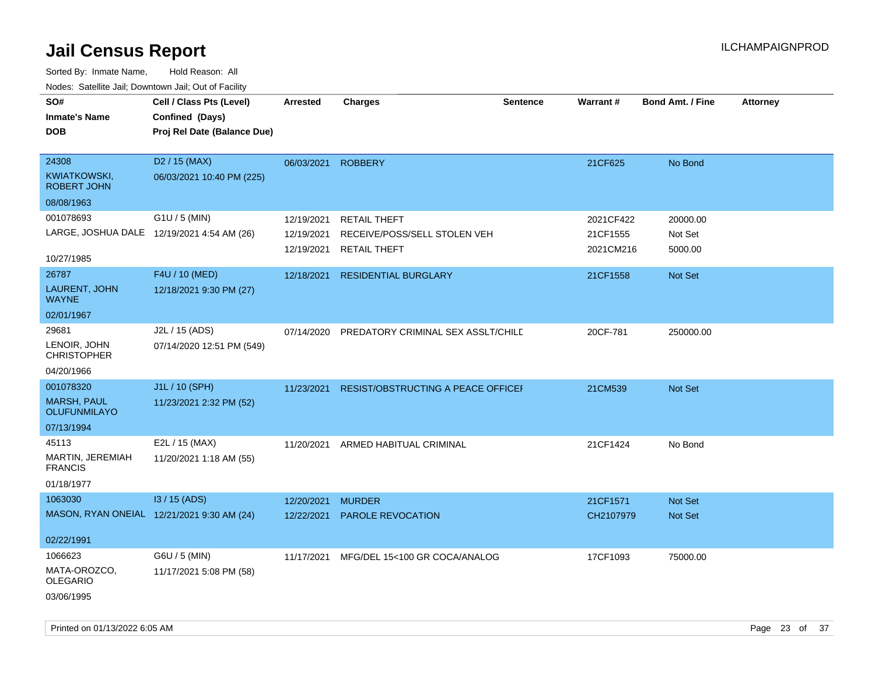| roaco. Catolino dall, Downtown dall, Out of Fability |                             |                 |                                           |                 |           |                         |                 |
|------------------------------------------------------|-----------------------------|-----------------|-------------------------------------------|-----------------|-----------|-------------------------|-----------------|
| SO#                                                  | Cell / Class Pts (Level)    | <b>Arrested</b> | <b>Charges</b>                            | <b>Sentence</b> | Warrant#  | <b>Bond Amt. / Fine</b> | <b>Attorney</b> |
| <b>Inmate's Name</b>                                 | Confined (Days)             |                 |                                           |                 |           |                         |                 |
| <b>DOB</b>                                           | Proj Rel Date (Balance Due) |                 |                                           |                 |           |                         |                 |
|                                                      |                             |                 |                                           |                 |           |                         |                 |
| 24308                                                | D <sub>2</sub> / 15 (MAX)   | 06/03/2021      | <b>ROBBERY</b>                            |                 | 21CF625   | No Bond                 |                 |
| <b>KWIATKOWSKI,</b><br><b>ROBERT JOHN</b>            | 06/03/2021 10:40 PM (225)   |                 |                                           |                 |           |                         |                 |
| 08/08/1963                                           |                             |                 |                                           |                 |           |                         |                 |
| 001078693                                            | G1U / 5 (MIN)               | 12/19/2021      | <b>RETAIL THEFT</b>                       |                 | 2021CF422 | 20000.00                |                 |
| LARGE, JOSHUA DALE 12/19/2021 4:54 AM (26)           |                             | 12/19/2021      | RECEIVE/POSS/SELL STOLEN VEH              |                 | 21CF1555  | Not Set                 |                 |
|                                                      |                             | 12/19/2021      | <b>RETAIL THEFT</b>                       |                 | 2021CM216 | 5000.00                 |                 |
| 10/27/1985                                           |                             |                 |                                           |                 |           |                         |                 |
| 26787                                                | F4U / 10 (MED)              | 12/18/2021      | <b>RESIDENTIAL BURGLARY</b>               |                 | 21CF1558  | Not Set                 |                 |
| LAURENT, JOHN<br><b>WAYNE</b>                        | 12/18/2021 9:30 PM (27)     |                 |                                           |                 |           |                         |                 |
| 02/01/1967                                           |                             |                 |                                           |                 |           |                         |                 |
| 29681                                                | J2L / 15 (ADS)              | 07/14/2020      | PREDATORY CRIMINAL SEX ASSLT/CHILD        |                 | 20CF-781  | 250000.00               |                 |
| LENOIR, JOHN<br><b>CHRISTOPHER</b>                   | 07/14/2020 12:51 PM (549)   |                 |                                           |                 |           |                         |                 |
| 04/20/1966                                           |                             |                 |                                           |                 |           |                         |                 |
| 001078320                                            | J1L / 10 (SPH)              | 11/23/2021      | <b>RESIST/OBSTRUCTING A PEACE OFFICEF</b> |                 | 21CM539   | Not Set                 |                 |
| <b>MARSH, PAUL</b><br>OLUFUNMILAYO                   | 11/23/2021 2:32 PM (52)     |                 |                                           |                 |           |                         |                 |
| 07/13/1994                                           |                             |                 |                                           |                 |           |                         |                 |
| 45113                                                | E2L / 15 (MAX)              | 11/20/2021      | ARMED HABITUAL CRIMINAL                   |                 | 21CF1424  | No Bond                 |                 |
| MARTIN, JEREMIAH<br><b>FRANCIS</b>                   | 11/20/2021 1:18 AM (55)     |                 |                                           |                 |           |                         |                 |
| 01/18/1977                                           |                             |                 |                                           |                 |           |                         |                 |
| 1063030                                              | $13/15$ (ADS)               | 12/20/2021      | <b>MURDER</b>                             |                 | 21CF1571  | Not Set                 |                 |
| MASON, RYAN ONEIAL 12/21/2021 9:30 AM (24)           |                             | 12/22/2021      | PAROLE REVOCATION                         |                 | CH2107979 | <b>Not Set</b>          |                 |
|                                                      |                             |                 |                                           |                 |           |                         |                 |
| 02/22/1991                                           |                             |                 |                                           |                 |           |                         |                 |
| 1066623                                              | G6U / 5 (MIN)               | 11/17/2021      | MFG/DEL 15<100 GR COCA/ANALOG             |                 | 17CF1093  | 75000.00                |                 |
| MATA-OROZCO,<br><b>OLEGARIO</b>                      | 11/17/2021 5:08 PM (58)     |                 |                                           |                 |           |                         |                 |
| 03/06/1995                                           |                             |                 |                                           |                 |           |                         |                 |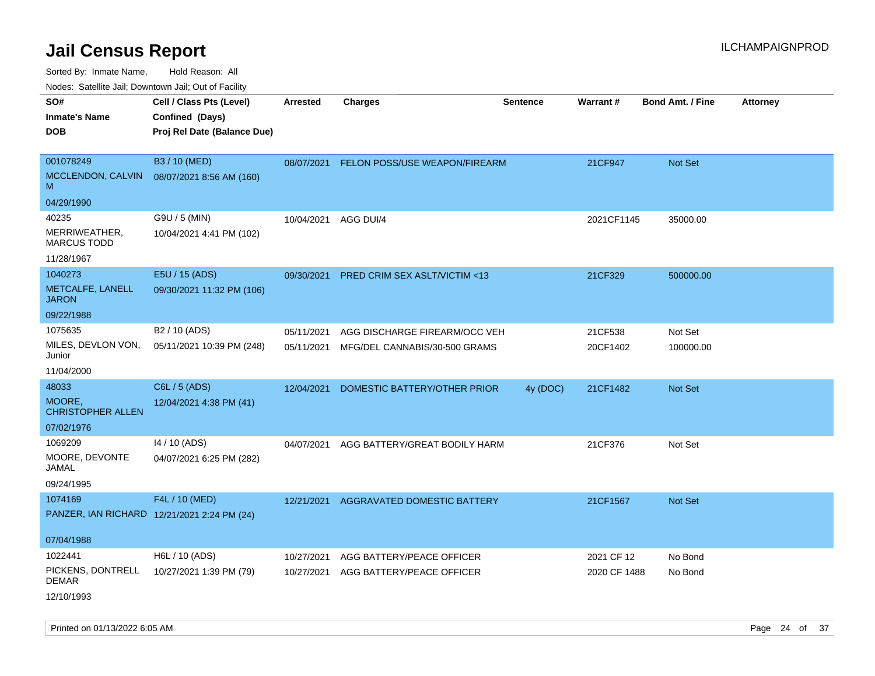Sorted By: Inmate Name, Hold Reason: All

Nodes: Satellite Jail; Downtown Jail; Out of Facility

| $1100000$ . Catomic ban, Bowmown ban, Oat of Fability      |                                                                            |                          |                                                                |                 |                     |                         |                 |
|------------------------------------------------------------|----------------------------------------------------------------------------|--------------------------|----------------------------------------------------------------|-----------------|---------------------|-------------------------|-----------------|
| SO#<br><b>Inmate's Name</b><br><b>DOB</b>                  | Cell / Class Pts (Level)<br>Confined (Days)<br>Proj Rel Date (Balance Due) | <b>Arrested</b>          | <b>Charges</b>                                                 | <b>Sentence</b> | Warrant#            | <b>Bond Amt. / Fine</b> | <b>Attorney</b> |
| 001078249<br>MCCLENDON, CALVIN<br>M                        | B3 / 10 (MED)<br>08/07/2021 8:56 AM (160)                                  | 08/07/2021               | FELON POSS/USE WEAPON/FIREARM                                  |                 | 21CF947             | Not Set                 |                 |
| 04/29/1990                                                 |                                                                            |                          |                                                                |                 |                     |                         |                 |
| 40235<br>MERRIWEATHER,<br><b>MARCUS TODD</b><br>11/28/1967 | G9U / 5 (MIN)<br>10/04/2021 4:41 PM (102)                                  | 10/04/2021               | AGG DUI/4                                                      |                 | 2021CF1145          | 35000.00                |                 |
| 1040273                                                    | E5U / 15 (ADS)                                                             |                          |                                                                |                 |                     |                         |                 |
| METCALFE, LANELL<br><b>JARON</b>                           | 09/30/2021 11:32 PM (106)                                                  | 09/30/2021               | <b>PRED CRIM SEX ASLT/VICTIM &lt;13</b>                        |                 | 21CF329             | 500000.00               |                 |
| 09/22/1988                                                 |                                                                            |                          |                                                                |                 |                     |                         |                 |
| 1075635<br>MILES, DEVLON VON,<br>Junior                    | B <sub>2</sub> / 10 (ADS)<br>05/11/2021 10:39 PM (248)                     | 05/11/2021<br>05/11/2021 | AGG DISCHARGE FIREARM/OCC VEH<br>MFG/DEL CANNABIS/30-500 GRAMS |                 | 21CF538<br>20CF1402 | Not Set<br>100000.00    |                 |
| 11/04/2000                                                 |                                                                            |                          |                                                                |                 |                     |                         |                 |
| 48033<br>MOORE,<br><b>CHRISTOPHER ALLEN</b>                | C6L / 5 (ADS)<br>12/04/2021 4:38 PM (41)                                   | 12/04/2021               | DOMESTIC BATTERY/OTHER PRIOR                                   | 4y (DOC)        | 21CF1482            | <b>Not Set</b>          |                 |
| 07/02/1976                                                 |                                                                            |                          |                                                                |                 |                     |                         |                 |
| 1069209<br>MOORE, DEVONTE<br>JAMAL<br>09/24/1995           | 14 / 10 (ADS)<br>04/07/2021 6:25 PM (282)                                  | 04/07/2021               | AGG BATTERY/GREAT BODILY HARM                                  |                 | 21CF376             | Not Set                 |                 |
| 1074169                                                    | F4L / 10 (MED)                                                             | 12/21/2021               | AGGRAVATED DOMESTIC BATTERY                                    |                 | 21CF1567            | Not Set                 |                 |
| PANZER, IAN RICHARD 12/21/2021 2:24 PM (24)<br>07/04/1988  |                                                                            |                          |                                                                |                 |                     |                         |                 |
| 1022441                                                    | H6L / 10 (ADS)                                                             | 10/27/2021               | AGG BATTERY/PEACE OFFICER                                      |                 | 2021 CF 12          | No Bond                 |                 |
| PICKENS, DONTRELL<br><b>DEMAR</b><br>12/10/1993            | 10/27/2021 1:39 PM (79)                                                    | 10/27/2021               | AGG BATTERY/PEACE OFFICER                                      |                 | 2020 CF 1488        | No Bond                 |                 |
|                                                            |                                                                            |                          |                                                                |                 |                     |                         |                 |

Printed on 01/13/2022 6:05 AM Page 24 of 37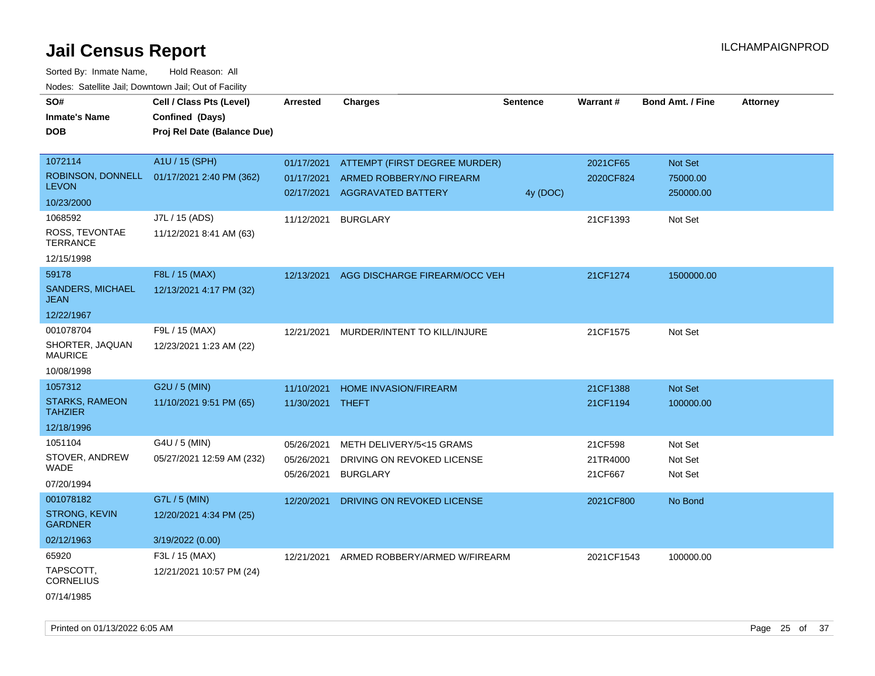| SO#                                     | Cell / Class Pts (Level)                       | <b>Arrested</b> | <b>Charges</b>                | <b>Sentence</b> | Warrant#   | <b>Bond Amt. / Fine</b> | <b>Attorney</b> |
|-----------------------------------------|------------------------------------------------|-----------------|-------------------------------|-----------------|------------|-------------------------|-----------------|
| <b>Inmate's Name</b>                    | Confined (Days)<br>Proj Rel Date (Balance Due) |                 |                               |                 |            |                         |                 |
| DOB                                     |                                                |                 |                               |                 |            |                         |                 |
| 1072114                                 | A1U / 15 (SPH)                                 | 01/17/2021      | ATTEMPT (FIRST DEGREE MURDER) |                 | 2021CF65   | Not Set                 |                 |
| ROBINSON, DONNELL                       | 01/17/2021 2:40 PM (362)                       | 01/17/2021      | ARMED ROBBERY/NO FIREARM      |                 | 2020CF824  | 75000.00                |                 |
| <b>LEVON</b>                            |                                                | 02/17/2021      | AGGRAVATED BATTERY            | 4y (DOC)        |            | 250000.00               |                 |
| 10/23/2000                              |                                                |                 |                               |                 |            |                         |                 |
| 1068592                                 | J7L / 15 (ADS)                                 | 11/12/2021      | <b>BURGLARY</b>               |                 | 21CF1393   | Not Set                 |                 |
| ROSS, TEVONTAE<br><b>TERRANCE</b>       | 11/12/2021 8:41 AM (63)                        |                 |                               |                 |            |                         |                 |
| 12/15/1998                              |                                                |                 |                               |                 |            |                         |                 |
| 59178                                   | F8L / 15 (MAX)                                 | 12/13/2021      | AGG DISCHARGE FIREARM/OCC VEH |                 | 21CF1274   | 1500000.00              |                 |
| SANDERS, MICHAEL<br><b>JEAN</b>         | 12/13/2021 4:17 PM (32)                        |                 |                               |                 |            |                         |                 |
| 12/22/1967                              |                                                |                 |                               |                 |            |                         |                 |
| 001078704                               | F9L / 15 (MAX)                                 | 12/21/2021      | MURDER/INTENT TO KILL/INJURE  |                 | 21CF1575   | Not Set                 |                 |
| SHORTER, JAQUAN<br><b>MAURICE</b>       | 12/23/2021 1:23 AM (22)                        |                 |                               |                 |            |                         |                 |
| 10/08/1998                              |                                                |                 |                               |                 |            |                         |                 |
| 1057312                                 | G2U / 5 (MIN)                                  | 11/10/2021      | <b>HOME INVASION/FIREARM</b>  |                 | 21CF1388   | Not Set                 |                 |
| <b>STARKS, RAMEON</b><br><b>TAHZIER</b> | 11/10/2021 9:51 PM (65)                        | 11/30/2021      | THEFT                         |                 | 21CF1194   | 100000.00               |                 |
| 12/18/1996                              |                                                |                 |                               |                 |            |                         |                 |
| 1051104                                 | G4U / 5 (MIN)                                  | 05/26/2021      | METH DELIVERY/5<15 GRAMS      |                 | 21CF598    | Not Set                 |                 |
| STOVER, ANDREW                          | 05/27/2021 12:59 AM (232)                      | 05/26/2021      | DRIVING ON REVOKED LICENSE    |                 | 21TR4000   | Not Set                 |                 |
| WADE                                    |                                                | 05/26/2021      | <b>BURGLARY</b>               |                 | 21CF667    | Not Set                 |                 |
| 07/20/1994                              |                                                |                 |                               |                 |            |                         |                 |
| 001078182                               | G7L / 5 (MIN)                                  | 12/20/2021      | DRIVING ON REVOKED LICENSE    |                 | 2021CF800  | No Bond                 |                 |
| <b>STRONG, KEVIN</b><br><b>GARDNER</b>  | 12/20/2021 4:34 PM (25)                        |                 |                               |                 |            |                         |                 |
| 02/12/1963                              | 3/19/2022 (0.00)                               |                 |                               |                 |            |                         |                 |
| 65920                                   | F3L / 15 (MAX)                                 | 12/21/2021      | ARMED ROBBERY/ARMED W/FIREARM |                 | 2021CF1543 | 100000.00               |                 |
| TAPSCOTT,<br><b>CORNELIUS</b>           | 12/21/2021 10:57 PM (24)                       |                 |                               |                 |            |                         |                 |
| 07/14/1985                              |                                                |                 |                               |                 |            |                         |                 |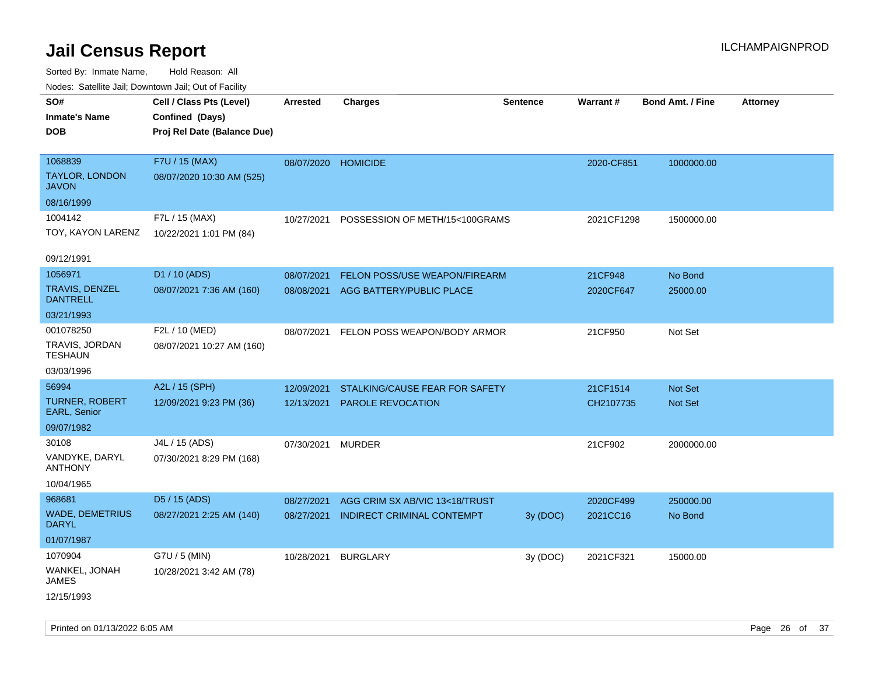| SO#<br>Inmate's Name<br><b>DOB</b>               | Cell / Class Pts (Level)<br>Confined (Days)<br>Proj Rel Date (Balance Due) | <b>Arrested</b> | <b>Charges</b>                 | <b>Sentence</b> | Warrant#   | <b>Bond Amt. / Fine</b> | Attorney |
|--------------------------------------------------|----------------------------------------------------------------------------|-----------------|--------------------------------|-----------------|------------|-------------------------|----------|
| 1068839<br><b>TAYLOR, LONDON</b><br><b>JAVON</b> | F7U / 15 (MAX)<br>08/07/2020 10:30 AM (525)                                | 08/07/2020      | <b>HOMICIDE</b>                |                 | 2020-CF851 | 1000000.00              |          |
| 08/16/1999                                       |                                                                            |                 |                                |                 |            |                         |          |
| 1004142<br>TOY, KAYON LARENZ                     | F7L / 15 (MAX)<br>10/22/2021 1:01 PM (84)                                  | 10/27/2021      | POSSESSION OF METH/15<100GRAMS |                 | 2021CF1298 | 1500000.00              |          |
| 09/12/1991                                       |                                                                            |                 |                                |                 |            |                         |          |
| 1056971                                          | D1 / 10 (ADS)                                                              | 08/07/2021      | FELON POSS/USE WEAPON/FIREARM  |                 | 21CF948    | No Bond                 |          |
| <b>TRAVIS, DENZEL</b><br><b>DANTRELL</b>         | 08/07/2021 7:36 AM (160)                                                   | 08/08/2021      | AGG BATTERY/PUBLIC PLACE       |                 | 2020CF647  | 25000.00                |          |
| 03/21/1993                                       |                                                                            |                 |                                |                 |            |                         |          |
| 001078250<br>TRAVIS, JORDAN<br><b>TESHAUN</b>    | F2L / 10 (MED)<br>08/07/2021 10:27 AM (160)                                | 08/07/2021      | FELON POSS WEAPON/BODY ARMOR   |                 | 21CF950    | Not Set                 |          |
| 03/03/1996                                       |                                                                            |                 |                                |                 |            |                         |          |
| 56994                                            | A2L / 15 (SPH)                                                             | 12/09/2021      | STALKING/CAUSE FEAR FOR SAFETY |                 | 21CF1514   | <b>Not Set</b>          |          |
| <b>TURNER, ROBERT</b><br>EARL, Senior            | 12/09/2021 9:23 PM (36)                                                    | 12/13/2021      | PAROLE REVOCATION              |                 | CH2107735  | Not Set                 |          |
| 09/07/1982                                       |                                                                            |                 |                                |                 |            |                         |          |
| 30108                                            | J4L / 15 (ADS)                                                             | 07/30/2021      | <b>MURDER</b>                  |                 | 21CF902    | 2000000.00              |          |
| VANDYKE, DARYL<br><b>ANTHONY</b>                 | 07/30/2021 8:29 PM (168)                                                   |                 |                                |                 |            |                         |          |
| 10/04/1965                                       |                                                                            |                 |                                |                 |            |                         |          |
| 968681                                           | D5 / 15 (ADS)                                                              | 08/27/2021      | AGG CRIM SX AB/VIC 13<18/TRUST |                 | 2020CF499  | 250000.00               |          |
| <b>WADE, DEMETRIUS</b><br>DARYL                  | 08/27/2021 2:25 AM (140)                                                   | 08/27/2021      | INDIRECT CRIMINAL CONTEMPT     | 3y(DOC)         | 2021CC16   | No Bond                 |          |
| 01/07/1987                                       |                                                                            |                 |                                |                 |            |                         |          |
| 1070904                                          | G7U / 5 (MIN)                                                              | 10/28/2021      | <b>BURGLARY</b>                | 3y (DOC)        | 2021CF321  | 15000.00                |          |
| WANKEL, JONAH<br><b>JAMES</b>                    | 10/28/2021 3:42 AM (78)                                                    |                 |                                |                 |            |                         |          |
| 12/15/1993                                       |                                                                            |                 |                                |                 |            |                         |          |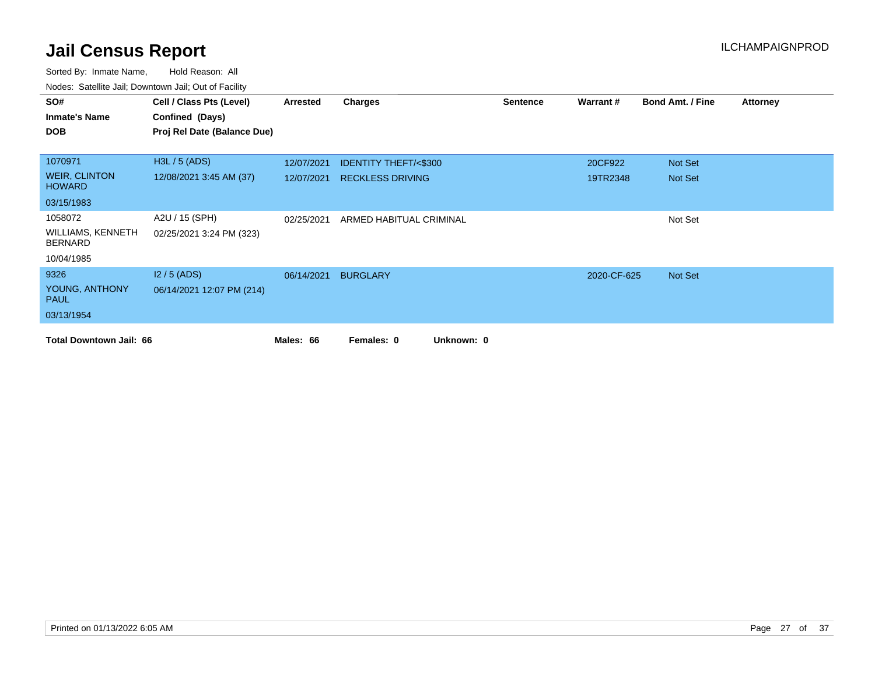| SO#                                        | Cell / Class Pts (Level)    | Arrested   | Charges                         | <b>Sentence</b> | Warrant#    | <b>Bond Amt. / Fine</b> | <b>Attorney</b> |
|--------------------------------------------|-----------------------------|------------|---------------------------------|-----------------|-------------|-------------------------|-----------------|
| <b>Inmate's Name</b>                       | Confined (Days)             |            |                                 |                 |             |                         |                 |
| <b>DOB</b>                                 | Proj Rel Date (Balance Due) |            |                                 |                 |             |                         |                 |
|                                            |                             |            |                                 |                 |             |                         |                 |
| 1070971                                    | H3L / 5 (ADS)               | 12/07/2021 | <b>IDENTITY THEFT/&lt;\$300</b> |                 | 20CF922     | Not Set                 |                 |
| <b>WEIR, CLINTON</b><br><b>HOWARD</b>      | 12/08/2021 3:45 AM (37)     | 12/07/2021 | <b>RECKLESS DRIVING</b>         |                 | 19TR2348    | Not Set                 |                 |
| 03/15/1983                                 |                             |            |                                 |                 |             |                         |                 |
| 1058072                                    | A2U / 15 (SPH)              | 02/25/2021 | ARMED HABITUAL CRIMINAL         |                 |             | Not Set                 |                 |
| <b>WILLIAMS, KENNETH</b><br><b>BERNARD</b> | 02/25/2021 3:24 PM (323)    |            |                                 |                 |             |                         |                 |
| 10/04/1985                                 |                             |            |                                 |                 |             |                         |                 |
| 9326                                       | $12/5$ (ADS)                | 06/14/2021 | <b>BURGLARY</b>                 |                 | 2020-CF-625 | Not Set                 |                 |
| YOUNG, ANTHONY<br><b>PAUL</b>              | 06/14/2021 12:07 PM (214)   |            |                                 |                 |             |                         |                 |
| 03/13/1954                                 |                             |            |                                 |                 |             |                         |                 |
| <b>Total Downtown Jail: 66</b>             |                             | Males: 66  | Unknown: 0<br>Females: 0        |                 |             |                         |                 |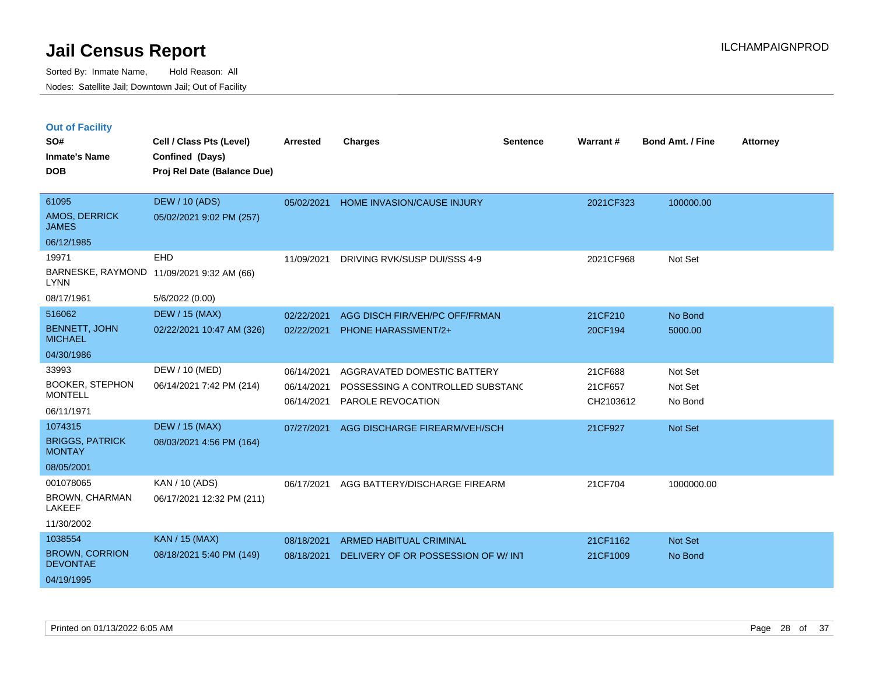|  | <b>Out of Facility</b> |  |
|--|------------------------|--|

| SO#<br><b>Inmate's Name</b><br><b>DOB</b> | Cell / Class Pts (Level)<br>Confined (Days)<br>Proj Rel Date (Balance Due) | <b>Arrested</b> | <b>Charges</b>                      | <b>Sentence</b> | Warrant#  | <b>Bond Amt. / Fine</b> | <b>Attorney</b> |
|-------------------------------------------|----------------------------------------------------------------------------|-----------------|-------------------------------------|-----------------|-----------|-------------------------|-----------------|
| 61095<br>AMOS, DERRICK                    | <b>DEW / 10 (ADS)</b><br>05/02/2021 9:02 PM (257)                          | 05/02/2021      | <b>HOME INVASION/CAUSE INJURY</b>   |                 | 2021CF323 | 100000.00               |                 |
| <b>JAMES</b><br>06/12/1985                |                                                                            |                 |                                     |                 |           |                         |                 |
| 19971                                     | EHD                                                                        | 11/09/2021      | DRIVING RVK/SUSP DUI/SSS 4-9        |                 | 2021CF968 | Not Set                 |                 |
| <b>LYNN</b>                               | BARNESKE, RAYMOND 11/09/2021 9:32 AM (66)                                  |                 |                                     |                 |           |                         |                 |
| 08/17/1961                                | 5/6/2022 (0.00)                                                            |                 |                                     |                 |           |                         |                 |
| 516062                                    | <b>DEW / 15 (MAX)</b>                                                      | 02/22/2021      | AGG DISCH FIR/VEH/PC OFF/FRMAN      |                 | 21CF210   | No Bond                 |                 |
| <b>BENNETT, JOHN</b><br><b>MICHAEL</b>    | 02/22/2021 10:47 AM (326)                                                  | 02/22/2021      | PHONE HARASSMENT/2+                 |                 | 20CF194   | 5000.00                 |                 |
| 04/30/1986                                |                                                                            |                 |                                     |                 |           |                         |                 |
| 33993                                     | DEW / 10 (MED)                                                             | 06/14/2021      | AGGRAVATED DOMESTIC BATTERY         |                 | 21CF688   | Not Set                 |                 |
| <b>BOOKER, STEPHON</b>                    | 06/14/2021 7:42 PM (214)                                                   | 06/14/2021      | POSSESSING A CONTROLLED SUBSTAND    |                 | 21CF657   | Not Set                 |                 |
| <b>MONTELL</b><br>06/11/1971              |                                                                            | 06/14/2021      | PAROLE REVOCATION                   |                 | CH2103612 | No Bond                 |                 |
| 1074315                                   | <b>DEW / 15 (MAX)</b>                                                      | 07/27/2021      | AGG DISCHARGE FIREARM/VEH/SCH       |                 | 21CF927   | <b>Not Set</b>          |                 |
| <b>BRIGGS, PATRICK</b><br><b>MONTAY</b>   | 08/03/2021 4:56 PM (164)                                                   |                 |                                     |                 |           |                         |                 |
| 08/05/2001                                |                                                                            |                 |                                     |                 |           |                         |                 |
| 001078065                                 | KAN / 10 (ADS)                                                             | 06/17/2021      | AGG BATTERY/DISCHARGE FIREARM       |                 | 21CF704   | 1000000.00              |                 |
| <b>BROWN, CHARMAN</b><br><b>LAKEEF</b>    | 06/17/2021 12:32 PM (211)                                                  |                 |                                     |                 |           |                         |                 |
| 11/30/2002                                |                                                                            |                 |                                     |                 |           |                         |                 |
| 1038554                                   | <b>KAN / 15 (MAX)</b>                                                      | 08/18/2021      | <b>ARMED HABITUAL CRIMINAL</b>      |                 | 21CF1162  | Not Set                 |                 |
| <b>BROWN, CORRION</b><br><b>DEVONTAE</b>  | 08/18/2021 5:40 PM (149)                                                   | 08/18/2021      | DELIVERY OF OR POSSESSION OF W/ INT |                 | 21CF1009  | No Bond                 |                 |
| 04/19/1995                                |                                                                            |                 |                                     |                 |           |                         |                 |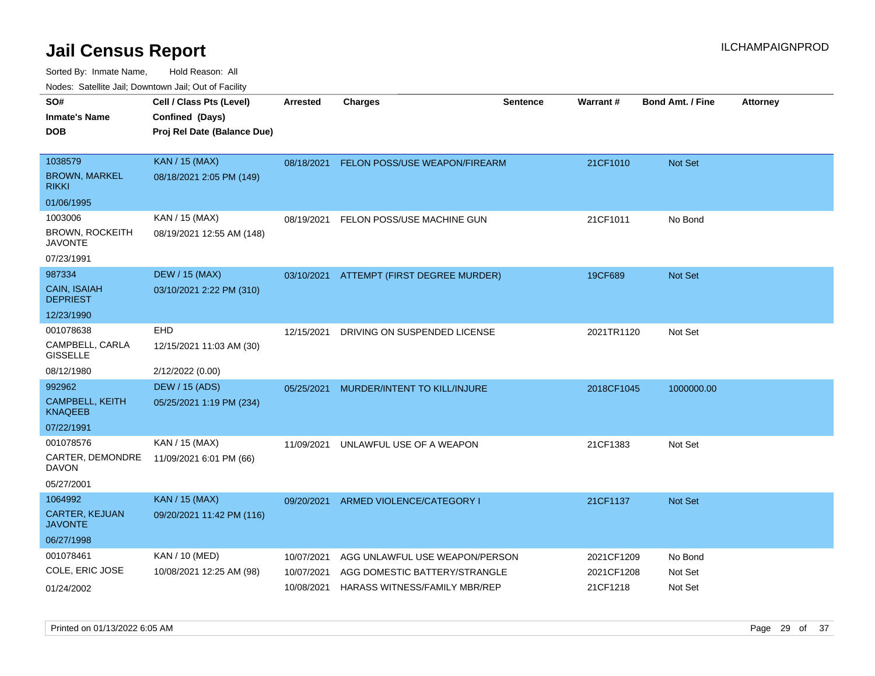| rouco. Calcillo Jali, Downtown Jali, Out of Facility |                             |                 |                                          |                 |            |                         |                 |
|------------------------------------------------------|-----------------------------|-----------------|------------------------------------------|-----------------|------------|-------------------------|-----------------|
| SO#                                                  | Cell / Class Pts (Level)    | <b>Arrested</b> | <b>Charges</b>                           | <b>Sentence</b> | Warrant#   | <b>Bond Amt. / Fine</b> | <b>Attorney</b> |
| Inmate's Name                                        | Confined (Days)             |                 |                                          |                 |            |                         |                 |
| DOB                                                  | Proj Rel Date (Balance Due) |                 |                                          |                 |            |                         |                 |
|                                                      |                             |                 |                                          |                 |            |                         |                 |
| 1038579                                              | <b>KAN / 15 (MAX)</b>       |                 | 08/18/2021 FELON POSS/USE WEAPON/FIREARM |                 | 21CF1010   | <b>Not Set</b>          |                 |
| <b>BROWN, MARKEL</b><br>rikki                        | 08/18/2021 2:05 PM (149)    |                 |                                          |                 |            |                         |                 |
| 01/06/1995                                           |                             |                 |                                          |                 |            |                         |                 |
| 1003006                                              | KAN / 15 (MAX)              | 08/19/2021      | FELON POSS/USE MACHINE GUN               |                 | 21CF1011   | No Bond                 |                 |
| <b>BROWN, ROCKEITH</b><br>JAVONTE                    | 08/19/2021 12:55 AM (148)   |                 |                                          |                 |            |                         |                 |
| 07/23/1991                                           |                             |                 |                                          |                 |            |                         |                 |
| 987334                                               | <b>DEW / 15 (MAX)</b>       |                 | 03/10/2021 ATTEMPT (FIRST DEGREE MURDER) |                 | 19CF689    | <b>Not Set</b>          |                 |
| CAIN, ISAIAH<br><b>DEPRIEST</b>                      | 03/10/2021 2:22 PM (310)    |                 |                                          |                 |            |                         |                 |
| 12/23/1990                                           |                             |                 |                                          |                 |            |                         |                 |
| 001078638                                            | EHD                         | 12/15/2021      | DRIVING ON SUSPENDED LICENSE             |                 | 2021TR1120 | Not Set                 |                 |
| CAMPBELL, CARLA<br>GISSELLE                          | 12/15/2021 11:03 AM (30)    |                 |                                          |                 |            |                         |                 |
| 08/12/1980                                           | 2/12/2022 (0.00)            |                 |                                          |                 |            |                         |                 |
| 992962                                               | <b>DEW / 15 (ADS)</b>       | 05/25/2021      | MURDER/INTENT TO KILL/INJURE             |                 | 2018CF1045 | 1000000.00              |                 |
| CAMPBELL, KEITH<br>KNAQEEB                           | 05/25/2021 1:19 PM (234)    |                 |                                          |                 |            |                         |                 |
| 07/22/1991                                           |                             |                 |                                          |                 |            |                         |                 |
| 001078576                                            | KAN / 15 (MAX)              | 11/09/2021      | UNLAWFUL USE OF A WEAPON                 |                 | 21CF1383   | Not Set                 |                 |
| CARTER, DEMONDRE<br>DAVON                            | 11/09/2021 6:01 PM (66)     |                 |                                          |                 |            |                         |                 |
| 05/27/2001                                           |                             |                 |                                          |                 |            |                         |                 |
| 1064992                                              | <b>KAN / 15 (MAX)</b>       | 09/20/2021      | ARMED VIOLENCE/CATEGORY I                |                 | 21CF1137   | <b>Not Set</b>          |                 |
| <b>CARTER, KEJUAN</b><br>JAVONTE                     | 09/20/2021 11:42 PM (116)   |                 |                                          |                 |            |                         |                 |
| 06/27/1998                                           |                             |                 |                                          |                 |            |                         |                 |
| 001078461                                            | KAN / 10 (MED)              | 10/07/2021      | AGG UNLAWFUL USE WEAPON/PERSON           |                 | 2021CF1209 | No Bond                 |                 |
| COLE, ERIC JOSE                                      | 10/08/2021 12:25 AM (98)    | 10/07/2021      | AGG DOMESTIC BATTERY/STRANGLE            |                 | 2021CF1208 | Not Set                 |                 |
| 01/24/2002                                           |                             | 10/08/2021      | HARASS WITNESS/FAMILY MBR/REP            |                 | 21CF1218   | Not Set                 |                 |
|                                                      |                             |                 |                                          |                 |            |                         |                 |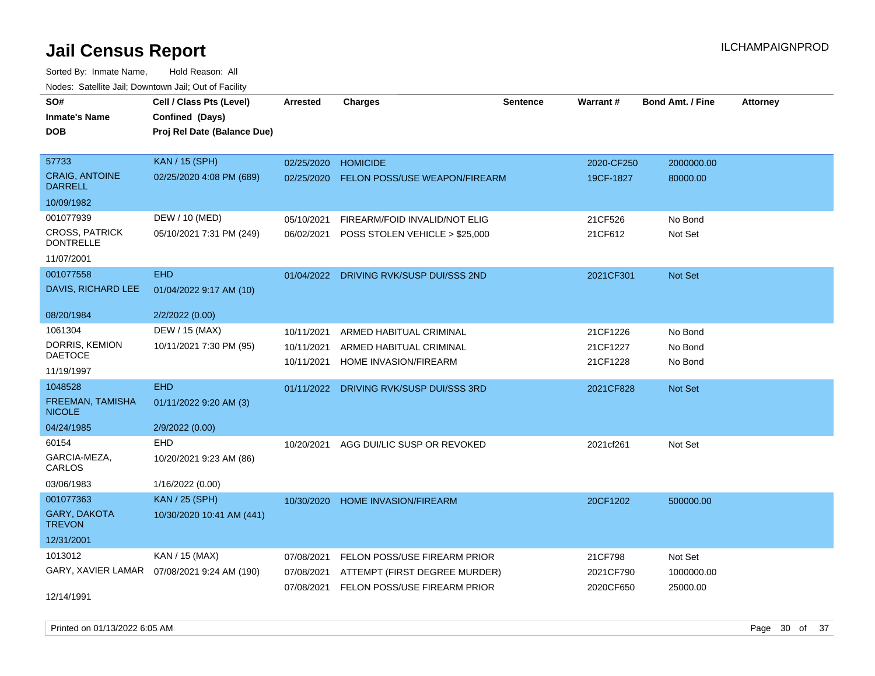| rouce. Calcillic Jali, Downtown Jali, Out of Facility |                                              |                 |                                         |                 |            |                         |                 |
|-------------------------------------------------------|----------------------------------------------|-----------------|-----------------------------------------|-----------------|------------|-------------------------|-----------------|
| SO#                                                   | Cell / Class Pts (Level)                     | <b>Arrested</b> | <b>Charges</b>                          | <b>Sentence</b> | Warrant#   | <b>Bond Amt. / Fine</b> | <b>Attorney</b> |
| <b>Inmate's Name</b>                                  | Confined (Days)                              |                 |                                         |                 |            |                         |                 |
| <b>DOB</b>                                            | Proj Rel Date (Balance Due)                  |                 |                                         |                 |            |                         |                 |
|                                                       |                                              |                 |                                         |                 |            |                         |                 |
| 57733                                                 | <b>KAN / 15 (SPH)</b>                        | 02/25/2020      | <b>HOMICIDE</b>                         |                 | 2020-CF250 | 2000000.00              |                 |
| <b>CRAIG, ANTOINE</b><br><b>DARRELL</b>               | 02/25/2020 4:08 PM (689)                     | 02/25/2020      | <b>FELON POSS/USE WEAPON/FIREARM</b>    |                 | 19CF-1827  | 80000.00                |                 |
| 10/09/1982                                            |                                              |                 |                                         |                 |            |                         |                 |
| 001077939                                             | DEW / 10 (MED)                               | 05/10/2021      | FIREARM/FOID INVALID/NOT ELIG           |                 | 21CF526    | No Bond                 |                 |
| <b>CROSS, PATRICK</b><br><b>DONTRELLE</b>             | 05/10/2021 7:31 PM (249)                     | 06/02/2021      | POSS STOLEN VEHICLE > \$25,000          |                 | 21CF612    | Not Set                 |                 |
| 11/07/2001                                            |                                              |                 |                                         |                 |            |                         |                 |
| 001077558                                             | <b>EHD</b>                                   |                 | 01/04/2022 DRIVING RVK/SUSP DUI/SSS 2ND |                 | 2021CF301  | Not Set                 |                 |
| DAVIS, RICHARD LEE                                    | 01/04/2022 9:17 AM (10)                      |                 |                                         |                 |            |                         |                 |
| 08/20/1984                                            | 2/2/2022 (0.00)                              |                 |                                         |                 |            |                         |                 |
| 1061304                                               | DEW / 15 (MAX)                               | 10/11/2021      | ARMED HABITUAL CRIMINAL                 |                 | 21CF1226   | No Bond                 |                 |
| DORRIS, KEMION                                        | 10/11/2021 7:30 PM (95)                      | 10/11/2021      | ARMED HABITUAL CRIMINAL                 |                 | 21CF1227   | No Bond                 |                 |
| <b>DAETOCE</b>                                        |                                              | 10/11/2021      | HOME INVASION/FIREARM                   |                 | 21CF1228   | No Bond                 |                 |
| 11/19/1997                                            |                                              |                 |                                         |                 |            |                         |                 |
| 1048528                                               | <b>EHD</b>                                   |                 | 01/11/2022 DRIVING RVK/SUSP DUI/SSS 3RD |                 | 2021CF828  | Not Set                 |                 |
| FREEMAN, TAMISHA<br><b>NICOLE</b>                     | 01/11/2022 9:20 AM (3)                       |                 |                                         |                 |            |                         |                 |
| 04/24/1985                                            | 2/9/2022 (0.00)                              |                 |                                         |                 |            |                         |                 |
| 60154                                                 | <b>EHD</b>                                   | 10/20/2021      | AGG DUI/LIC SUSP OR REVOKED             |                 | 2021cf261  | Not Set                 |                 |
| GARCIA-MEZA,<br>CARLOS                                | 10/20/2021 9:23 AM (86)                      |                 |                                         |                 |            |                         |                 |
| 03/06/1983                                            | 1/16/2022 (0.00)                             |                 |                                         |                 |            |                         |                 |
| 001077363                                             | <b>KAN / 25 (SPH)</b>                        | 10/30/2020      | <b>HOME INVASION/FIREARM</b>            |                 | 20CF1202   | 500000.00               |                 |
| <b>GARY, DAKOTA</b><br><b>TREVON</b>                  | 10/30/2020 10:41 AM (441)                    |                 |                                         |                 |            |                         |                 |
| 12/31/2001                                            |                                              |                 |                                         |                 |            |                         |                 |
| 1013012                                               | KAN / 15 (MAX)                               | 07/08/2021      | FELON POSS/USE FIREARM PRIOR            |                 | 21CF798    | Not Set                 |                 |
|                                                       | GARY, XAVIER LAMAR  07/08/2021 9:24 AM (190) | 07/08/2021      | ATTEMPT (FIRST DEGREE MURDER)           |                 | 2021CF790  | 1000000.00              |                 |
|                                                       |                                              | 07/08/2021      | FELON POSS/USE FIREARM PRIOR            |                 | 2020CF650  | 25000.00                |                 |
| 12/14/1991                                            |                                              |                 |                                         |                 |            |                         |                 |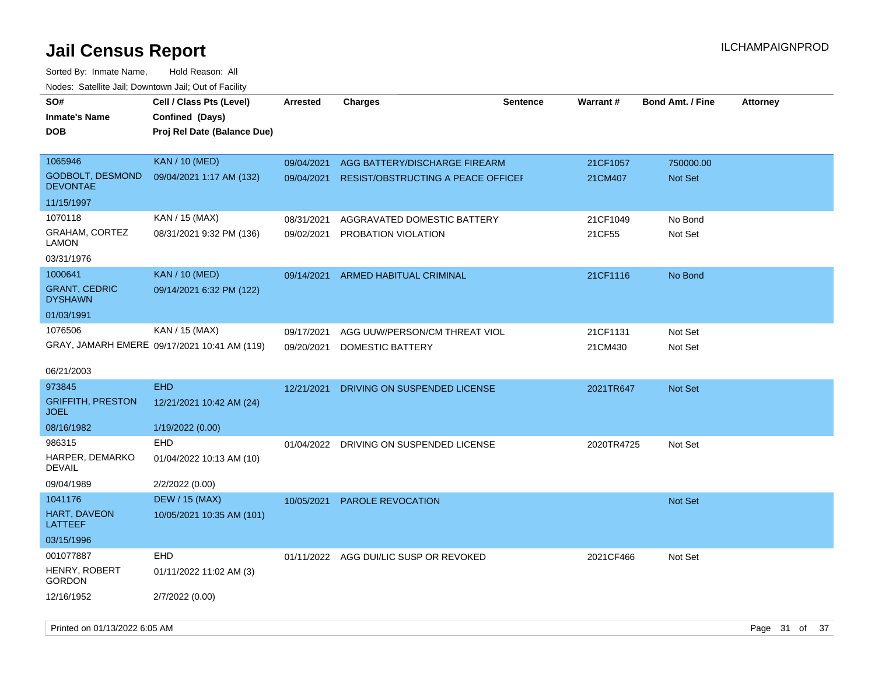| <b>NOULD:</b> Catoline bail, Downtown bail, Out of I dollty |                                                                            |                 |                                        |                 |            |                         |                 |
|-------------------------------------------------------------|----------------------------------------------------------------------------|-----------------|----------------------------------------|-----------------|------------|-------------------------|-----------------|
| SO#<br><b>Inmate's Name</b><br><b>DOB</b>                   | Cell / Class Pts (Level)<br>Confined (Days)<br>Proj Rel Date (Balance Due) | <b>Arrested</b> | <b>Charges</b>                         | <b>Sentence</b> | Warrant#   | <b>Bond Amt. / Fine</b> | <b>Attorney</b> |
| 1065946                                                     | <b>KAN / 10 (MED)</b>                                                      | 09/04/2021      | AGG BATTERY/DISCHARGE FIREARM          |                 | 21CF1057   | 750000.00               |                 |
| <b>GODBOLT, DESMOND</b><br><b>DEVONTAE</b>                  | 09/04/2021 1:17 AM (132)                                                   | 09/04/2021      | RESIST/OBSTRUCTING A PEACE OFFICEF     |                 | 21CM407    | Not Set                 |                 |
| 11/15/1997                                                  |                                                                            |                 |                                        |                 |            |                         |                 |
| 1070118                                                     | KAN / 15 (MAX)                                                             | 08/31/2021      | AGGRAVATED DOMESTIC BATTERY            |                 | 21CF1049   | No Bond                 |                 |
| GRAHAM, CORTEZ<br><b>LAMON</b>                              | 08/31/2021 9:32 PM (136)                                                   | 09/02/2021      | PROBATION VIOLATION                    |                 | 21CF55     | Not Set                 |                 |
| 03/31/1976                                                  |                                                                            |                 |                                        |                 |            |                         |                 |
| 1000641                                                     | <b>KAN / 10 (MED)</b>                                                      | 09/14/2021      | ARMED HABITUAL CRIMINAL                |                 | 21CF1116   | No Bond                 |                 |
| <b>GRANT, CEDRIC</b><br><b>DYSHAWN</b>                      | 09/14/2021 6:32 PM (122)                                                   |                 |                                        |                 |            |                         |                 |
| 01/03/1991                                                  |                                                                            |                 |                                        |                 |            |                         |                 |
| 1076506                                                     | KAN / 15 (MAX)                                                             | 09/17/2021      | AGG UUW/PERSON/CM THREAT VIOL          |                 | 21CF1131   | Not Set                 |                 |
|                                                             | GRAY, JAMARH EMERE 09/17/2021 10:41 AM (119)                               | 09/20/2021      | DOMESTIC BATTERY                       |                 | 21CM430    | Not Set                 |                 |
| 06/21/2003                                                  |                                                                            |                 |                                        |                 |            |                         |                 |
| 973845                                                      | <b>EHD</b>                                                                 | 12/21/2021      | DRIVING ON SUSPENDED LICENSE           |                 | 2021TR647  | Not Set                 |                 |
| <b>GRIFFITH, PRESTON</b><br><b>JOEL</b>                     | 12/21/2021 10:42 AM (24)                                                   |                 |                                        |                 |            |                         |                 |
| 08/16/1982                                                  | 1/19/2022 (0.00)                                                           |                 |                                        |                 |            |                         |                 |
| 986315                                                      | EHD                                                                        | 01/04/2022      | DRIVING ON SUSPENDED LICENSE           |                 | 2020TR4725 | Not Set                 |                 |
| HARPER, DEMARKO<br>DEVAIL                                   | 01/04/2022 10:13 AM (10)                                                   |                 |                                        |                 |            |                         |                 |
| 09/04/1989                                                  | 2/2/2022 (0.00)                                                            |                 |                                        |                 |            |                         |                 |
| 1041176                                                     | <b>DEW / 15 (MAX)</b>                                                      | 10/05/2021      | PAROLE REVOCATION                      |                 |            | Not Set                 |                 |
| HART, DAVEON<br>LATTEEF                                     | 10/05/2021 10:35 AM (101)                                                  |                 |                                        |                 |            |                         |                 |
| 03/15/1996                                                  |                                                                            |                 |                                        |                 |            |                         |                 |
| 001077887                                                   | EHD                                                                        |                 | 01/11/2022 AGG DUI/LIC SUSP OR REVOKED |                 | 2021CF466  | Not Set                 |                 |
| HENRY, ROBERT<br><b>GORDON</b>                              | 01/11/2022 11:02 AM (3)                                                    |                 |                                        |                 |            |                         |                 |
| 12/16/1952                                                  | 2/7/2022 (0.00)                                                            |                 |                                        |                 |            |                         |                 |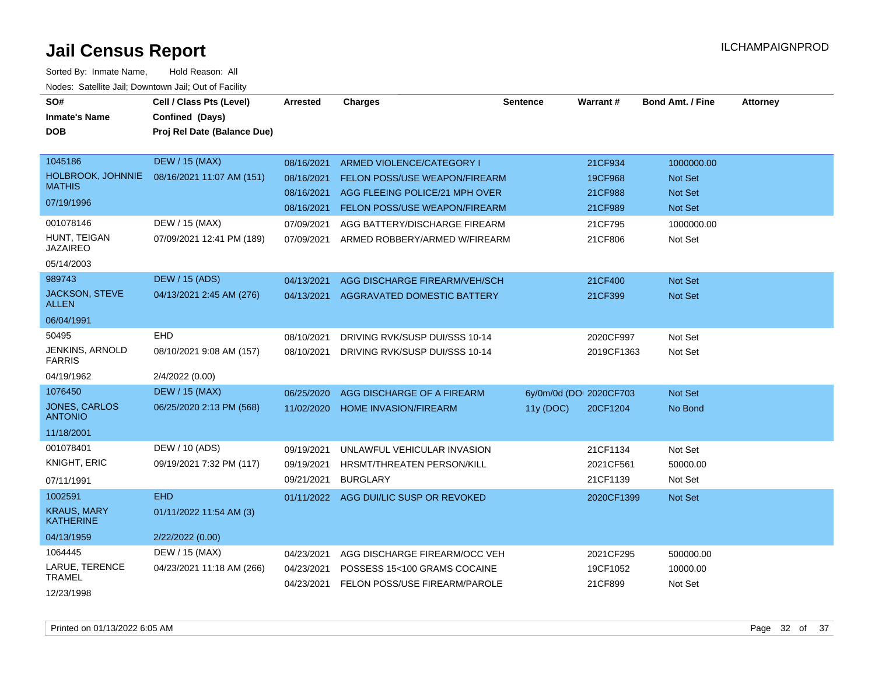| SO#<br><b>Inmate's Name</b>            | Cell / Class Pts (Level)<br>Confined (Days) | <b>Arrested</b> | <b>Charges</b>                       | <b>Sentence</b>         | <b>Warrant#</b> | Bond Amt. / Fine | <b>Attorney</b> |
|----------------------------------------|---------------------------------------------|-----------------|--------------------------------------|-------------------------|-----------------|------------------|-----------------|
| <b>DOB</b>                             | Proj Rel Date (Balance Due)                 |                 |                                      |                         |                 |                  |                 |
|                                        |                                             |                 |                                      |                         |                 |                  |                 |
| 1045186                                | <b>DEW / 15 (MAX)</b>                       | 08/16/2021      | ARMED VIOLENCE/CATEGORY I            |                         | 21CF934         | 1000000.00       |                 |
| HOLBROOK, JOHNNIE<br><b>MATHIS</b>     | 08/16/2021 11:07 AM (151)                   | 08/16/2021      | <b>FELON POSS/USE WEAPON/FIREARM</b> |                         | 19CF968         | <b>Not Set</b>   |                 |
| 07/19/1996                             |                                             | 08/16/2021      | AGG FLEEING POLICE/21 MPH OVER       |                         | 21CF988         | <b>Not Set</b>   |                 |
|                                        |                                             | 08/16/2021      | FELON POSS/USE WEAPON/FIREARM        |                         | 21CF989         | <b>Not Set</b>   |                 |
| 001078146                              | DEW / 15 (MAX)                              | 07/09/2021      | AGG BATTERY/DISCHARGE FIREARM        |                         | 21CF795         | 1000000.00       |                 |
| HUNT, TEIGAN<br><b>JAZAIREO</b>        | 07/09/2021 12:41 PM (189)                   | 07/09/2021      | ARMED ROBBERY/ARMED W/FIREARM        |                         | 21CF806         | Not Set          |                 |
| 05/14/2003                             |                                             |                 |                                      |                         |                 |                  |                 |
| 989743                                 | <b>DEW / 15 (ADS)</b>                       | 04/13/2021      | AGG DISCHARGE FIREARM/VEH/SCH        |                         | 21CF400         | Not Set          |                 |
| JACKSON, STEVE<br><b>ALLEN</b>         | 04/13/2021 2:45 AM (276)                    | 04/13/2021      | AGGRAVATED DOMESTIC BATTERY          |                         | 21CF399         | Not Set          |                 |
| 06/04/1991                             |                                             |                 |                                      |                         |                 |                  |                 |
| 50495                                  | <b>EHD</b>                                  | 08/10/2021      | DRIVING RVK/SUSP DUI/SSS 10-14       |                         | 2020CF997       | Not Set          |                 |
| JENKINS, ARNOLD<br><b>FARRIS</b>       | 08/10/2021 9:08 AM (157)                    | 08/10/2021      | DRIVING RVK/SUSP DUI/SSS 10-14       |                         | 2019CF1363      | Not Set          |                 |
| 04/19/1962                             | 2/4/2022 (0.00)                             |                 |                                      |                         |                 |                  |                 |
| 1076450                                | <b>DEW / 15 (MAX)</b>                       | 06/25/2020      | AGG DISCHARGE OF A FIREARM           | 6y/0m/0d (DOI 2020CF703 |                 | Not Set          |                 |
| JONES, CARLOS<br><b>ANTONIO</b>        | 06/25/2020 2:13 PM (568)                    | 11/02/2020      | <b>HOME INVASION/FIREARM</b>         | 11y (DOC)               | 20CF1204        | No Bond          |                 |
| 11/18/2001                             |                                             |                 |                                      |                         |                 |                  |                 |
| 001078401                              | DEW / 10 (ADS)                              | 09/19/2021      | UNLAWFUL VEHICULAR INVASION          |                         | 21CF1134        | Not Set          |                 |
| KNIGHT, ERIC                           | 09/19/2021 7:32 PM (117)                    | 09/19/2021      | HRSMT/THREATEN PERSON/KILL           |                         | 2021CF561       | 50000.00         |                 |
| 07/11/1991                             |                                             | 09/21/2021      | <b>BURGLARY</b>                      |                         | 21CF1139        | Not Set          |                 |
| 1002591                                | <b>EHD</b>                                  | 01/11/2022      | AGG DUI/LIC SUSP OR REVOKED          |                         | 2020CF1399      | <b>Not Set</b>   |                 |
| <b>KRAUS, MARY</b><br><b>KATHERINE</b> | 01/11/2022 11:54 AM (3)                     |                 |                                      |                         |                 |                  |                 |
| 04/13/1959                             | 2/22/2022 (0.00)                            |                 |                                      |                         |                 |                  |                 |
| 1064445                                | DEW / 15 (MAX)                              | 04/23/2021      | AGG DISCHARGE FIREARM/OCC VEH        |                         | 2021CF295       | 500000.00        |                 |
| LARUE, TERENCE<br><b>TRAMEL</b>        | 04/23/2021 11:18 AM (266)                   | 04/23/2021      | POSSESS 15<100 GRAMS COCAINE         |                         | 19CF1052        | 10000.00         |                 |
| 12/23/1998                             |                                             | 04/23/2021      | FELON POSS/USE FIREARM/PAROLE        |                         | 21CF899         | Not Set          |                 |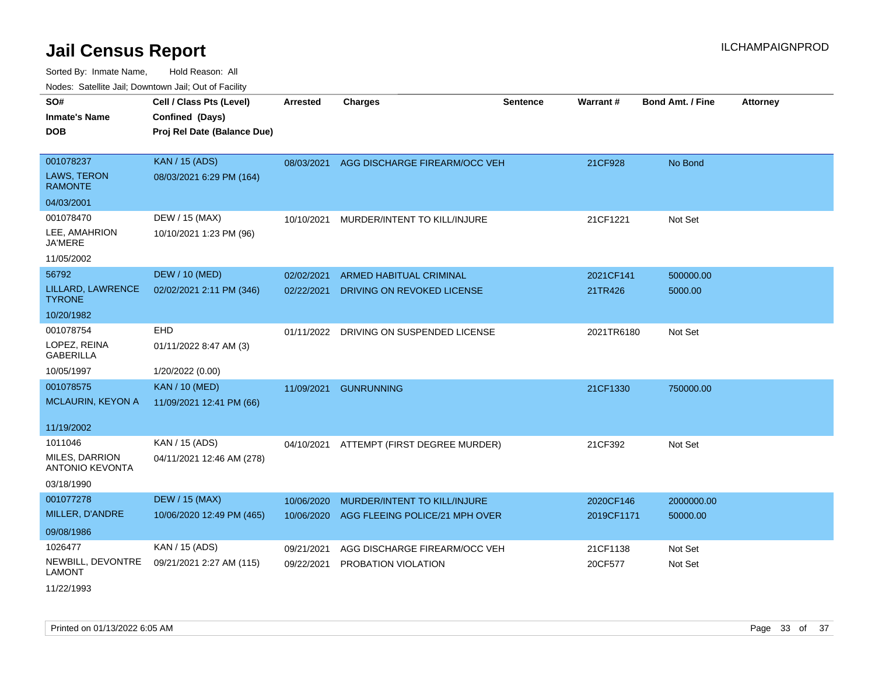| SO#                                             | Cell / Class Pts (Level)    | <b>Arrested</b> | <b>Charges</b>                           | <b>Sentence</b> | Warrant#   | <b>Bond Amt. / Fine</b> | <b>Attorney</b> |
|-------------------------------------------------|-----------------------------|-----------------|------------------------------------------|-----------------|------------|-------------------------|-----------------|
| <b>Inmate's Name</b>                            | Confined (Days)             |                 |                                          |                 |            |                         |                 |
| <b>DOB</b>                                      | Proj Rel Date (Balance Due) |                 |                                          |                 |            |                         |                 |
|                                                 |                             |                 |                                          |                 |            |                         |                 |
| 001078237                                       | <b>KAN / 15 (ADS)</b>       |                 | 08/03/2021 AGG DISCHARGE FIREARM/OCC VEH |                 | 21CF928    | No Bond                 |                 |
| LAWS, TERON<br><b>RAMONTE</b>                   | 08/03/2021 6:29 PM (164)    |                 |                                          |                 |            |                         |                 |
| 04/03/2001                                      |                             |                 |                                          |                 |            |                         |                 |
| 001078470                                       | DEW / 15 (MAX)              | 10/10/2021      | MURDER/INTENT TO KILL/INJURE             |                 | 21CF1221   | Not Set                 |                 |
| LEE, AMAHRION<br><b>JA'MERE</b>                 | 10/10/2021 1:23 PM (96)     |                 |                                          |                 |            |                         |                 |
| 11/05/2002                                      |                             |                 |                                          |                 |            |                         |                 |
| 56792                                           | <b>DEW / 10 (MED)</b>       | 02/02/2021      | ARMED HABITUAL CRIMINAL                  |                 | 2021CF141  | 500000.00               |                 |
| LILLARD, LAWRENCE<br><b>TYRONE</b>              | 02/02/2021 2:11 PM (346)    | 02/22/2021      | DRIVING ON REVOKED LICENSE               |                 | 21TR426    | 5000.00                 |                 |
| 10/20/1982                                      |                             |                 |                                          |                 |            |                         |                 |
| 001078754                                       | EHD                         | 01/11/2022      | DRIVING ON SUSPENDED LICENSE             |                 | 2021TR6180 | Not Set                 |                 |
| LOPEZ, REINA<br><b>GABERILLA</b>                | 01/11/2022 8:47 AM (3)      |                 |                                          |                 |            |                         |                 |
| 10/05/1997                                      | 1/20/2022 (0.00)            |                 |                                          |                 |            |                         |                 |
| 001078575                                       | <b>KAN / 10 (MED)</b>       | 11/09/2021      | <b>GUNRUNNING</b>                        |                 | 21CF1330   | 750000.00               |                 |
| <b>MCLAURIN, KEYON A</b>                        | 11/09/2021 12:41 PM (66)    |                 |                                          |                 |            |                         |                 |
| 11/19/2002                                      |                             |                 |                                          |                 |            |                         |                 |
| 1011046                                         | KAN / 15 (ADS)              |                 | 04/10/2021 ATTEMPT (FIRST DEGREE MURDER) |                 | 21CF392    | Not Set                 |                 |
| <b>MILES, DARRION</b><br><b>ANTONIO KEVONTA</b> | 04/11/2021 12:46 AM (278)   |                 |                                          |                 |            |                         |                 |
| 03/18/1990                                      |                             |                 |                                          |                 |            |                         |                 |
| 001077278                                       | <b>DEW / 15 (MAX)</b>       | 10/06/2020      | MURDER/INTENT TO KILL/INJURE             |                 | 2020CF146  | 2000000.00              |                 |
| MILLER, D'ANDRE                                 | 10/06/2020 12:49 PM (465)   | 10/06/2020      | AGG FLEEING POLICE/21 MPH OVER           |                 | 2019CF1171 | 50000.00                |                 |
| 09/08/1986                                      |                             |                 |                                          |                 |            |                         |                 |
| 1026477                                         | KAN / 15 (ADS)              | 09/21/2021      | AGG DISCHARGE FIREARM/OCC VEH            |                 | 21CF1138   | Not Set                 |                 |
| NEWBILL, DEVONTRE<br><b>LAMONT</b>              | 09/21/2021 2:27 AM (115)    | 09/22/2021      | PROBATION VIOLATION                      |                 | 20CF577    | Not Set                 |                 |
| 11/22/1993                                      |                             |                 |                                          |                 |            |                         |                 |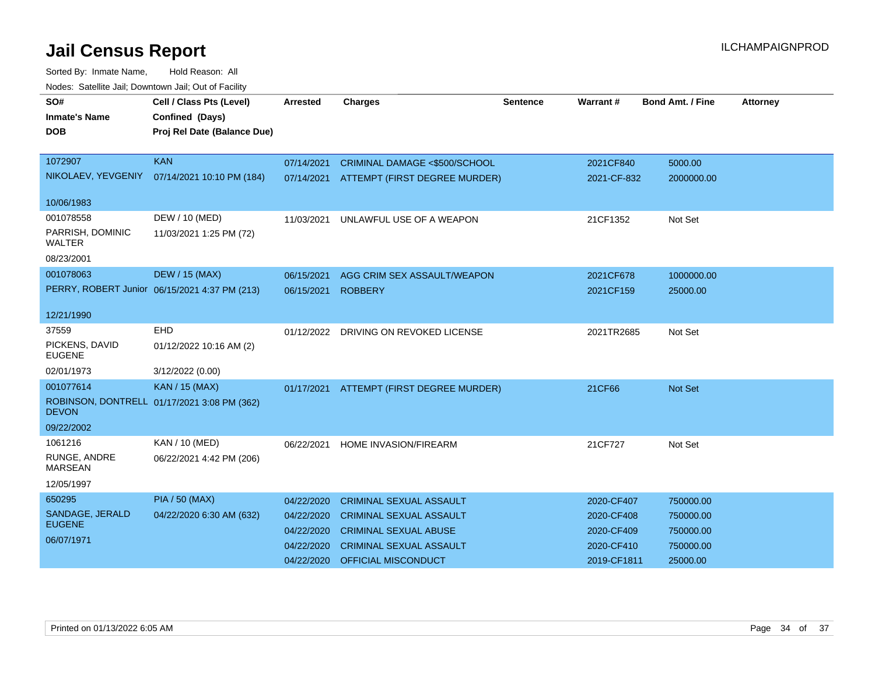| rioucs. Odichite Jah, Downtown Jah, Out of Facility |                                               |                 |                                       |          |             |                         |                 |
|-----------------------------------------------------|-----------------------------------------------|-----------------|---------------------------------------|----------|-------------|-------------------------|-----------------|
| SO#                                                 | Cell / Class Pts (Level)                      | <b>Arrested</b> | <b>Charges</b>                        | Sentence | Warrant#    | <b>Bond Amt. / Fine</b> | <b>Attorney</b> |
| <b>Inmate's Name</b>                                | Confined (Days)                               |                 |                                       |          |             |                         |                 |
| <b>DOB</b>                                          | Proj Rel Date (Balance Due)                   |                 |                                       |          |             |                         |                 |
|                                                     |                                               |                 |                                       |          |             |                         |                 |
| 1072907                                             | <b>KAN</b>                                    | 07/14/2021      | CRIMINAL DAMAGE <\$500/SCHOOL         |          | 2021CF840   | 5000.00                 |                 |
|                                                     | NIKOLAEV, YEVGENIY 07/14/2021 10:10 PM (184)  | 07/14/2021      | ATTEMPT (FIRST DEGREE MURDER)         |          | 2021-CF-832 | 2000000.00              |                 |
| 10/06/1983                                          |                                               |                 |                                       |          |             |                         |                 |
| 001078558                                           | DEW / 10 (MED)                                | 11/03/2021      | UNLAWFUL USE OF A WEAPON              |          | 21CF1352    | Not Set                 |                 |
| PARRISH, DOMINIC<br>WALTER                          | 11/03/2021 1:25 PM (72)                       |                 |                                       |          |             |                         |                 |
| 08/23/2001                                          |                                               |                 |                                       |          |             |                         |                 |
| 001078063                                           | <b>DEW / 15 (MAX)</b>                         | 06/15/2021      | AGG CRIM SEX ASSAULT/WEAPON           |          | 2021CF678   | 1000000.00              |                 |
|                                                     | PERRY, ROBERT Junior 06/15/2021 4:37 PM (213) | 06/15/2021      | <b>ROBBERY</b>                        |          | 2021CF159   | 25000.00                |                 |
|                                                     |                                               |                 |                                       |          |             |                         |                 |
| 12/21/1990                                          |                                               |                 |                                       |          |             |                         |                 |
| 37559                                               | <b>EHD</b>                                    |                 | 01/12/2022 DRIVING ON REVOKED LICENSE |          | 2021TR2685  | Not Set                 |                 |
| PICKENS, DAVID<br><b>EUGENE</b>                     | 01/12/2022 10:16 AM (2)                       |                 |                                       |          |             |                         |                 |
| 02/01/1973                                          | 3/12/2022 (0.00)                              |                 |                                       |          |             |                         |                 |
| 001077614                                           | KAN / 15 (MAX)                                | 01/17/2021      | ATTEMPT (FIRST DEGREE MURDER)         |          | 21CF66      | <b>Not Set</b>          |                 |
| <b>DEVON</b>                                        | ROBINSON, DONTRELL 01/17/2021 3:08 PM (362)   |                 |                                       |          |             |                         |                 |
| 09/22/2002                                          |                                               |                 |                                       |          |             |                         |                 |
| 1061216                                             | KAN / 10 (MED)                                |                 | 06/22/2021 HOME INVASION/FIREARM      |          | 21CF727     | Not Set                 |                 |
| RUNGE, ANDRE<br><b>MARSEAN</b>                      | 06/22/2021 4:42 PM (206)                      |                 |                                       |          |             |                         |                 |
| 12/05/1997                                          |                                               |                 |                                       |          |             |                         |                 |
| 650295                                              | <b>PIA / 50 (MAX)</b>                         | 04/22/2020      | <b>CRIMINAL SEXUAL ASSAULT</b>        |          | 2020-CF407  | 750000.00               |                 |
| SANDAGE, JERALD                                     | 04/22/2020 6:30 AM (632)                      | 04/22/2020      | <b>CRIMINAL SEXUAL ASSAULT</b>        |          | 2020-CF408  | 750000.00               |                 |
| <b>EUGENE</b>                                       |                                               | 04/22/2020      | <b>CRIMINAL SEXUAL ABUSE</b>          |          | 2020-CF409  | 750000.00               |                 |
| 06/07/1971                                          |                                               | 04/22/2020      | <b>CRIMINAL SEXUAL ASSAULT</b>        |          | 2020-CF410  | 750000.00               |                 |
|                                                     |                                               | 04/22/2020      | <b>OFFICIAL MISCONDUCT</b>            |          | 2019-CF1811 | 25000.00                |                 |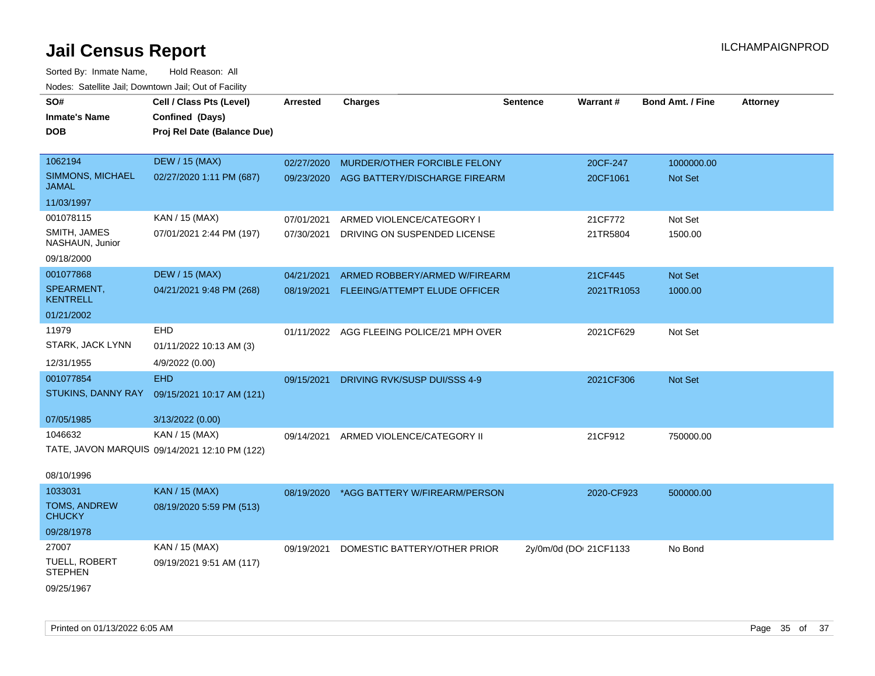| SO#<br><b>Inmate's Name</b>            | Cell / Class Pts (Level)<br>Confined (Days)   | <b>Arrested</b> | <b>Charges</b>                 | <b>Sentence</b>        | <b>Warrant#</b> | <b>Bond Amt. / Fine</b> | <b>Attorney</b> |
|----------------------------------------|-----------------------------------------------|-----------------|--------------------------------|------------------------|-----------------|-------------------------|-----------------|
| <b>DOB</b>                             | Proj Rel Date (Balance Due)                   |                 |                                |                        |                 |                         |                 |
| 1062194                                | <b>DEW / 15 (MAX)</b>                         | 02/27/2020      | MURDER/OTHER FORCIBLE FELONY   |                        | 20CF-247        | 1000000.00              |                 |
| SIMMONS, MICHAEL<br><b>JAMAL</b>       | 02/27/2020 1:11 PM (687)                      | 09/23/2020      | AGG BATTERY/DISCHARGE FIREARM  |                        | 20CF1061        | Not Set                 |                 |
| 11/03/1997                             |                                               |                 |                                |                        |                 |                         |                 |
| 001078115                              | KAN / 15 (MAX)                                | 07/01/2021      | ARMED VIOLENCE/CATEGORY I      |                        | 21CF772         | Not Set                 |                 |
| SMITH, JAMES<br>NASHAUN, Junior        | 07/01/2021 2:44 PM (197)                      | 07/30/2021      | DRIVING ON SUSPENDED LICENSE   |                        | 21TR5804        | 1500.00                 |                 |
| 09/18/2000                             |                                               |                 |                                |                        |                 |                         |                 |
| 001077868                              | <b>DEW / 15 (MAX)</b>                         | 04/21/2021      | ARMED ROBBERY/ARMED W/FIREARM  |                        | 21CF445         | Not Set                 |                 |
| SPEARMENT,<br><b>KENTRELL</b>          | 04/21/2021 9:48 PM (268)                      | 08/19/2021      | FLEEING/ATTEMPT ELUDE OFFICER  |                        | 2021TR1053      | 1000.00                 |                 |
| 01/21/2002                             |                                               |                 |                                |                        |                 |                         |                 |
| 11979                                  | <b>EHD</b>                                    | 01/11/2022      | AGG FLEEING POLICE/21 MPH OVER |                        | 2021CF629       | Not Set                 |                 |
| STARK, JACK LYNN                       | 01/11/2022 10:13 AM (3)                       |                 |                                |                        |                 |                         |                 |
| 12/31/1955                             | 4/9/2022 (0.00)                               |                 |                                |                        |                 |                         |                 |
| 001077854                              | <b>EHD</b>                                    | 09/15/2021      | DRIVING RVK/SUSP DUI/SSS 4-9   |                        | 2021CF306       | <b>Not Set</b>          |                 |
| STUKINS, DANNY RAY                     | 09/15/2021 10:17 AM (121)                     |                 |                                |                        |                 |                         |                 |
| 07/05/1985                             | 3/13/2022 (0.00)                              |                 |                                |                        |                 |                         |                 |
| 1046632                                | KAN / 15 (MAX)                                | 09/14/2021      | ARMED VIOLENCE/CATEGORY II     |                        | 21CF912         | 750000.00               |                 |
|                                        | TATE, JAVON MARQUIS 09/14/2021 12:10 PM (122) |                 |                                |                        |                 |                         |                 |
| 08/10/1996                             |                                               |                 |                                |                        |                 |                         |                 |
| 1033031                                | <b>KAN / 15 (MAX)</b>                         | 08/19/2020      | *AGG BATTERY W/FIREARM/PERSON  |                        | 2020-CF923      | 500000.00               |                 |
| TOMS, ANDREW<br><b>CHUCKY</b>          | 08/19/2020 5:59 PM (513)                      |                 |                                |                        |                 |                         |                 |
| 09/28/1978                             |                                               |                 |                                |                        |                 |                         |                 |
| 27007                                  | KAN / 15 (MAX)                                | 09/19/2021      | DOMESTIC BATTERY/OTHER PRIOR   | 2y/0m/0d (DO: 21CF1133 |                 | No Bond                 |                 |
| <b>TUELL, ROBERT</b><br><b>STEPHEN</b> | 09/19/2021 9:51 AM (117)                      |                 |                                |                        |                 |                         |                 |
| 09/25/1967                             |                                               |                 |                                |                        |                 |                         |                 |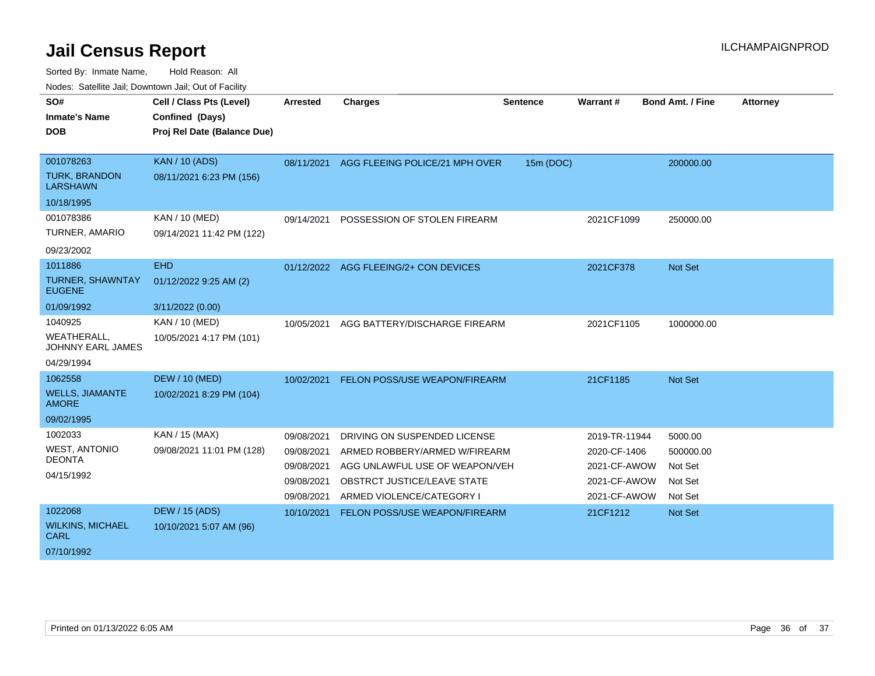| SO#<br><b>Inmate's Name</b>                    | Cell / Class Pts (Level)<br>Confined (Days) | <b>Arrested</b> | <b>Charges</b>                 | <b>Sentence</b> | <b>Warrant#</b> | <b>Bond Amt. / Fine</b> | <b>Attorney</b> |
|------------------------------------------------|---------------------------------------------|-----------------|--------------------------------|-----------------|-----------------|-------------------------|-----------------|
| <b>DOB</b>                                     | Proj Rel Date (Balance Due)                 |                 |                                |                 |                 |                         |                 |
|                                                |                                             |                 |                                |                 |                 |                         |                 |
| 001078263                                      | <b>KAN / 10 (ADS)</b>                       | 08/11/2021      | AGG FLEEING POLICE/21 MPH OVER | 15m (DOC)       |                 | 200000.00               |                 |
| <b>TURK, BRANDON</b><br><b>LARSHAWN</b>        | 08/11/2021 6:23 PM (156)                    |                 |                                |                 |                 |                         |                 |
| 10/18/1995                                     |                                             |                 |                                |                 |                 |                         |                 |
| 001078386                                      | KAN / 10 (MED)                              | 09/14/2021      | POSSESSION OF STOLEN FIREARM   |                 | 2021CF1099      | 250000.00               |                 |
| TURNER, AMARIO                                 | 09/14/2021 11:42 PM (122)                   |                 |                                |                 |                 |                         |                 |
| 09/23/2002                                     |                                             |                 |                                |                 |                 |                         |                 |
| 1011886                                        | <b>EHD</b>                                  | 01/12/2022      | AGG FLEEING/2+ CON DEVICES     |                 | 2021CF378       | <b>Not Set</b>          |                 |
| TURNER, SHAWNTAY<br><b>EUGENE</b>              | 01/12/2022 9:25 AM (2)                      |                 |                                |                 |                 |                         |                 |
| 01/09/1992                                     | 3/11/2022 (0.00)                            |                 |                                |                 |                 |                         |                 |
| 1040925                                        | KAN / 10 (MED)                              | 10/05/2021      | AGG BATTERY/DISCHARGE FIREARM  |                 | 2021CF1105      | 1000000.00              |                 |
| <b>WEATHERALL,</b><br><b>JOHNNY EARL JAMES</b> | 10/05/2021 4:17 PM (101)                    |                 |                                |                 |                 |                         |                 |
| 04/29/1994                                     |                                             |                 |                                |                 |                 |                         |                 |
| 1062558                                        | <b>DEW / 10 (MED)</b>                       | 10/02/2021      | FELON POSS/USE WEAPON/FIREARM  |                 | 21CF1185        | <b>Not Set</b>          |                 |
| <b>WELLS, JIAMANTE</b><br><b>AMORE</b>         | 10/02/2021 8:29 PM (104)                    |                 |                                |                 |                 |                         |                 |
| 09/02/1995                                     |                                             |                 |                                |                 |                 |                         |                 |
| 1002033                                        | KAN / 15 (MAX)                              | 09/08/2021      | DRIVING ON SUSPENDED LICENSE   |                 | 2019-TR-11944   | 5000.00                 |                 |
| <b>WEST, ANTONIO</b>                           | 09/08/2021 11:01 PM (128)                   | 09/08/2021      | ARMED ROBBERY/ARMED W/FIREARM  |                 | 2020-CF-1406    | 500000.00               |                 |
| <b>DEONTA</b>                                  |                                             | 09/08/2021      | AGG UNLAWFUL USE OF WEAPON/VEH |                 | 2021-CF-AWOW    | Not Set                 |                 |
| 04/15/1992                                     |                                             | 09/08/2021      | OBSTRCT JUSTICE/LEAVE STATE    |                 | 2021-CF-AWOW    | Not Set                 |                 |
|                                                |                                             | 09/08/2021      | ARMED VIOLENCE/CATEGORY I      |                 | 2021-CF-AWOW    | Not Set                 |                 |
| 1022068                                        | <b>DEW / 15 (ADS)</b>                       | 10/10/2021      | FELON POSS/USE WEAPON/FIREARM  |                 | 21CF1212        | <b>Not Set</b>          |                 |
| <b>WILKINS, MICHAEL</b><br><b>CARL</b>         | 10/10/2021 5:07 AM (96)                     |                 |                                |                 |                 |                         |                 |
| 07/10/1992                                     |                                             |                 |                                |                 |                 |                         |                 |